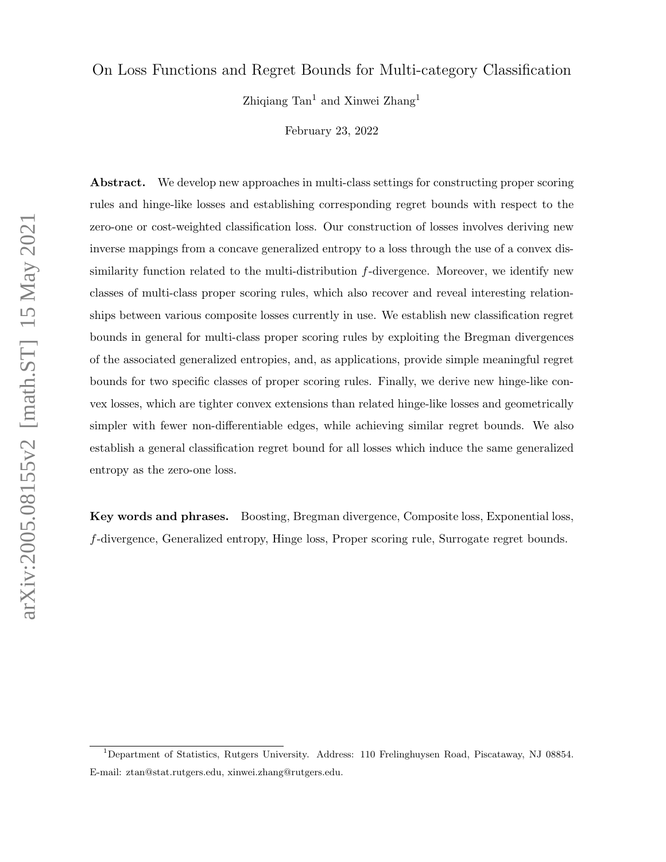## On Loss Functions and Regret Bounds for Multi-category Classification

Zhiqiang  $Tan<sup>1</sup>$  and Xinwei Zhang<sup>1</sup>

February 23, 2022

Abstract. We develop new approaches in multi-class settings for constructing proper scoring rules and hinge-like losses and establishing corresponding regret bounds with respect to the zero-one or cost-weighted classification loss. Our construction of losses involves deriving new inverse mappings from a concave generalized entropy to a loss through the use of a convex dissimilarity function related to the multi-distribution f-divergence. Moreover, we identify new classes of multi-class proper scoring rules, which also recover and reveal interesting relationships between various composite losses currently in use. We establish new classification regret bounds in general for multi-class proper scoring rules by exploiting the Bregman divergences of the associated generalized entropies, and, as applications, provide simple meaningful regret bounds for two specific classes of proper scoring rules. Finally, we derive new hinge-like convex losses, which are tighter convex extensions than related hinge-like losses and geometrically simpler with fewer non-differentiable edges, while achieving similar regret bounds. We also establish a general classification regret bound for all losses which induce the same generalized entropy as the zero-one loss.

Key words and phrases. Boosting, Bregman divergence, Composite loss, Exponential loss, f-divergence, Generalized entropy, Hinge loss, Proper scoring rule, Surrogate regret bounds.

<sup>&</sup>lt;sup>1</sup>Department of Statistics, Rutgers University. Address: 110 Frelinghuysen Road, Piscataway, NJ 08854. E-mail: ztan@stat.rutgers.edu, xinwei.zhang@rutgers.edu.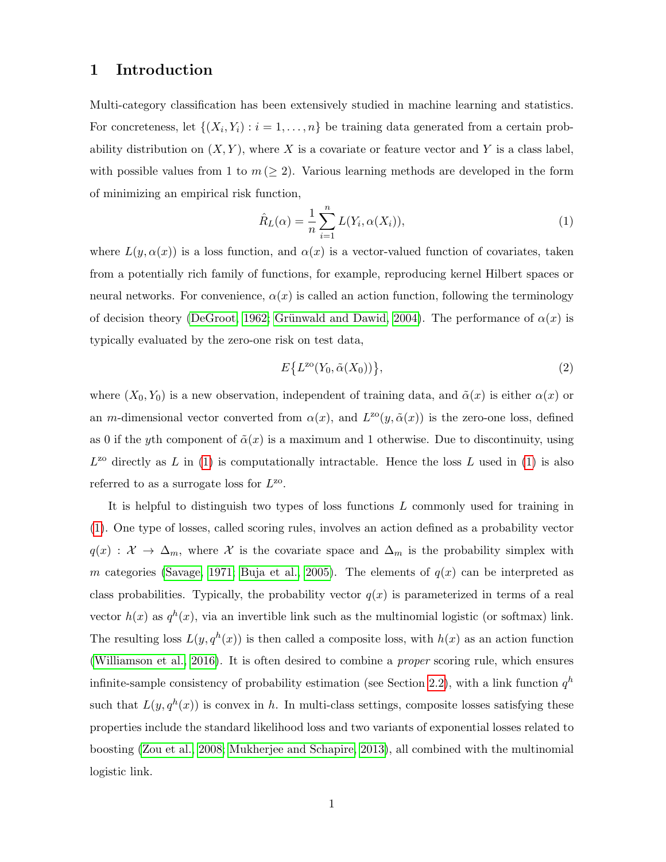# 1 Introduction

Multi-category classification has been extensively studied in machine learning and statistics. For concreteness, let  $\{(X_i, Y_i) : i = 1, \ldots, n\}$  be training data generated from a certain probability distribution on  $(X, Y)$ , where X is a covariate or feature vector and Y is a class label, with possible values from 1 to  $m \geq 2$ . Various learning methods are developed in the form of minimizing an empirical risk function,

<span id="page-1-0"></span>
$$
\hat{R}_L(\alpha) = \frac{1}{n} \sum_{i=1}^n L(Y_i, \alpha(X_i)),\tag{1}
$$

where  $L(y, \alpha(x))$  is a loss function, and  $\alpha(x)$  is a vector-valued function of covariates, taken from a potentially rich family of functions, for example, reproducing kernel Hilbert spaces or neural networks. For convenience,  $\alpha(x)$  is called an action function, following the terminology of decision theory [\(DeGroot, 1962;](#page-38-0) Grünwald and Dawid, 2004). The performance of  $\alpha(x)$  is typically evaluated by the zero-one risk on test data,

<span id="page-1-1"></span>
$$
E\{L^{20}(Y_0, \tilde{\alpha}(X_0))\},\tag{2}
$$

where  $(X_0, Y_0)$  is a new observation, independent of training data, and  $\tilde{\alpha}(x)$  is either  $\alpha(x)$  or an m-dimensional vector converted from  $\alpha(x)$ , and  $L^{z\alpha}(y, \tilde{\alpha}(x))$  is the zero-one loss, defined as 0 if the yth component of  $\tilde{\alpha}(x)$  is a maximum and 1 otherwise. Due to discontinuity, using  $L^{20}$  directly as L in [\(1\)](#page-1-0) is computationally intractable. Hence the loss L used in (1) is also referred to as a surrogate loss for  $L^{zo}$ .

It is helpful to distinguish two types of loss functions L commonly used for training in [\(1\)](#page-1-0). One type of losses, called scoring rules, involves an action defined as a probability vector  $q(x) : \mathcal{X} \to \Delta_m$ , where X is the covariate space and  $\Delta_m$  is the probability simplex with m categories [\(Savage, 1971;](#page-39-1) [Buja et al., 2005\)](#page-38-1). The elements of  $q(x)$  can be interpreted as class probabilities. Typically, the probability vector  $q(x)$  is parameterized in terms of a real vector  $h(x)$  as  $q^{h}(x)$ , via an invertible link such as the multinomial logistic (or softmax) link. The resulting loss  $L(y, q^h(x))$  is then called a composite loss, with  $h(x)$  as an action function [\(Williamson et al., 2016\)](#page-40-0). It is often desired to combine a proper scoring rule, which ensures infinite-sample consistency of probability estimation (see Section [2.2\)](#page-6-0), with a link function  $q<sup>h</sup>$ such that  $L(y, q^h(x))$  is convex in h. In multi-class settings, composite losses satisfying these properties include the standard likelihood loss and two variants of exponential losses related to boosting [\(Zou et al., 2008;](#page-40-1) [Mukherjee and Schapire, 2013\)](#page-39-2), all combined with the multinomial logistic link.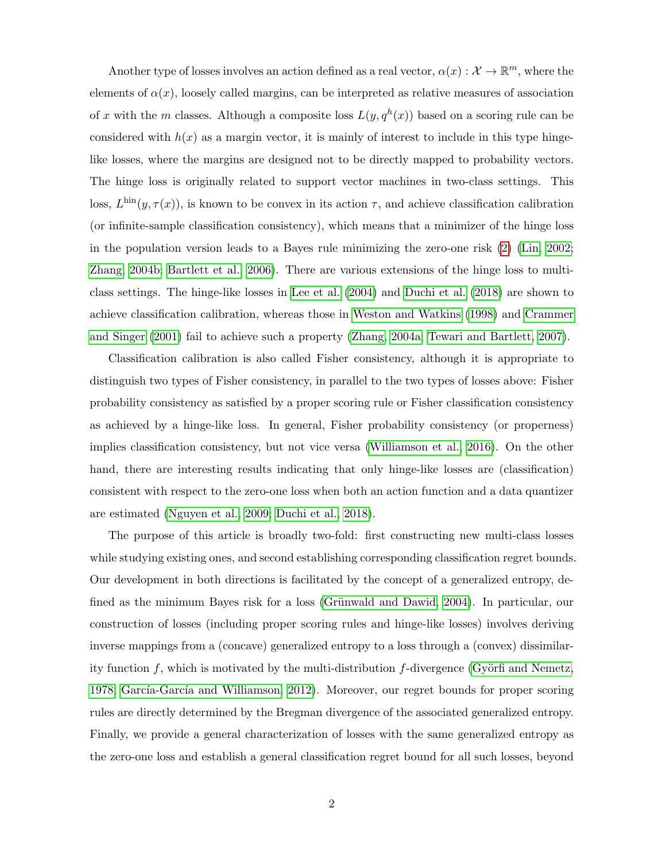Another type of losses involves an action defined as a real vector,  $\alpha(x): \mathcal{X} \to \mathbb{R}^m$ , where the elements of  $\alpha(x)$ , loosely called margins, can be interpreted as relative measures of association of x with the m classes. Although a composite loss  $L(y, q^h(x))$  based on a scoring rule can be considered with  $h(x)$  as a margin vector, it is mainly of interest to include in this type hingelike losses, where the margins are designed not to be directly mapped to probability vectors. The hinge loss is originally related to support vector machines in two-class settings. This loss,  $L^{\text{hin}}(y, \tau(x))$ , is known to be convex in its action  $\tau$ , and achieve classification calibration (or infinite-sample classification consistency), which means that a minimizer of the hinge loss in the population version leads to a Bayes rule minimizing the zero-one risk [\(2\)](#page-1-1) [\(Lin, 2002;](#page-39-3) [Zhang, 2004b;](#page-40-2) [Bartlett et al., 2006\)](#page-38-2). There are various extensions of the hinge loss to multiclass settings. The hinge-like losses in [Lee et al.](#page-39-4) [\(2004\)](#page-39-4) and [Duchi et al.](#page-38-3) [\(2018\)](#page-38-3) are shown to achieve classification calibration, whereas those in [Weston and Watkins](#page-40-3) [\(1998\)](#page-40-3) and [Crammer](#page-38-4) [and Singer](#page-38-4) [\(2001\)](#page-38-4) fail to achieve such a property [\(Zhang, 2004a;](#page-40-4) [Tewari and Bartlett, 2007\)](#page-40-5).

Classification calibration is also called Fisher consistency, although it is appropriate to distinguish two types of Fisher consistency, in parallel to the two types of losses above: Fisher probability consistency as satisfied by a proper scoring rule or Fisher classification consistency as achieved by a hinge-like loss. In general, Fisher probability consistency (or properness) implies classification consistency, but not vice versa [\(Williamson et al., 2016\)](#page-40-0). On the other hand, there are interesting results indicating that only hinge-like losses are (classification) consistent with respect to the zero-one loss when both an action function and a data quantizer are estimated [\(Nguyen et al., 2009;](#page-39-5) [Duchi et al., 2018\)](#page-38-3).

The purpose of this article is broadly two-fold: first constructing new multi-class losses while studying existing ones, and second establishing corresponding classification regret bounds. Our development in both directions is facilitated by the concept of a generalized entropy, defined as the minimum Bayes risk for a loss (Grünwald and Dawid, 2004). In particular, our construction of losses (including proper scoring rules and hinge-like losses) involves deriving inverse mappings from a (concave) generalized entropy to a loss through a (convex) dissimilarity function f, which is motivated by the multi-distribution f-divergence (Györfi and Nemetz, [1978;](#page-39-6) García-García and Williamson, 2012). Moreover, our regret bounds for proper scoring rules are directly determined by the Bregman divergence of the associated generalized entropy. Finally, we provide a general characterization of losses with the same generalized entropy as the zero-one loss and establish a general classification regret bound for all such losses, beyond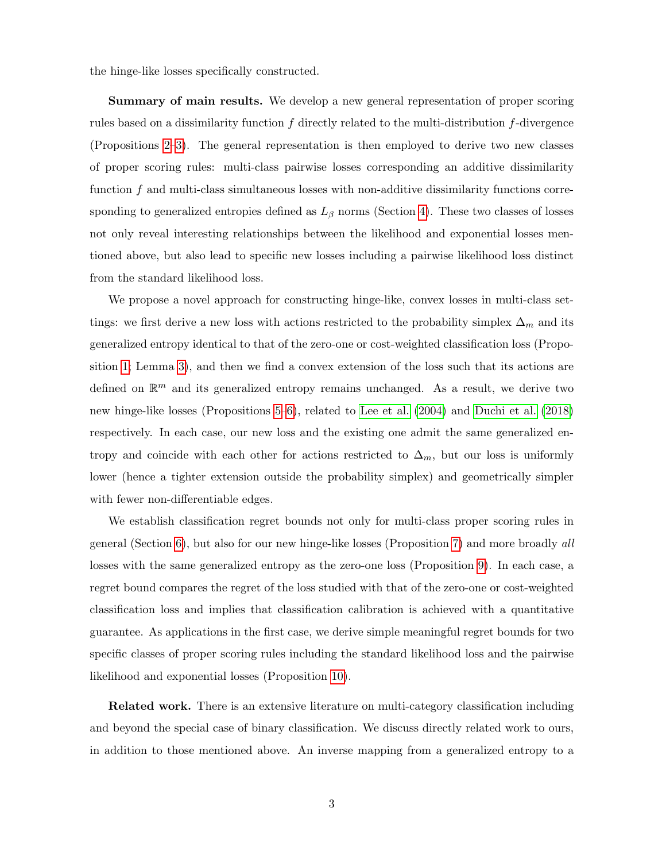the hinge-like losses specifically constructed.

Summary of main results. We develop a new general representation of proper scoring rules based on a dissimilarity function  $f$  directly related to the multi-distribution  $f$ -divergence (Propositions [2](#page-12-0)[–3\)](#page-13-0). The general representation is then employed to derive two new classes of proper scoring rules: multi-class pairwise losses corresponding an additive dissimilarity function f and multi-class simultaneous losses with non-additive dissimilarity functions corresponding to generalized entropies defined as  $L_\beta$  norms (Section [4\)](#page-14-0). These two classes of losses not only reveal interesting relationships between the likelihood and exponential losses mentioned above, but also lead to specific new losses including a pairwise likelihood loss distinct from the standard likelihood loss.

We propose a novel approach for constructing hinge-like, convex losses in multi-class settings: we first derive a new loss with actions restricted to the probability simplex  $\Delta_m$  and its generalized entropy identical to that of the zero-one or cost-weighted classification loss (Proposition [1;](#page-11-0) Lemma [3\)](#page-20-0), and then we find a convex extension of the loss such that its actions are defined on  $\mathbb{R}^m$  and its generalized entropy remains unchanged. As a result, we derive two new hinge-like losses (Propositions [5–](#page-21-0)[6\)](#page-23-0), related to [Lee et al.](#page-39-4) [\(2004\)](#page-39-4) and [Duchi et al.](#page-38-3) [\(2018\)](#page-38-3) respectively. In each case, our new loss and the existing one admit the same generalized entropy and coincide with each other for actions restricted to  $\Delta_m$ , but our loss is uniformly lower (hence a tighter extension outside the probability simplex) and geometrically simpler with fewer non-differentiable edges.

We establish classification regret bounds not only for multi-class proper scoring rules in general (Section [6\)](#page-29-0), but also for our new hinge-like losses (Proposition [7\)](#page-25-0) and more broadly all losses with the same generalized entropy as the zero-one loss (Proposition [9\)](#page-28-0). In each case, a regret bound compares the regret of the loss studied with that of the zero-one or cost-weighted classification loss and implies that classification calibration is achieved with a quantitative guarantee. As applications in the first case, we derive simple meaningful regret bounds for two specific classes of proper scoring rules including the standard likelihood loss and the pairwise likelihood and exponential losses (Proposition [10\)](#page-31-0).

Related work. There is an extensive literature on multi-category classification including and beyond the special case of binary classification. We discuss directly related work to ours, in addition to those mentioned above. An inverse mapping from a generalized entropy to a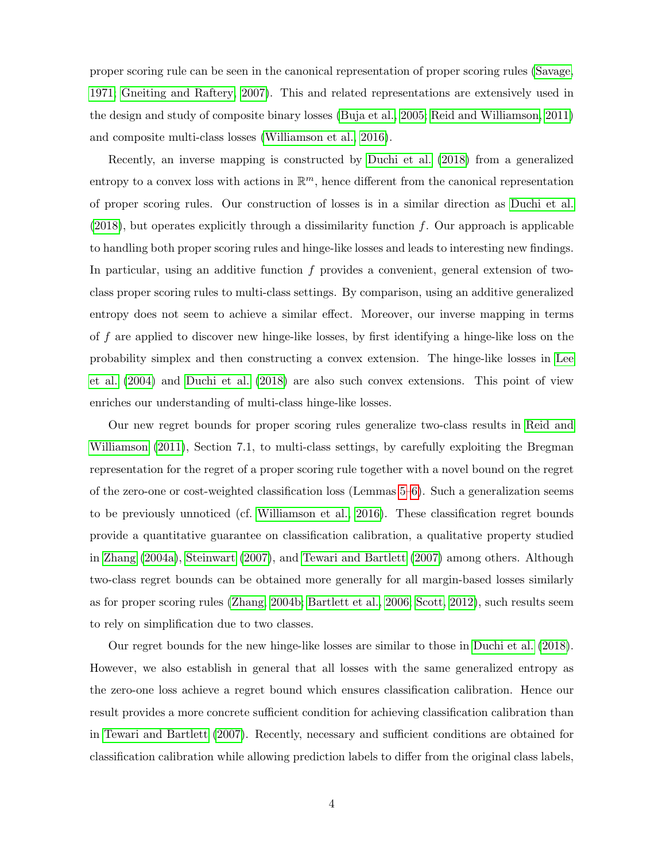proper scoring rule can be seen in the canonical representation of proper scoring rules [\(Savage,](#page-39-1) [1971;](#page-39-1) [Gneiting and Raftery, 2007\)](#page-38-6). This and related representations are extensively used in the design and study of composite binary losses [\(Buja et al., 2005;](#page-38-1) [Reid and Williamson, 2011\)](#page-39-7) and composite multi-class losses [\(Williamson et al., 2016\)](#page-40-0).

Recently, an inverse mapping is constructed by [Duchi et al.](#page-38-3) [\(2018\)](#page-38-3) from a generalized entropy to a convex loss with actions in  $\mathbb{R}^m$ , hence different from the canonical representation of proper scoring rules. Our construction of losses is in a similar direction as [Duchi et al.](#page-38-3)  $(2018)$ , but operates explicitly through a dissimilarity function f. Our approach is applicable to handling both proper scoring rules and hinge-like losses and leads to interesting new findings. In particular, using an additive function f provides a convenient, general extension of twoclass proper scoring rules to multi-class settings. By comparison, using an additive generalized entropy does not seem to achieve a similar effect. Moreover, our inverse mapping in terms of f are applied to discover new hinge-like losses, by first identifying a hinge-like loss on the probability simplex and then constructing a convex extension. The hinge-like losses in [Lee](#page-39-4) [et al.](#page-39-4) [\(2004\)](#page-39-4) and [Duchi et al.](#page-38-3) [\(2018\)](#page-38-3) are also such convex extensions. This point of view enriches our understanding of multi-class hinge-like losses.

Our new regret bounds for proper scoring rules generalize two-class results in [Reid and](#page-39-7) [Williamson](#page-39-7) [\(2011\)](#page-39-7), Section 7.1, to multi-class settings, by carefully exploiting the Bregman representation for the regret of a proper scoring rule together with a novel bound on the regret of the zero-one or cost-weighted classification loss (Lemmas [5–](#page-34-0)[6\)](#page-35-0). Such a generalization seems to be previously unnoticed (cf. [Williamson et al., 2016\)](#page-40-0). These classification regret bounds provide a quantitative guarantee on classification calibration, a qualitative property studied in [Zhang](#page-40-4) [\(2004a\)](#page-40-4), [Steinwart](#page-40-6) [\(2007\)](#page-40-6), and [Tewari and Bartlett](#page-40-5) [\(2007\)](#page-40-5) among others. Although two-class regret bounds can be obtained more generally for all margin-based losses similarly as for proper scoring rules [\(Zhang, 2004b;](#page-40-2) [Bartlett et al., 2006;](#page-38-2) [Scott, 2012\)](#page-40-7), such results seem to rely on simplification due to two classes.

Our regret bounds for the new hinge-like losses are similar to those in [Duchi et al.](#page-38-3) [\(2018\)](#page-38-3). However, we also establish in general that all losses with the same generalized entropy as the zero-one loss achieve a regret bound which ensures classification calibration. Hence our result provides a more concrete sufficient condition for achieving classification calibration than in [Tewari and Bartlett](#page-40-5) [\(2007\)](#page-40-5). Recently, necessary and sufficient conditions are obtained for classification calibration while allowing prediction labels to differ from the original class labels,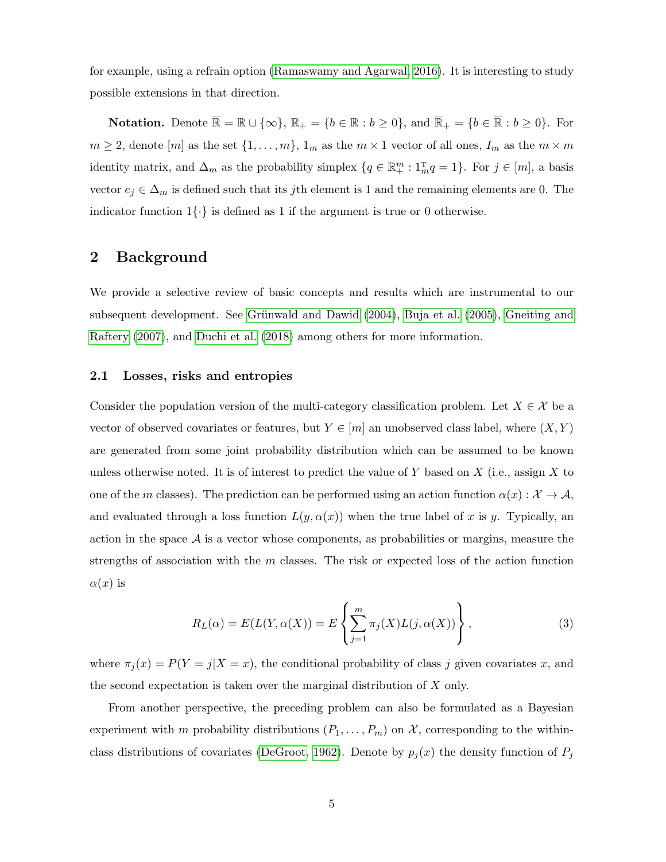for example, using a refrain option [\(Ramaswamy and Agarwal, 2016\)](#page-39-8). It is interesting to study possible extensions in that direction.

**Notation.** Denote  $\overline{\mathbb{R}} = \mathbb{R} \cup \{\infty\}, \mathbb{R}_+ = \{b \in \mathbb{R} : b \geq 0\}, \text{ and } \overline{\mathbb{R}}_+ = \{b \in \overline{\mathbb{R}} : b \geq 0\}.$  For  $m \geq 2$ , denote  $[m]$  as the set  $\{1, \ldots, m\}$ ,  $1_m$  as the  $m \times 1$  vector of all ones,  $I_m$  as the  $m \times m$ identity matrix, and  $\Delta_m$  as the probability simplex  $\{q \in \mathbb{R}^m_+ : \mathbb{1}^m_m q = 1\}$ . For  $j \in [m]$ , a basis vector  $e_j \in \Delta_m$  is defined such that its jth element is 1 and the remaining elements are 0. The indicator function  $1\{\cdot\}$  is defined as 1 if the argument is true or 0 otherwise.

# 2 Background

We provide a selective review of basic concepts and results which are instrumental to our subsequent development. See Grünwald and Dawid [\(2004\)](#page-39-0), [Buja et al.](#page-38-1) [\(2005\)](#page-38-1), [Gneiting and](#page-38-6) [Raftery](#page-38-6) [\(2007\)](#page-38-6), and [Duchi et al.](#page-38-3) [\(2018\)](#page-38-3) among others for more information.

### <span id="page-5-1"></span>2.1 Losses, risks and entropies

Consider the population version of the multi-category classification problem. Let  $X \in \mathcal{X}$  be a vector of observed covariates or features, but  $Y \in [m]$  an unobserved class label, where  $(X, Y)$ are generated from some joint probability distribution which can be assumed to be known unless otherwise noted. It is of interest to predict the value of  $Y$  based on  $X$  (i.e., assign  $X$  to one of the m classes). The prediction can be performed using an action function  $\alpha(x): \mathcal{X} \to \mathcal{A}$ , and evaluated through a loss function  $L(y, \alpha(x))$  when the true label of x is y. Typically, an action in the space  $A$  is a vector whose components, as probabilities or margins, measure the strengths of association with the  $m$  classes. The risk or expected loss of the action function  $\alpha(x)$  is

<span id="page-5-0"></span>
$$
R_L(\alpha) = E(L(Y, \alpha(X))) = E\left\{\sum_{j=1}^m \pi_j(X)L(j, \alpha(X))\right\},\tag{3}
$$

where  $\pi_j(x) = P(Y = j | X = x)$ , the conditional probability of class j given covariates x, and the second expectation is taken over the marginal distribution of  $X$  only.

From another perspective, the preceding problem can also be formulated as a Bayesian experiment with m probability distributions  $(P_1, \ldots, P_m)$  on X, corresponding to the within-class distributions of covariates [\(DeGroot, 1962\)](#page-38-0). Denote by  $p_j(x)$  the density function of  $P_j$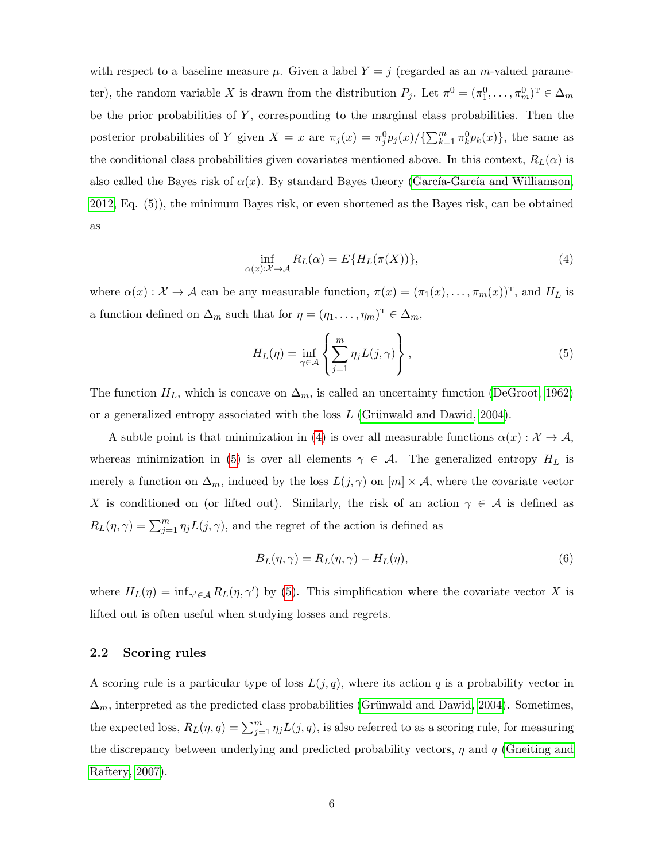with respect to a baseline measure  $\mu$ . Given a label  $Y = j$  (regarded as an m-valued parameter), the random variable X is drawn from the distribution  $P_j$ . Let  $\pi^0 = (\pi_1^0, \ldots, \pi_m^0)$ <sup>T</sup>  $\in \Delta_m$ be the prior probabilities of  $Y$ , corresponding to the marginal class probabilities. Then the posterior probabilities of Y given  $X = x$  are  $\pi_j(x) = \pi_j^0 p_j(x) / {\sum_{k=1}^m \pi_k^0 p_k(x)}$ , the same as the conditional class probabilities given covariates mentioned above. In this context,  $R_L(\alpha)$  is also called the Bayes risk of  $\alpha(x)$ . By standard Bayes theory (García-García and Williamson, [2012,](#page-38-5) Eq. (5)), the minimum Bayes risk, or even shortened as the Bayes risk, can be obtained as

<span id="page-6-1"></span>
$$
\inf_{\alpha(x):\mathcal{X}\to\mathcal{A}} R_L(\alpha) = E\{H_L(\pi(X))\},\tag{4}
$$

where  $\alpha(x): \mathcal{X} \to \mathcal{A}$  can be any measurable function,  $\pi(x) = (\pi_1(x), \ldots, \pi_m(x))^T$ , and  $H_L$  is a function defined on  $\Delta_m$  such that for  $\eta = (\eta_1, \dots, \eta_m)^T \in \Delta_m$ ,

<span id="page-6-2"></span>
$$
H_L(\eta) = \inf_{\gamma \in \mathcal{A}} \left\{ \sum_{j=1}^m \eta_j L(j, \gamma) \right\},\tag{5}
$$

The function  $H_L$ , which is concave on  $\Delta_m$ , is called an uncertainty function [\(DeGroot, 1962\)](#page-38-0) or a generalized entropy associated with the loss  $L$  (Grünwald and Dawid, 2004).

A subtle point is that minimization in [\(4\)](#page-6-1) is over all measurable functions  $\alpha(x): \mathcal{X} \to \mathcal{A}$ , whereas minimization in [\(5\)](#page-6-2) is over all elements  $\gamma \in A$ . The generalized entropy  $H_L$  is merely a function on  $\Delta_m$ , induced by the loss  $L(j, \gamma)$  on  $[m] \times \mathcal{A}$ , where the covariate vector X is conditioned on (or lifted out). Similarly, the risk of an action  $\gamma \in \mathcal{A}$  is defined as  $R_L(\eta, \gamma) = \sum_{j=1}^m \eta_j L(j, \gamma)$ , and the regret of the action is defined as

<span id="page-6-3"></span>
$$
B_L(\eta, \gamma) = R_L(\eta, \gamma) - H_L(\eta), \qquad (6)
$$

where  $H_L(\eta) = \inf_{\gamma' \in \mathcal{A}} R_L(\eta, \gamma')$  by [\(5\)](#page-6-2). This simplification where the covariate vector X is lifted out is often useful when studying losses and regrets.

## <span id="page-6-0"></span>2.2 Scoring rules

A scoring rule is a particular type of loss  $L(j, q)$ , where its action q is a probability vector in  $\Delta_m$ , interpreted as the predicted class probabilities (Grünwald and Dawid, 2004). Sometimes, the expected loss,  $R_L(\eta, q) = \sum_{j=1}^m \eta_j L(j, q)$ , is also referred to as a scoring rule, for measuring the discrepancy between underlying and predicted probability vectors,  $\eta$  and q [\(Gneiting and](#page-38-6) [Raftery, 2007\)](#page-38-6).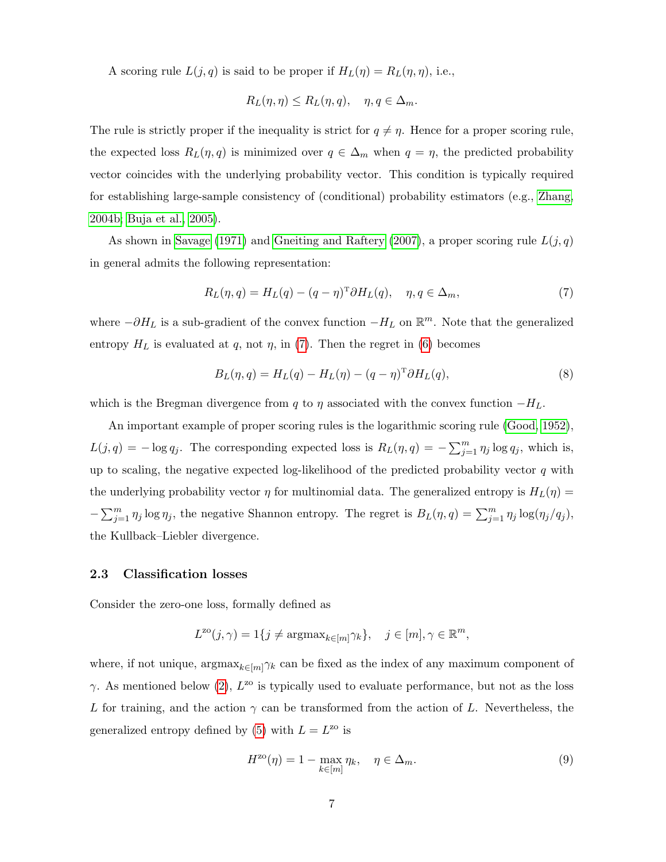A scoring rule  $L(j, q)$  is said to be proper if  $H_L(\eta) = R_L(\eta, \eta)$ , i.e.,

$$
R_L(\eta, \eta) \le R_L(\eta, q), \quad \eta, q \in \Delta_m.
$$

The rule is strictly proper if the inequality is strict for  $q \neq \eta$ . Hence for a proper scoring rule, the expected loss  $R_L(\eta, q)$  is minimized over  $q \in \Delta_m$  when  $q = \eta$ , the predicted probability vector coincides with the underlying probability vector. This condition is typically required for establishing large-sample consistency of (conditional) probability estimators (e.g., [Zhang,](#page-40-2) [2004b;](#page-40-2) [Buja et al., 2005\)](#page-38-1).

As shown in [Savage](#page-39-1) [\(1971\)](#page-39-1) and [Gneiting and Raftery](#page-38-6) [\(2007\)](#page-38-6), a proper scoring rule  $L(j, q)$ in general admits the following representation:

<span id="page-7-0"></span>
$$
R_L(\eta, q) = H_L(q) - (q - \eta)^T \partial H_L(q), \quad \eta, q \in \Delta_m,
$$
\n<sup>(7)</sup>

where  $-\partial H_L$  is a sub-gradient of the convex function  $-H_L$  on  $\mathbb{R}^m$ . Note that the generalized entropy  $H_L$  is evaluated at q, not  $\eta$ , in [\(7\)](#page-7-0). Then the regret in [\(6\)](#page-6-3) becomes

<span id="page-7-2"></span>
$$
B_L(\eta, q) = H_L(q) - H_L(\eta) - (q - \eta)^T \partial H_L(q), \qquad (8)
$$

which is the Bregman divergence from q to  $\eta$  associated with the convex function  $-H_L$ .

An important example of proper scoring rules is the logarithmic scoring rule [\(Good, 1952\)](#page-39-9),  $L(j,q) = -\log q_j$ . The corresponding expected loss is  $R_L(\eta, q) = -\sum_{j=1}^m \eta_j \log q_j$ , which is, up to scaling, the negative expected log-likelihood of the predicted probability vector  $q$  with the underlying probability vector  $\eta$  for multinomial data. The generalized entropy is  $H_L(\eta)$  =  $-\sum_{j=1}^m \eta_j \log \eta_j$ , the negative Shannon entropy. The regret is  $B_L(\eta, q) = \sum_{j=1}^m \eta_j \log(\eta_j/q_j)$ , the Kullback–Liebler divergence.

## <span id="page-7-3"></span>2.3 Classification losses

Consider the zero-one loss, formally defined as

$$
L^{z_0}(j,\gamma) = 1\{j \neq \operatorname{argmax}_{k \in [m]} \gamma_k\}, \quad j \in [m], \gamma \in \mathbb{R}^m,
$$

where, if not unique,  $\arg\max_{k\in[m]\gamma_k}$  can be fixed as the index of any maximum component of  $\gamma$ . As mentioned below [\(2\)](#page-1-1),  $L^{20}$  is typically used to evaluate performance, but not as the loss L for training, and the action  $\gamma$  can be transformed from the action of L. Nevertheless, the generalized entropy defined by [\(5\)](#page-6-2) with  $L = L^{z0}$  is

<span id="page-7-1"></span>
$$
H^{z0}(\eta) = 1 - \max_{k \in [m]} \eta_k, \quad \eta \in \Delta_m.
$$
 (9)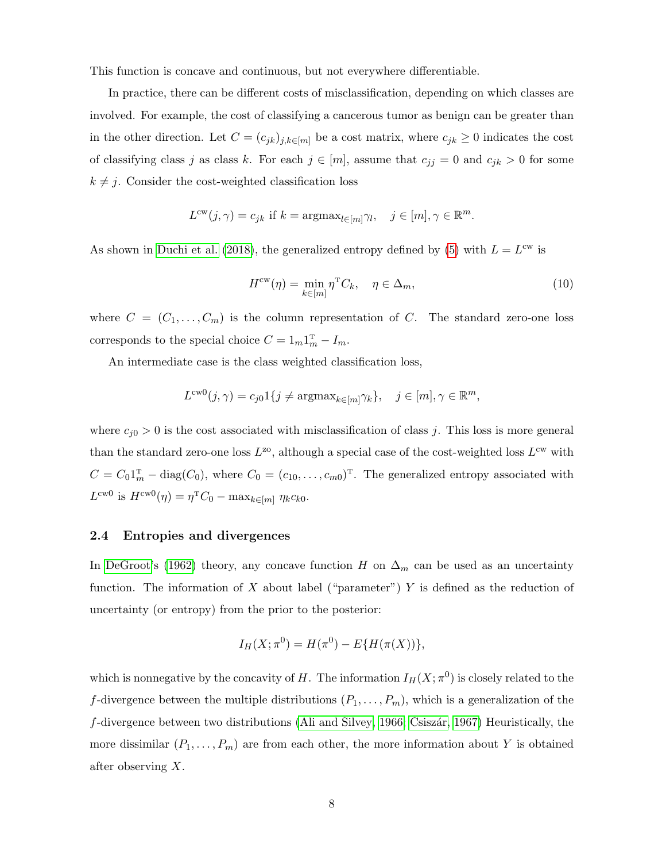This function is concave and continuous, but not everywhere differentiable.

In practice, there can be different costs of misclassification, depending on which classes are involved. For example, the cost of classifying a cancerous tumor as benign can be greater than in the other direction. Let  $C = (c_{jk})_{j,k \in [m]}$  be a cost matrix, where  $c_{jk} \geq 0$  indicates the cost of classifying class j as class k. For each  $j \in [m]$ , assume that  $c_{jj} = 0$  and  $c_{jk} > 0$  for some  $k \neq j$ . Consider the cost-weighted classification loss

$$
L^{cw}(j,\gamma) = c_{jk} \text{ if } k = \operatorname{argmax}_{l \in [m]} \gamma_l, \quad j \in [m], \gamma \in \mathbb{R}^m.
$$

As shown in [Duchi et al.](#page-38-3) [\(2018\)](#page-38-3), the generalized entropy defined by [\(5\)](#page-6-2) with  $L = L<sup>cw</sup>$  is

<span id="page-8-1"></span>
$$
H^{\text{cw}}(\eta) = \min_{k \in [m]} \eta^{\text{T}} C_k, \quad \eta \in \Delta_m,
$$
\n(10)

where  $C = (C_1, \ldots, C_m)$  is the column representation of C. The standard zero-one loss corresponds to the special choice  $C = 1_m 1_m^T - I_m$ .

An intermediate case is the class weighted classification loss,

$$
L^{\text{cw}0}(j,\gamma) = c_{j0} \mathbf{1}\{j \neq \text{argmax}_{k \in [m]} \gamma_k\}, \quad j \in [m], \gamma \in \mathbb{R}^m,
$$

where  $c_{j0} > 0$  is the cost associated with misclassification of class j. This loss is more general than the standard zero-one loss  $L^{20}$ , although a special case of the cost-weighted loss  $L^{cw}$  with  $C = C_0 \mathbb{1}_m^{\mathrm{T}} - \text{diag}(C_0)$ , where  $C_0 = (c_{10}, \ldots, c_{m0})^{\mathrm{T}}$ . The generalized entropy associated with  $L^{\text{cw0}}$  is  $H^{\text{cw0}}(\eta) = \eta^{\text{T}} C_0 - \max_{k \in [m]} \eta_k c_{k0}.$ 

## <span id="page-8-0"></span>2.4 Entropies and divergences

In [DeGroot'](#page-38-0)s [\(1962\)](#page-38-0) theory, any concave function H on  $\Delta_m$  can be used as an uncertainty function. The information of X about label ("parameter") Y is defined as the reduction of uncertainty (or entropy) from the prior to the posterior:

$$
I_H(X; \pi^0) = H(\pi^0) - E\{H(\pi(X))\},\
$$

which is nonnegative by the concavity of H. The information  $I_H(X; \pi^0)$  is closely related to the f-divergence between the multiple distributions  $(P_1, \ldots, P_m)$ , which is a generalization of the  $f$ -divergence between two distributions [\(Ali and Silvey, 1966;](#page-38-7) Csiszár, 1967) Heuristically, the more dissimilar  $(P_1, \ldots, P_m)$  are from each other, the more information about Y is obtained after observing X.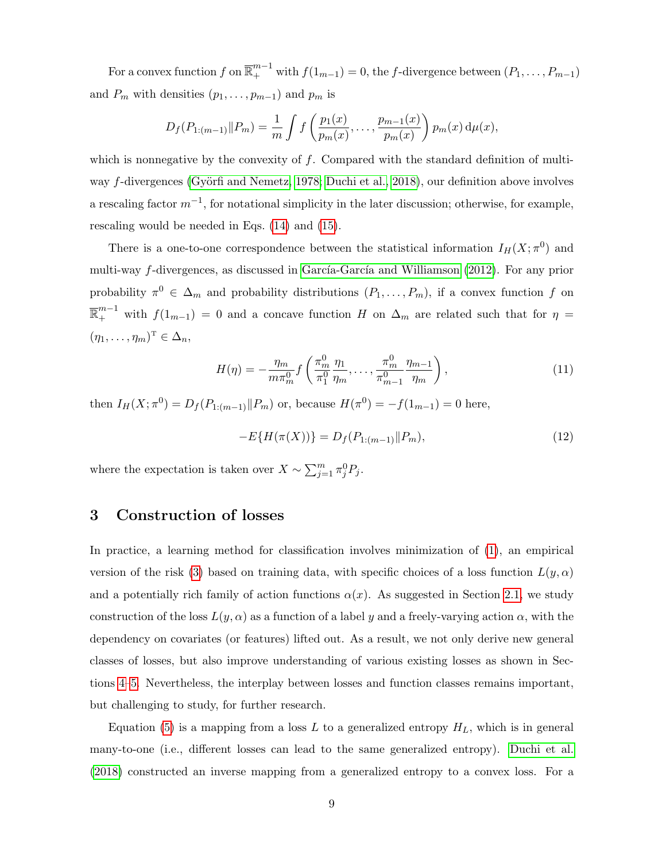For a convex function f on  $\overline{\mathbb{R}}_+^{m-1}$  with  $f(1_{m-1}) = 0$ , the f-divergence between  $(P_1, \ldots, P_{m-1})$ and  $P_m$  with densities  $(p_1, \ldots, p_{m-1})$  and  $p_m$  is

$$
D_f(P_{1:(m-1)}||P_m) = \frac{1}{m} \int f\left(\frac{p_1(x)}{p_m(x)}, \ldots, \frac{p_{m-1}(x)}{p_m(x)}\right) p_m(x) d\mu(x),
$$

which is nonnegative by the convexity of  $f$ . Compared with the standard definition of multi-way f-divergences (Györfi and Nemetz, 1978; [Duchi et al., 2018\)](#page-38-3), our definition above involves a rescaling factor  $m^{-1}$ , for notational simplicity in the later discussion; otherwise, for example, rescaling would be needed in Eqs. [\(14\)](#page-10-0) and [\(15\)](#page-10-1).

There is a one-to-one correspondence between the statistical information  $I_H(X; \pi^0)$  and multi-way  $f$ -divergences, as discussed in García-García and Williamson [\(2012\)](#page-38-5). For any prior probability  $\pi^0 \in \Delta_m$  and probability distributions  $(P_1, \ldots, P_m)$ , if a convex function f on  $\overline{\mathbb{R}}_{+}^{m-1}$  with  $f(1_{m-1})=0$  and a concave function H on  $\Delta_m$  are related such that for  $\eta=$  $(\eta_1, \ldots, \eta_m)^{\mathrm{T}} \in \Delta_n$ 

$$
H(\eta) = -\frac{\eta_m}{m\pi_m^0} f\left(\frac{\pi_m^0}{\pi_1^0} \frac{\eta_1}{\eta_m}, \dots, \frac{\pi_m^0}{\pi_{m-1}^0} \frac{\eta_{m-1}}{\eta_m}\right),\tag{11}
$$

then  $I_H(X; \pi^0) = D_f(P_{1:(m-1)} || P_m)$  or, because  $H(\pi^0) = -f(1_{m-1}) = 0$  here,

<span id="page-9-1"></span><span id="page-9-0"></span>
$$
-E\{H(\pi(X))\} = D_f(P_{1:(m-1)}||P_m),\tag{12}
$$

where the expectation is taken over  $X \sim \sum_{j=1}^{m} \pi_j^0 P_j$ .

# <span id="page-9-2"></span>3 Construction of losses

In practice, a learning method for classification involves minimization of [\(1\)](#page-1-0), an empirical version of the risk [\(3\)](#page-5-0) based on training data, with specific choices of a loss function  $L(y, \alpha)$ and a potentially rich family of action functions  $\alpha(x)$ . As suggested in Section [2.1,](#page-5-1) we study construction of the loss  $L(y, \alpha)$  as a function of a label y and a freely-varying action  $\alpha$ , with the dependency on covariates (or features) lifted out. As a result, we not only derive new general classes of losses, but also improve understanding of various existing losses as shown in Sections [4](#page-14-0)[–5.](#page-18-0) Nevertheless, the interplay between losses and function classes remains important, but challenging to study, for further research.

Equation [\(5\)](#page-6-2) is a mapping from a loss L to a generalized entropy  $H_L$ , which is in general many-to-one (i.e., different losses can lead to the same generalized entropy). [Duchi et al.](#page-38-3) [\(2018\)](#page-38-3) constructed an inverse mapping from a generalized entropy to a convex loss. For a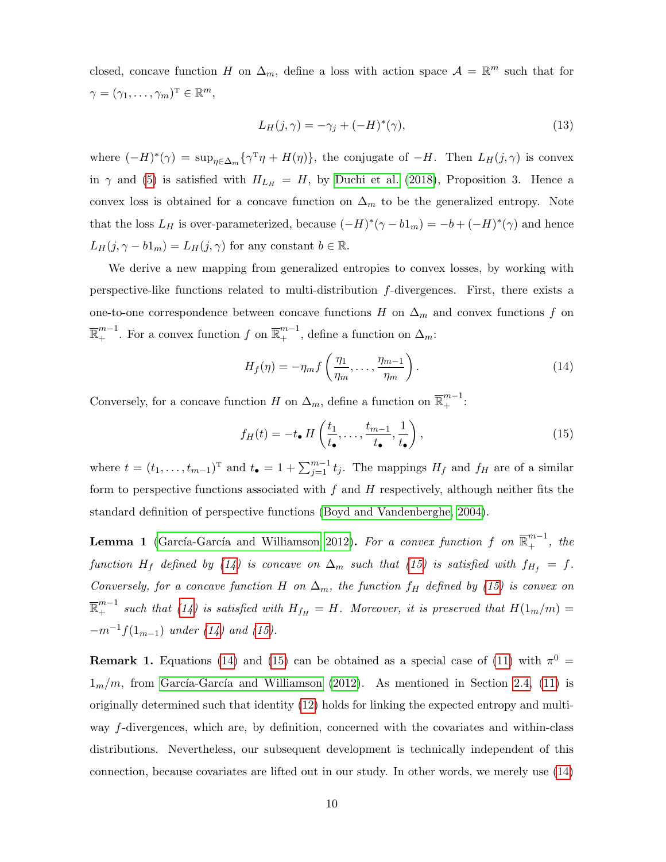closed, concave function H on  $\Delta_m$ , define a loss with action space  $\mathcal{A} = \mathbb{R}^m$  such that for  $\gamma = (\gamma_1, \ldots, \gamma_m)^{\mathrm{T}} \in \mathbb{R}^m$ ,

<span id="page-10-2"></span>
$$
L_H(j,\gamma) = -\gamma_j + (-H)^*(\gamma),\tag{13}
$$

where  $(-H)^*(\gamma) = \sup_{\eta \in \Delta_m} {\{\gamma^T \eta + H(\eta)\}}$ , the conjugate of  $-H$ . Then  $L_H(j, \gamma)$  is convex in  $\gamma$  and [\(5\)](#page-6-2) is satisfied with  $H_{L_H} = H$ , by [Duchi et al.](#page-38-3) [\(2018\)](#page-38-3), Proposition 3. Hence a convex loss is obtained for a concave function on  $\Delta_m$  to be the generalized entropy. Note that the loss  $L_H$  is over-parameterized, because  $(-H)^*(\gamma - b1_m) = -b + (-H)^*(\gamma)$  and hence  $L_H(j, \gamma - b1_m) = L_H(j, \gamma)$  for any constant  $b \in \mathbb{R}$ .

We derive a new mapping from generalized entropies to convex losses, by working with perspective-like functions related to multi-distribution f-divergences. First, there exists a one-to-one correspondence between concave functions H on  $\Delta_m$  and convex functions f on  $\overline{\mathbb{R}}_{+}^{m-1}$ . For a convex function f on  $\overline{\mathbb{R}}_{+}^{m-1}$ , define a function on  $\Delta_m$ :

<span id="page-10-0"></span>
$$
H_f(\eta) = -\eta_m f\left(\frac{\eta_1}{\eta_m}, \dots, \frac{\eta_{m-1}}{\eta_m}\right). \tag{14}
$$

Conversely, for a concave function H on  $\Delta_m$ , define a function on  $\overline{\mathbb{R}}_+^{m-1}$ :

<span id="page-10-1"></span>
$$
f_H(t) = -t_\bullet \, H\left(\frac{t_1}{t_\bullet}, \dots, \frac{t_{m-1}}{t_\bullet}, \frac{1}{t_\bullet}\right),\tag{15}
$$

where  $t = (t_1, \ldots, t_{m-1})^T$  and  $t_{\bullet} = 1 + \sum_{j=1}^{m-1} t_j$ . The mappings  $H_f$  and  $f_H$  are of a similar form to perspective functions associated with  $f$  and  $H$  respectively, although neither fits the standard definition of perspective functions [\(Boyd and Vandenberghe, 2004\)](#page-38-9).

<span id="page-10-3"></span>**Lemma 1** (García-García and Williamson 2012). For a convex function f on  $\overline{\mathbb{R}}^{m-1}_+$ , the function H<sub>f</sub> defined by [\(14\)](#page-10-0) is concave on  $\Delta_m$  such that [\(15\)](#page-10-1) is satisfied with  $f_{H_f} = f$ . Conversely, for a concave function H on  $\Delta_m$ , the function f<sub>H</sub> defined by [\(15\)](#page-10-1) is convex on  $\overline{\mathbb{R}}^{m-1}_+$  such that [\(14\)](#page-10-0) is satisfied with  $H_{f_H} = H$ . Moreover, it is preserved that  $H(1_m/m) =$  $-m^{-1}f(1_{m-1})$  under [\(14\)](#page-10-0) and [\(15\)](#page-10-1).

**Remark 1.** Equations [\(14\)](#page-10-0) and [\(15\)](#page-10-1) can be obtained as a special case of [\(11\)](#page-9-0) with  $\pi^0$  =  $1<sub>m</sub>/m$ , from García-García and Williamson [\(2012\)](#page-38-5). As mentioned in Section [2.4,](#page-8-0) [\(11\)](#page-9-0) is originally determined such that identity [\(12\)](#page-9-1) holds for linking the expected entropy and multiway f-divergences, which are, by definition, concerned with the covariates and within-class distributions. Nevertheless, our subsequent development is technically independent of this connection, because covariates are lifted out in our study. In other words, we merely use [\(14\)](#page-10-0)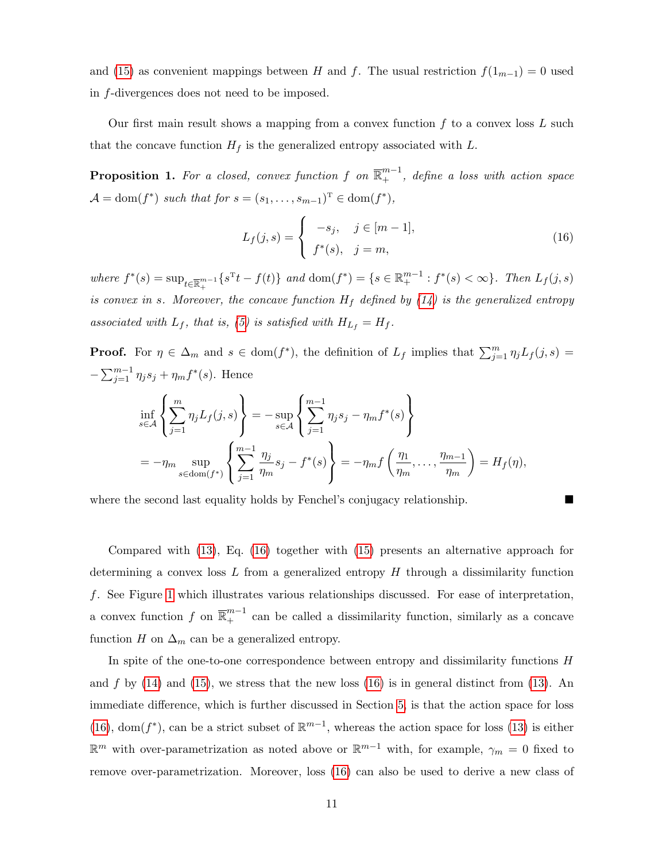and [\(15\)](#page-10-1) as convenient mappings between H and f. The usual restriction  $f(1_{m-1}) = 0$  used in f-divergences does not need to be imposed.

Our first main result shows a mapping from a convex function  $f$  to a convex loss  $L$  such that the concave function  $H_f$  is the generalized entropy associated with L.

<span id="page-11-0"></span>**Proposition 1.** For a closed, convex function f on  $\overline{\mathbb{R}}^{m-1}_+$ , define a loss with action space  $\mathcal{A} = \text{dom}(f^*)$  such that for  $s = (s_1, \ldots, s_{m-1})^T \in \text{dom}(f^*),$ 

<span id="page-11-1"></span>
$$
L_f(j, s) = \begin{cases} -s_j, & j \in [m-1], \\ f^*(s), & j = m, \end{cases}
$$
 (16)

where  $f^*(s) = \sup_{t \in \overline{\mathbb{R}}_+^{m-1}} \{s^{\mathrm{T}}t - f(t)\}$  and  $\text{dom}(f^*) = \{s \in \mathbb{R}_+^{m-1} : f^*(s) < \infty\}$ . Then  $L_f(j, s)$ is convex in s. Moreover, the concave function  $H_f$  defined by [\(14\)](#page-10-0) is the generalized entropy associated with  $L_f$ , that is, [\(5\)](#page-6-2) is satisfied with  $H_{L_f} = H_f$ .

**Proof.** For  $\eta \in \Delta_m$  and  $s \in \text{dom}(f^*)$ , the definition of  $L_f$  implies that  $\sum_{j=1}^m \eta_j L_f(j, s) =$  $-\sum_{j=1}^{m-1} \eta_j s_j + \eta_m f^*(s)$ . Hence

$$
\inf_{s \in \mathcal{A}} \left\{ \sum_{j=1}^m \eta_j L_f(j, s) \right\} = -\sup_{s \in \mathcal{A}} \left\{ \sum_{j=1}^{m-1} \eta_j s_j - \eta_m f^*(s) \right\}
$$
\n
$$
= -\eta_m \sup_{s \in \text{dom}(f^*)} \left\{ \sum_{j=1}^{m-1} \frac{\eta_j}{\eta_m} s_j - f^*(s) \right\} = -\eta_m f \left( \frac{\eta_1}{\eta_m}, \dots, \frac{\eta_{m-1}}{\eta_m} \right) = H_f(\eta),
$$

where the second last equality holds by Fenchel's conjugacy relationship.

Compared with [\(13\)](#page-10-2), Eq. [\(16\)](#page-11-1) together with [\(15\)](#page-10-1) presents an alternative approach for determining a convex loss  $L$  from a generalized entropy  $H$  through a dissimilarity function f. See Figure [1](#page-12-1) which illustrates various relationships discussed. For ease of interpretation, a convex function f on  $\overline{\mathbb{R}}_+^{m-1}$  can be called a dissimilarity function, similarly as a concave function H on  $\Delta_m$  can be a generalized entropy.

In spite of the one-to-one correspondence between entropy and dissimilarity functions H and f by  $(14)$  and  $(15)$ , we stress that the new loss  $(16)$  is in general distinct from  $(13)$ . An immediate difference, which is further discussed in Section [5,](#page-18-0) is that the action space for loss [\(16\)](#page-11-1), dom( $f^*$ ), can be a strict subset of  $\mathbb{R}^{m-1}$ , whereas the action space for loss [\(13\)](#page-10-2) is either  $\mathbb{R}^m$  with over-parametrization as noted above or  $\mathbb{R}^{m-1}$  with, for example,  $\gamma_m = 0$  fixed to remove over-parametrization. Moreover, loss [\(16\)](#page-11-1) can also be used to derive a new class of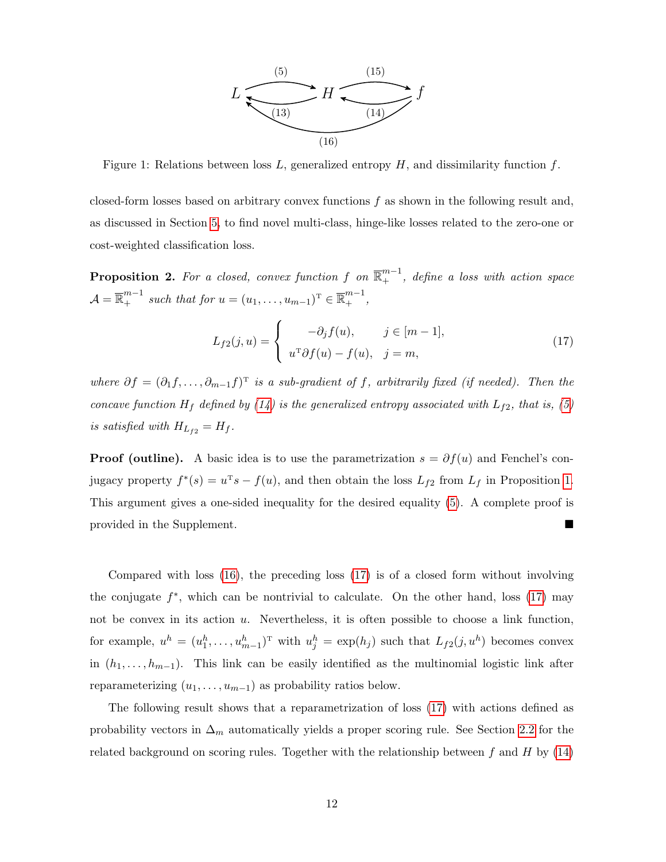

<span id="page-12-1"></span>Figure 1: Relations between loss  $L$ , generalized entropy  $H$ , and dissimilarity function  $f$ .

closed-form losses based on arbitrary convex functions  $f$  as shown in the following result and, as discussed in Section [5,](#page-18-0) to find novel multi-class, hinge-like losses related to the zero-one or cost-weighted classification loss.

<span id="page-12-0"></span>**Proposition 2.** For a closed, convex function f on  $\overline{\mathbb{R}}^{m-1}_+$ , define a loss with action space  $\mathcal{A} = \overline{\mathbb{R}}_+^{m-1}$  such that for  $u = (u_1, \ldots, u_{m-1})^T \in \overline{\mathbb{R}}_+^{m-1}$ ,

<span id="page-12-2"></span>
$$
L_{f2}(j, u) = \begin{cases} -\partial_j f(u), & j \in [m-1], \\ u^{\mathrm{T}} \partial f(u) - f(u), & j = m, \end{cases}
$$
\n(17)

where  $\partial f = (\partial_1 f, \dots, \partial_{m-1} f)^T$  is a sub-gradient of f, arbitrarily fixed (if needed). Then the concave function  $H_f$  defined by [\(14\)](#page-10-0) is the generalized entropy associated with  $L_{f2}$ , that is, [\(5\)](#page-6-2) is satisfied with  $H_{L_{f2}} = H_f$ .

**Proof (outline).** A basic idea is to use the parametrization  $s = \partial f(u)$  and Fenchel's conjugacy property  $f^*(s) = u^T s - f(u)$ , and then obtain the loss  $L_{f2}$  from  $L_f$  in Proposition [1.](#page-11-0) This argument gives a one-sided inequality for the desired equality [\(5\)](#page-6-2). A complete proof is provided in the Supplement.

Compared with loss [\(16\)](#page-11-1), the preceding loss [\(17\)](#page-12-2) is of a closed form without involving the conjugate  $f^*$ , which can be nontrivial to calculate. On the other hand, loss [\(17\)](#page-12-2) may not be convex in its action  $u$ . Nevertheless, it is often possible to choose a link function, for example,  $u^h = (u_1^h, \ldots, u_{m-1}^h)^T$  with  $u_j^h = \exp(h_j)$  such that  $L_{f2}(j, u^h)$  becomes convex in  $(h_1, \ldots, h_{m-1})$ . This link can be easily identified as the multinomial logistic link after reparameterizing  $(u_1, \ldots, u_{m-1})$  as probability ratios below.

The following result shows that a reparametrization of loss [\(17\)](#page-12-2) with actions defined as probability vectors in  $\Delta_m$  automatically yields a proper scoring rule. See Section [2.2](#page-6-0) for the related background on scoring rules. Together with the relationship between  $f$  and  $H$  by [\(14\)](#page-10-0)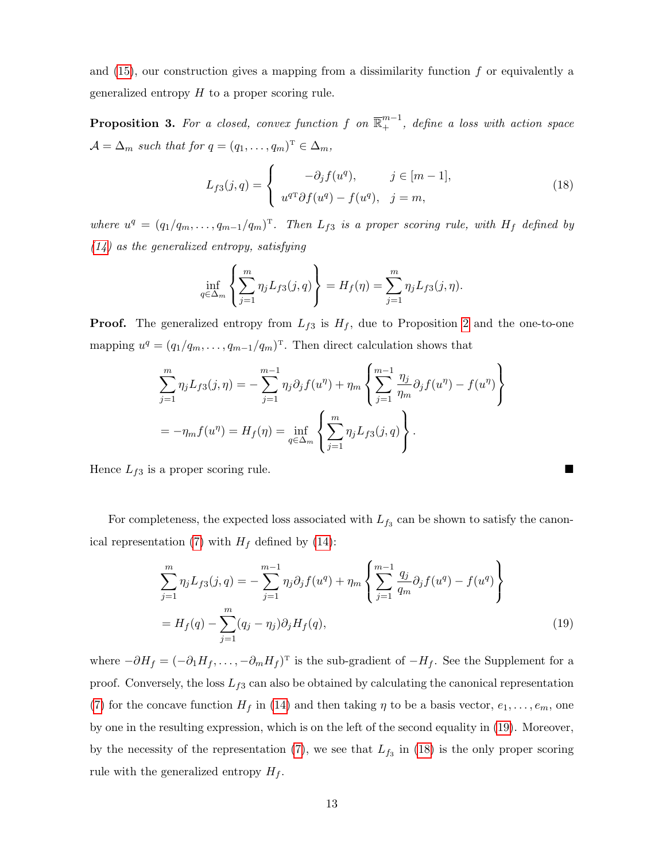and  $(15)$ , our construction gives a mapping from a dissimilarity function f or equivalently a generalized entropy  $H$  to a proper scoring rule.

<span id="page-13-0"></span>**Proposition 3.** For a closed, convex function f on  $\overline{\mathbb{R}}^{m-1}_+$ , define a loss with action space  $\mathcal{A} = \Delta_m$  such that for  $q = (q_1, \ldots, q_m)^T \in \Delta_m$ ,

<span id="page-13-2"></span>
$$
L_{f3}(j,q) = \begin{cases} -\partial_j f(u^q), & j \in [m-1], \\ u^{qT} \partial f(u^q) - f(u^q), & j = m, \end{cases}
$$
 (18)

where  $u^q = (q_1/q_m, \ldots, q_{m-1}/q_m)^T$ . Then  $L_{f3}$  is a proper scoring rule, with  $H_f$  defined by  $(14)$  as the generalized entropy, satisfying

$$
\inf_{q \in \Delta_m} \left\{ \sum_{j=1}^m \eta_j L_{f3}(j, q) \right\} = H_f(\eta) = \sum_{j=1}^m \eta_j L_{f3}(j, \eta).
$$

**Proof.** The generalized entropy from  $L_{f3}$  is  $H_f$ , due to Proposition [2](#page-12-0) and the one-to-one mapping  $u^q = (q_1/q_m, \ldots, q_{m-1}/q_m)^T$ . Then direct calculation shows that

$$
\sum_{j=1}^{m} \eta_j L_{f3}(j, \eta) = -\sum_{j=1}^{m-1} \eta_j \partial_j f(u^{\eta}) + \eta_m \left\{ \sum_{j=1}^{m-1} \frac{\eta_j}{\eta_m} \partial_j f(u^{\eta}) - f(u^{\eta}) \right\}
$$
  
=  $-\eta_m f(u^{\eta}) = H_f(\eta) = \inf_{q \in \Delta_m} \left\{ \sum_{j=1}^{m} \eta_j L_{f3}(j, q) \right\}.$ 

Hence  $L_{f3}$  is a proper scoring rule.

For completeness, the expected loss associated with  $L_{f_3}$  can be shown to satisfy the canon-ical representation [\(7\)](#page-7-0) with  $H_f$  defined by [\(14\)](#page-10-0):

<span id="page-13-1"></span>
$$
\sum_{j=1}^{m} \eta_j L_{f3}(j, q) = -\sum_{j=1}^{m-1} \eta_j \partial_j f(u^q) + \eta_m \left\{ \sum_{j=1}^{m-1} \frac{q_j}{q_m} \partial_j f(u^q) - f(u^q) \right\}
$$
  
=  $H_f(q) - \sum_{j=1}^{m} (q_j - \eta_j) \partial_j H_f(q)$ , (19)

where  $-\partial H_f = (-\partial_1 H_f, \dots, -\partial_m H_f)^T$  is the sub-gradient of  $-H_f$ . See the Supplement for a proof. Conversely, the loss  $L_{f3}$  can also be obtained by calculating the canonical representation [\(7\)](#page-7-0) for the concave function  $H_f$  in [\(14\)](#page-10-0) and then taking  $\eta$  to be a basis vector,  $e_1, \ldots, e_m$ , one by one in the resulting expression, which is on the left of the second equality in [\(19\)](#page-13-1). Moreover, by the necessity of the representation [\(7\)](#page-7-0), we see that  $L_{f_3}$  in [\(18\)](#page-13-2) is the only proper scoring rule with the generalized entropy  $H_f$ .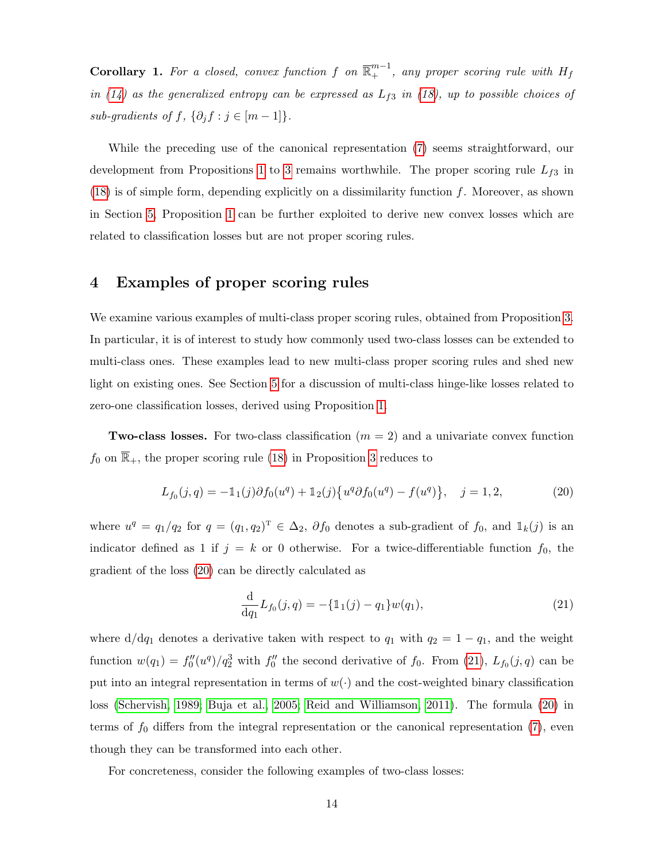**Corollary 1.** For a closed, convex function f on  $\overline{\mathbb{R}}^{m-1}$ , any proper scoring rule with  $H_f$ in [\(14\)](#page-10-0) as the generalized entropy can be expressed as  $L_{f3}$  in [\(18\)](#page-13-2), up to possible choices of sub-gradients of f,  $\{\partial_j f : j \in [m-1]\}.$ 

While the preceding use of the canonical representation [\(7\)](#page-7-0) seems straightforward, our development from Propositions [1](#page-11-0) to [3](#page-13-0) remains worthwhile. The proper scoring rule  $L_{f3}$  in  $(18)$  is of simple form, depending explicitly on a dissimilarity function f. Moreover, as shown in Section [5,](#page-18-0) Proposition [1](#page-11-0) can be further exploited to derive new convex losses which are related to classification losses but are not proper scoring rules.

# <span id="page-14-0"></span>4 Examples of proper scoring rules

We examine various examples of multi-class proper scoring rules, obtained from Proposition [3.](#page-13-0) In particular, it is of interest to study how commonly used two-class losses can be extended to multi-class ones. These examples lead to new multi-class proper scoring rules and shed new light on existing ones. See Section [5](#page-18-0) for a discussion of multi-class hinge-like losses related to zero-one classification losses, derived using Proposition [1.](#page-11-0)

**Two-class losses.** For two-class classification  $(m = 2)$  and a univariate convex function  $f_0$  on  $\overline{\mathbb{R}}_+$ , the proper scoring rule [\(18\)](#page-13-2) in Proposition [3](#page-13-0) reduces to

$$
L_{f_0}(j,q) = -\mathbb{1}_1(j)\partial f_0(u^q) + \mathbb{1}_2(j)\{u^q\partial f_0(u^q) - f(u^q)\}, \quad j = 1,2,
$$
\n(20)

where  $u^q = q_1/q_2$  for  $q = (q_1, q_2)^T \in \Delta_2$ ,  $\partial f_0$  denotes a sub-gradient of  $f_0$ , and  $\mathbb{1}_k(j)$  is an indicator defined as 1 if  $j = k$  or 0 otherwise. For a twice-differentiable function  $f_0$ , the gradient of the loss [\(20\)](#page-14-1) can be directly calculated as

<span id="page-14-2"></span><span id="page-14-1"></span>
$$
\frac{\mathrm{d}}{\mathrm{d}q_1} L_{f_0}(j,q) = -\{\mathbb{1}_1(j) - q_1\} w(q_1),\tag{21}
$$

where  $d/dq_1$  denotes a derivative taken with respect to  $q_1$  with  $q_2 = 1 - q_1$ , and the weight function  $w(q_1) = f_0''(u^q)/q_2^3$  with  $f_0''$  the second derivative of  $f_0$ . From [\(21\)](#page-14-2),  $L_{f_0}(j,q)$  can be put into an integral representation in terms of  $w(\cdot)$  and the cost-weighted binary classification loss [\(Schervish, 1989;](#page-40-8) [Buja et al., 2005;](#page-38-1) [Reid and Williamson, 2011\)](#page-39-7). The formula [\(20\)](#page-14-1) in terms of  $f_0$  differs from the integral representation or the canonical representation [\(7\)](#page-7-0), even though they can be transformed into each other.

For concreteness, consider the following examples of two-class losses: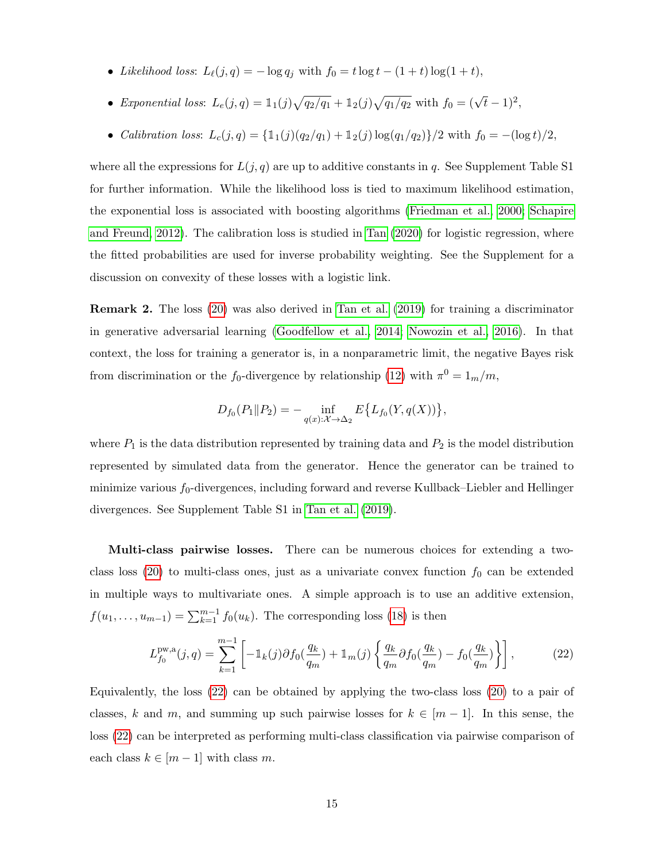- Likelihood loss:  $L_{\ell}(j, q) = -\log q_j$  with  $f_0 = t \log t (1 + t) \log(1 + t)$ ,
- Exponential loss:  $L_e(j, q) = 1_1(j)\sqrt{q_2/q_1} + 1_2(j)\sqrt{q_1/q_2}$  with  $f_0 = (\sqrt{t} 1)^2$ ,
- Calibration loss:  $L_c(j, q) = {\mathbb{1}(j)(q_2/q_1) + \mathbb{1}_2(j) \log(q_1/q_2)}$ /2 with  $f_0 = -(\log t)/2$ ,

where all the expressions for  $L(j, q)$  are up to additive constants in q. See Supplement Table S1 for further information. While the likelihood loss is tied to maximum likelihood estimation, the exponential loss is associated with boosting algorithms [\(Friedman et al., 2000;](#page-38-10) [Schapire](#page-40-9) [and Freund, 2012\)](#page-40-9). The calibration loss is studied in [Tan](#page-40-10) [\(2020\)](#page-40-10) for logistic regression, where the fitted probabilities are used for inverse probability weighting. See the Supplement for a discussion on convexity of these losses with a logistic link.

Remark 2. The loss [\(20\)](#page-14-1) was also derived in [Tan et al.](#page-40-11) [\(2019\)](#page-40-11) for training a discriminator in generative adversarial learning [\(Goodfellow et al., 2014;](#page-39-10) [Nowozin et al., 2016\)](#page-39-11). In that context, the loss for training a generator is, in a nonparametric limit, the negative Bayes risk from discrimination or the  $f_0$ -divergence by relationship [\(12\)](#page-9-1) with  $\pi^0 = \frac{1}{m}}/m$ ,

$$
D_{f_0}(P_1 \| P_2) = - \inf_{q(x): \mathcal{X} \to \Delta_2} E\{L_{f_0}(Y, q(X))\},\,
$$

where  $P_1$  is the data distribution represented by training data and  $P_2$  is the model distribution represented by simulated data from the generator. Hence the generator can be trained to minimize various  $f_0$ -divergences, including forward and reverse Kullback–Liebler and Hellinger divergences. See Supplement Table S1 in [Tan et al.](#page-40-11) [\(2019\)](#page-40-11).

Multi-class pairwise losses. There can be numerous choices for extending a two-class loss [\(20\)](#page-14-1) to multi-class ones, just as a univariate convex function  $f_0$  can be extended in multiple ways to multivariate ones. A simple approach is to use an additive extension,  $f(u_1, \ldots, u_{m-1}) = \sum_{k=1}^{m-1} f_0(u_k)$ . The corresponding loss [\(18\)](#page-13-2) is then

<span id="page-15-0"></span>
$$
L_{f_0}^{\text{pw},\text{a}}(j,q) = \sum_{k=1}^{m-1} \left[ -\mathbb{1}_k(j)\partial f_0(\frac{q_k}{q_m}) + \mathbb{1}_m(j) \left\{ \frac{q_k}{q_m} \partial f_0(\frac{q_k}{q_m}) - f_0(\frac{q_k}{q_m}) \right\} \right],\tag{22}
$$

Equivalently, the loss [\(22\)](#page-15-0) can be obtained by applying the two-class loss [\(20\)](#page-14-1) to a pair of classes, k and m, and summing up such pairwise losses for  $k \in [m-1]$ . In this sense, the loss [\(22\)](#page-15-0) can be interpreted as performing multi-class classification via pairwise comparison of each class  $k \in [m-1]$  with class m.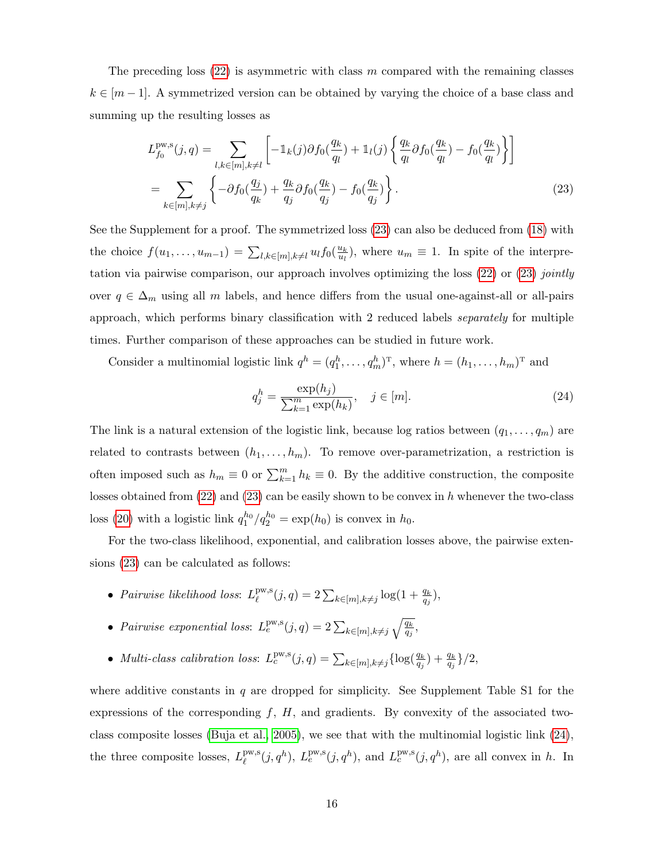The preceding loss  $(22)$  is asymmetric with class m compared with the remaining classes  $k \in [m-1]$ . A symmetrized version can be obtained by varying the choice of a base class and summing up the resulting losses as

$$
L_{f_0}^{\text{pw},\text{s}}(j,q) = \sum_{l,k \in [m], k \neq l} \left[ -\mathbb{1}_k(j)\partial f_0(\frac{q_k}{q_l}) + \mathbb{1}_l(j) \left\{ \frac{q_k}{q_l} \partial f_0(\frac{q_k}{q_l}) - f_0(\frac{q_k}{q_l}) \right\} \right]
$$
  
= 
$$
\sum_{k \in [m], k \neq j} \left\{ -\partial f_0(\frac{q_j}{q_k}) + \frac{q_k}{q_j} \partial f_0(\frac{q_k}{q_j}) - f_0(\frac{q_k}{q_j}) \right\}.
$$
 (23)

See the Supplement for a proof. The symmetrized loss [\(23\)](#page-16-0) can also be deduced from [\(18\)](#page-13-2) with the choice  $f(u_1, \ldots, u_{m-1}) = \sum_{l,k \in [m], k \neq l} u_l f_0(\frac{u_k}{u_l})$  $\frac{u_k}{u_l}$ , where  $u_m \equiv 1$ . In spite of the interpretation via pairwise comparison, our approach involves optimizing the loss  $(22)$  or  $(23)$  jointly over  $q \in \Delta_m$  using all m labels, and hence differs from the usual one-against-all or all-pairs approach, which performs binary classification with 2 reduced labels separately for multiple times. Further comparison of these approaches can be studied in future work.

Consider a multinomial logistic link  $q^h = (q_1^h, \ldots, q_m^h)^T$ , where  $h = (h_1, \ldots, h_m)^T$  and

<span id="page-16-1"></span><span id="page-16-0"></span>
$$
q_j^h = \frac{\exp(h_j)}{\sum_{k=1}^m \exp(h_k)}, \quad j \in [m].
$$
\n(24)

The link is a natural extension of the logistic link, because log ratios between  $(q_1, \ldots, q_m)$  are related to contrasts between  $(h_1, \ldots, h_m)$ . To remove over-parametrization, a restriction is often imposed such as  $h_m \equiv 0$  or  $\sum_{k=1}^m h_k \equiv 0$ . By the additive construction, the composite losses obtained from  $(22)$  and  $(23)$  can be easily shown to be convex in h whenever the two-class loss [\(20\)](#page-14-1) with a logistic link  $q_1^{h_0}/q_2^{h_0} = \exp(h_0)$  is convex in  $h_0$ .

For the two-class likelihood, exponential, and calibration losses above, the pairwise extensions [\(23\)](#page-16-0) can be calculated as follows:

- Pairwise likelihood loss:  $L_{\ell}^{\text{pw},\text{s}}$  $L_{\ell}^{\text{pw},\text{s}}(j,q) = 2\sum_{k \in [m], k \neq j} \log(1 + \frac{q_k}{q_j}),$
- Pairwise exponential loss:  $L_e^{\text{pw},\text{s}}(j,q) = 2\sum_{k \in [m], k \neq j} \sqrt{\frac{q_k}{q_j}}$ ,
- Multi-class calibration loss:  $L_c^{\text{pw},\text{s}}(j,q) = \sum_{k \in [m], k \neq j} \{ \log(\frac{q_k}{q_j}) + \frac{q_k}{q_j} \}/2$ ,

where additive constants in  $q$  are dropped for simplicity. See Supplement Table S1 for the expressions of the corresponding  $f, H$ , and gradients. By convexity of the associated twoclass composite losses [\(Buja et al., 2005\)](#page-38-1), we see that with the multinomial logistic link [\(24\)](#page-16-1), the three composite losses,  $L_{\ell}^{\text{pw},\text{s}}$  $L_{\ell}^{\text{pw},\text{s}}(j,q^h), L_{e}^{\text{pw},\text{s}}(j,q^h), \text{ and } L_{c}^{\text{pw},\text{s}}(j,q^h), \text{ are all convex in } h.$  In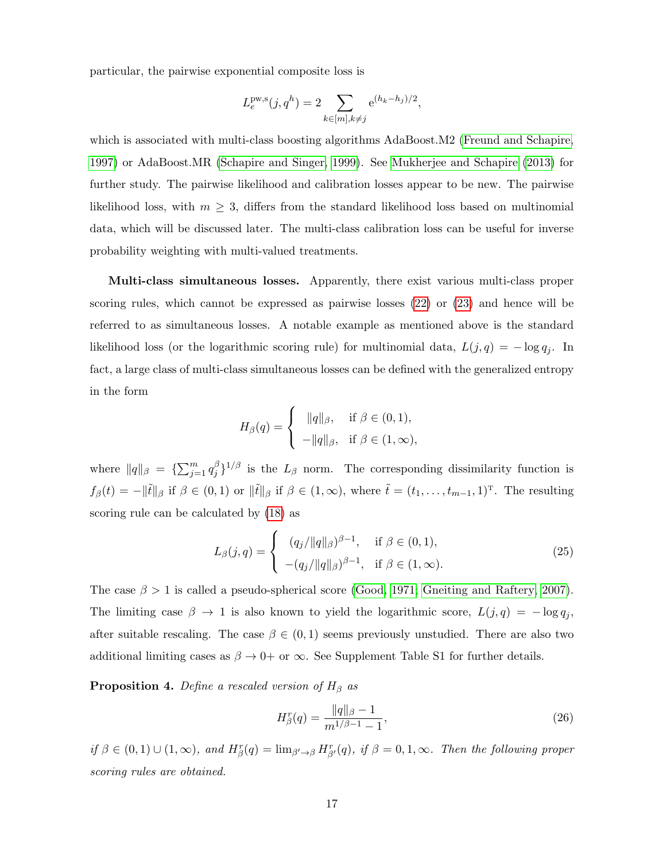particular, the pairwise exponential composite loss is

$$
L_e^{\text{pw},\text{s}}(j,q^h) = 2 \sum_{k \in [m], k \neq j} e^{(h_k - h_j)/2},
$$

which is associated with multi-class boosting algorithms AdaBoost.M2 [\(Freund and Schapire,](#page-38-11) [1997\)](#page-38-11) or AdaBoost.MR [\(Schapire and Singer, 1999\)](#page-40-12). See [Mukherjee and Schapire](#page-39-2) [\(2013\)](#page-39-2) for further study. The pairwise likelihood and calibration losses appear to be new. The pairwise likelihood loss, with  $m \geq 3$ , differs from the standard likelihood loss based on multinomial data, which will be discussed later. The multi-class calibration loss can be useful for inverse probability weighting with multi-valued treatments.

Multi-class simultaneous losses. Apparently, there exist various multi-class proper scoring rules, which cannot be expressed as pairwise losses [\(22\)](#page-15-0) or [\(23\)](#page-16-0) and hence will be referred to as simultaneous losses. A notable example as mentioned above is the standard likelihood loss (or the logarithmic scoring rule) for multinomial data,  $L(j, q) = -\log q_j$ . In fact, a large class of multi-class simultaneous losses can be defined with the generalized entropy in the form

$$
H_{\beta}(q) = \begin{cases} & \|q\|_{\beta}, \quad \text{if } \beta \in (0,1), \\ & -\|q\|_{\beta}, \quad \text{if } \beta \in (1,\infty), \end{cases}
$$

where  $||q||_{\beta} = {\sum_{j=1}^{m} q_j^{\beta}}$  $j_j^{\beta}$ <sup>1/β</sup> is the  $L_\beta$  norm. The corresponding dissimilarity function is  $f_{\beta}(t) = -\|\tilde{t}\|_{\beta}$  if  $\beta \in (0,1)$  or  $\|\tilde{t}\|_{\beta}$  if  $\beta \in (1,\infty)$ , where  $\tilde{t} = (t_1,\ldots,t_{m-1},1)^{\mathrm{T}}$ . The resulting scoring rule can be calculated by [\(18\)](#page-13-2) as

$$
L_{\beta}(j,q) = \begin{cases} (q_j/\|q\|_{\beta})^{\beta-1}, & \text{if } \beta \in (0,1), \\ -(q_j/\|q\|_{\beta})^{\beta-1}, & \text{if } \beta \in (1,\infty). \end{cases}
$$
 (25)

The case  $\beta > 1$  is called a pseudo-spherical score [\(Good, 1971;](#page-39-12) [Gneiting and Raftery, 2007\)](#page-38-6). The limiting case  $\beta \to 1$  is also known to yield the logarithmic score,  $L(j, q) = -\log q_j$ , after suitable rescaling. The case  $\beta \in (0,1)$  seems previously unstudied. There are also two additional limiting cases as  $\beta \to 0^+$  or  $\infty$ . See Supplement Table S1 for further details.

<span id="page-17-1"></span>**Proposition 4.** Define a rescaled version of  $H_\beta$  as

<span id="page-17-2"></span><span id="page-17-0"></span>
$$
H_{\beta}^{r}(q) = \frac{\|q\|_{\beta} - 1}{m^{1/\beta - 1} - 1},\tag{26}
$$

if  $\beta \in (0,1) \cup (1,\infty)$ , and  $H^r_{\beta}(q) = \lim_{\beta' \to \beta} H^r_{\beta}(q)$ , if  $\beta = 0,1,\infty$ . Then the following proper scoring rules are obtained.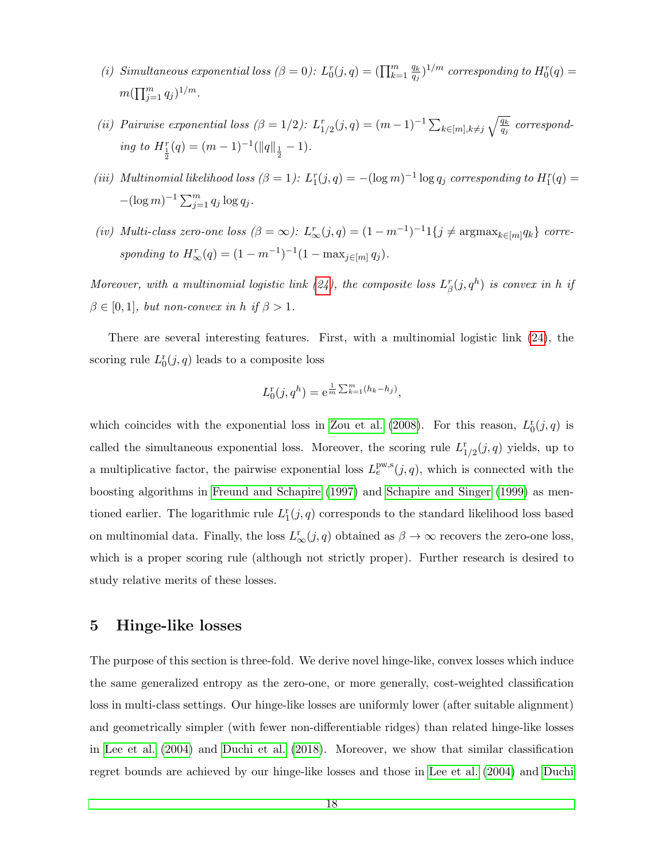- (i) Simultaneous exponential loss  $(\beta = 0)$ :  $L_0^r(j, q) = (\prod_{k=1}^m \frac{q_k}{q_i})$  $\frac{q_k}{q_j})^{1/m}$  corresponding to  $H^r_0(q)=0$  $m(\prod_{j=1}^m q_j)^{1/m}.$
- (ii) Pairwise exponential loss  $(\beta = 1/2)$ :  $L_{1/2}^r(j,q) = (m-1)^{-1} \sum_{k \in [m], k \neq j} \sqrt{\frac{q_k}{q_j}}$  corresponding to  $H_{\frac{1}{2}}^r(q) = (m-1)^{-1}(\|q\|_{\frac{1}{2}} - 1).$
- (iii) Multinomial likelihood loss  $(\beta = 1)$ :  $L_1^r(j,q) = -(\log m)^{-1} \log q_j$  corresponding to  $H_1^r(q) =$  $-(\log m)^{-1} \sum_{j=1}^{m} q_j \log q_j$ .
- (iv) Multi-class zero-one loss  $(\beta = \infty)$ :  $L^r_{\infty}(j, q) = (1 m^{-1})^{-1} \mathbb{1}\{j \neq \text{argmax}_{k \in [m]} q_k\}$  corresponding to  $H_{\infty}^r(q) = (1 - m^{-1})^{-1} (1 - \max_{j \in [m]} q_j).$

Moreover, with a multinomial logistic link [\(24\)](#page-16-1), the composite loss  $L^r_\beta(j, q^h)$  is convex in h if  $\beta \in [0, 1]$ , but non-convex in h if  $\beta > 1$ .

There are several interesting features. First, with a multinomial logistic link [\(24\)](#page-16-1), the scoring rule  $L_0^r(j, q)$  leads to a composite loss

$$
L_0^{\rm r}(j, q^h) = e^{\frac{1}{m} \sum_{k=1}^m (h_k - h_j)},
$$

which coincides with the exponential loss in [Zou et al.](#page-40-1) [\(2008\)](#page-40-1). For this reason,  $L_0^r(j, q)$  is called the simultaneous exponential loss. Moreover, the scoring rule  $L_{1/2}^{r}(j,q)$  yields, up to a multiplicative factor, the pairwise exponential loss  $L_e^{\text{pw},\text{s}}(j,q)$ , which is connected with the boosting algorithms in [Freund and Schapire](#page-38-11) [\(1997\)](#page-38-11) and [Schapire and Singer](#page-40-12) [\(1999\)](#page-40-12) as mentioned earlier. The logarithmic rule  $L_1^r(j, q)$  corresponds to the standard likelihood loss based on multinomial data. Finally, the loss  $L^r_\infty(j,q)$  obtained as  $\beta \to \infty$  recovers the zero-one loss, which is a proper scoring rule (although not strictly proper). Further research is desired to study relative merits of these losses.

# <span id="page-18-0"></span>5 Hinge-like losses

The purpose of this section is three-fold. We derive novel hinge-like, convex losses which induce the same generalized entropy as the zero-one, or more generally, cost-weighted classification loss in multi-class settings. Our hinge-like losses are uniformly lower (after suitable alignment) and geometrically simpler (with fewer non-differentiable ridges) than related hinge-like losses in [Lee et al.](#page-39-4) [\(2004\)](#page-39-4) and [Duchi et al.](#page-38-3) [\(2018\)](#page-38-3). Moreover, we show that similar classification regret bounds are achieved by our hinge-like losses and those in [Lee et al.](#page-39-4) [\(2004\)](#page-39-4) and [Duchi](#page-38-3)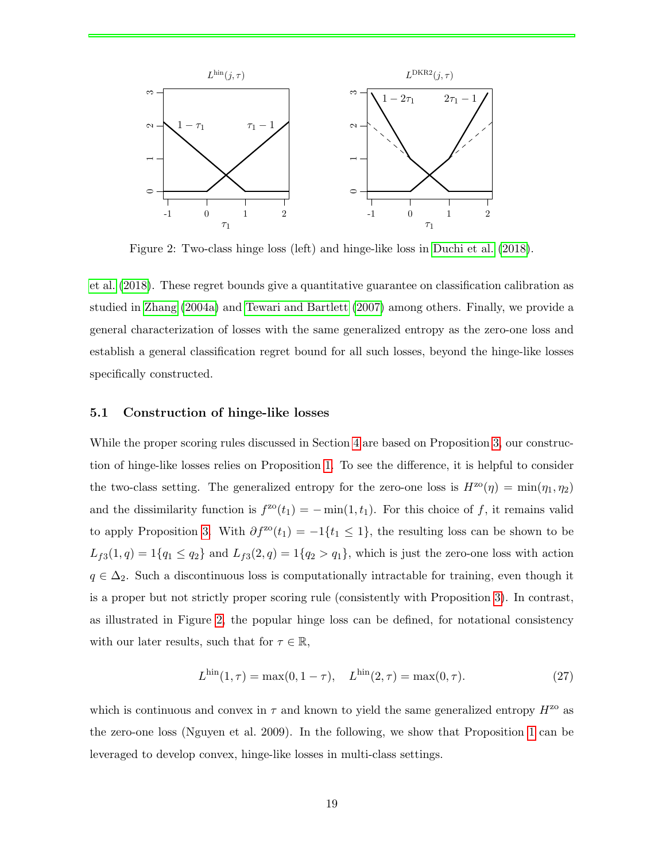

<span id="page-19-0"></span>Figure 2: Two-class hinge loss (left) and hinge-like loss in [Duchi et al.](#page-38-3) [\(2018\)](#page-38-3).

[et al.](#page-38-3) [\(2018\)](#page-38-3). These regret bounds give a quantitative guarantee on classification calibration as studied in [Zhang](#page-40-4) [\(2004a\)](#page-40-4) and [Tewari and Bartlett](#page-40-5) [\(2007\)](#page-40-5) among others. Finally, we provide a general characterization of losses with the same generalized entropy as the zero-one loss and establish a general classification regret bound for all such losses, beyond the hinge-like losses specifically constructed.

#### <span id="page-19-2"></span>5.1 Construction of hinge-like losses

While the proper scoring rules discussed in Section [4](#page-14-0) are based on Proposition [3,](#page-13-0) our construction of hinge-like losses relies on Proposition [1.](#page-11-0) To see the difference, it is helpful to consider the two-class setting. The generalized entropy for the zero-one loss is  $H^{z\alpha}(\eta) = \min(\eta_1, \eta_2)$ and the dissimilarity function is  $f^{z0}(t_1) = -\min(1, t_1)$ . For this choice of f, it remains valid to apply Proposition [3.](#page-13-0) With  $\partial f^{\text{zo}}(t_1) = -1\{t_1 \leq 1\}$ , the resulting loss can be shown to be  $L_{f3}(1,q) = 1\{q_1 \leq q_2\}$  and  $L_{f3}(2,q) = 1\{q_2 > q_1\}$ , which is just the zero-one loss with action  $q \in \Delta_2$ . Such a discontinuous loss is computationally intractable for training, even though it is a proper but not strictly proper scoring rule (consistently with Proposition [3\)](#page-13-0). In contrast, as illustrated in Figure [2,](#page-19-0) the popular hinge loss can be defined, for notational consistency with our later results, such that for  $\tau \in \mathbb{R}$ ,

<span id="page-19-1"></span>
$$
L^{\text{hin}}(1,\tau) = \max(0, 1 - \tau), \quad L^{\text{hin}}(2,\tau) = \max(0,\tau). \tag{27}
$$

which is continuous and convex in  $\tau$  and known to yield the same generalized entropy  $H^{z_0}$  as the zero-one loss (Nguyen et al. 2009). In the following, we show that Proposition [1](#page-11-0) can be leveraged to develop convex, hinge-like losses in multi-class settings.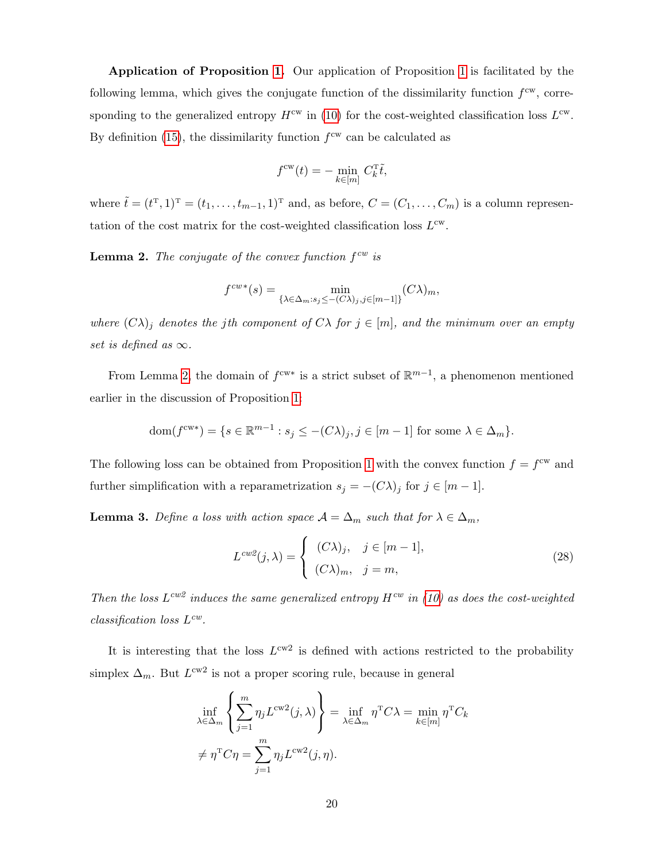Application of Proposition [1.](#page-11-0) Our application of Proposition [1](#page-11-0) is facilitated by the following lemma, which gives the conjugate function of the dissimilarity function  $f<sup>cw</sup>$ , corresponding to the generalized entropy  $H^{\text{cw}}$  in [\(10\)](#page-8-1) for the cost-weighted classification loss  $L^{\text{cw}}$ . By definition [\(15\)](#page-10-1), the dissimilarity function  $f<sup>cw</sup>$  can be calculated as

$$
f^{\text{cw}}(t) = -\min_{k \in [m]} C_k^{\text{T}} \tilde{t},
$$

where  $\tilde{t} = (t^{\mathrm{T}}, 1)^{\mathrm{T}} = (t_1, \ldots, t_{m-1}, 1)^{\mathrm{T}}$  and, as before,  $C = (C_1, \ldots, C_m)$  is a column representation of the cost matrix for the cost-weighted classification loss  $L^{\text{cw}}$ .

<span id="page-20-1"></span>**Lemma 2.** The conjugate of the convex function  $f^{cw}$  is

$$
f^{cw*}(s) = \min_{\{\lambda \in \Delta_m : s_j \le -(C\lambda)_j, j \in [m-1]\}} (C\lambda)_m,
$$

where  $(C\lambda)_j$  denotes the jth component of  $C\lambda$  for  $j \in [m]$ , and the minimum over an empty set is defined as  $\infty$ .

From Lemma [2,](#page-20-1) the domain of  $f^{cw*}$  is a strict subset of  $\mathbb{R}^{m-1}$ , a phenomenon mentioned earlier in the discussion of Proposition [1:](#page-11-0)

dom
$$
(f^{cw*})
$$
 = { $s \in \mathbb{R}^{m-1}$  :  $s_j \le -(C\lambda)_j$ ,  $j \in [m-1]$  for some  $\lambda \in \Delta_m$  }.

The following loss can be obtained from Proposition [1](#page-11-0) with the convex function  $f = f^{\text{cw}}$  and further simplification with a reparametrization  $s_j = -(C\lambda)_j$  for  $j \in [m-1]$ .

<span id="page-20-0"></span>**Lemma 3.** Define a loss with action space  $A = \Delta_m$  such that for  $\lambda \in \Delta_m$ ,

<span id="page-20-2"></span>
$$
L^{cw2}(j,\lambda) = \begin{cases} (C\lambda)_j, & j \in [m-1], \\ (C\lambda)_m, & j = m, \end{cases}
$$
 (28)

Then the loss  $L^{cw2}$  induces the same generalized entropy  $H^{cw}$  in [\(10\)](#page-8-1) as does the cost-weighted  $classification$  loss  $L^{cw}$ .

It is interesting that the loss  $L^{\text{cw2}}$  is defined with actions restricted to the probability simplex  $\Delta_m$ . But  $L^{\text{cw2}}$  is not a proper scoring rule, because in general

$$
\inf_{\lambda \in \Delta_m} \left\{ \sum_{j=1}^m \eta_j L^{\text{cw2}}(j, \lambda) \right\} = \inf_{\lambda \in \Delta_m} \eta^{\text{T}} C \lambda = \min_{k \in [m]} \eta^{\text{T}} C_k
$$
  

$$
\neq \eta^{\text{T}} C \eta = \sum_{j=1}^m \eta_j L^{\text{cw2}}(j, \eta).
$$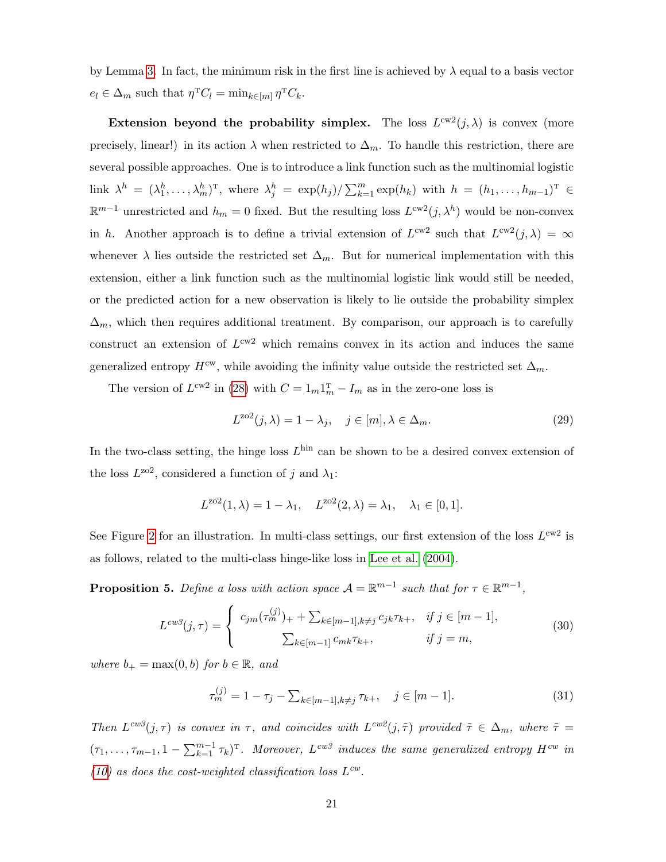by Lemma [3.](#page-20-0) In fact, the minimum risk in the first line is achieved by  $\lambda$  equal to a basis vector  $e_l \in \Delta_m$  such that  $\eta^T C_l = \min_{k \in [m]} \eta^T C_k$ .

Extension beyond the probability simplex. The loss  $L^{cw2}(j,\lambda)$  is convex (more precisely, linear!) in its action  $\lambda$  when restricted to  $\Delta_m$ . To handle this restriction, there are several possible approaches. One is to introduce a link function such as the multinomial logistic link  $\lambda^h = (\lambda_1^h, \ldots, \lambda_m^h)^T$ , where  $\lambda_j^h = \exp(h_j) / \sum_{k=1}^m \exp(h_k)$  with  $h = (h_1, \ldots, h_{m-1})^T$  $\mathbb{R}^{m-1}$  unrestricted and  $h_m = 0$  fixed. But the resulting loss  $L^{cw2}(j, \lambda^h)$  would be non-convex in h. Another approach is to define a trivial extension of  $L^{cw2}$  such that  $L^{cw2}(j,\lambda) = \infty$ whenever  $\lambda$  lies outside the restricted set  $\Delta_m$ . But for numerical implementation with this extension, either a link function such as the multinomial logistic link would still be needed, or the predicted action for a new observation is likely to lie outside the probability simplex  $\Delta_m$ , which then requires additional treatment. By comparison, our approach is to carefully construct an extension of  $L^{cw2}$  which remains convex in its action and induces the same generalized entropy  $H^{cw}$ , while avoiding the infinity value outside the restricted set  $\Delta_m$ .

The version of  $L^{cw2}$  in [\(28\)](#page-20-2) with  $C = 1_m 1_m^T - I_m$  as in the zero-one loss is

<span id="page-21-1"></span>
$$
L^{202}(j,\lambda) = 1 - \lambda_j, \quad j \in [m], \lambda \in \Delta_m.
$$
\n(29)

In the two-class setting, the hinge loss  $L^{\text{hin}}$  can be shown to be a desired convex extension of the loss  $L^{202}$ , considered a function of j and  $\lambda_1$ :

$$
L^{202}(1,\lambda) = 1 - \lambda_1, \quad L^{202}(2,\lambda) = \lambda_1, \quad \lambda_1 \in [0,1].
$$

See Figure [2](#page-19-0) for an illustration. In multi-class settings, our first extension of the loss  $L^{cw2}$  is as follows, related to the multi-class hinge-like loss in [Lee et al.](#page-39-4) [\(2004\)](#page-39-4).

<span id="page-21-0"></span>**Proposition 5.** Define a loss with action space  $A = \mathbb{R}^{m-1}$  such that for  $\tau \in \mathbb{R}^{m-1}$ ,

$$
L^{cw3}(j,\tau) = \begin{cases} c_{jm}(\tau_m^{(j)})_+ + \sum_{k \in [m-1], k \neq j} c_{jk}\tau_{k+}, & \text{if } j \in [m-1],\\ \sum_{k \in [m-1]} c_{mk}\tau_{k+}, & \text{if } j = m,\end{cases}
$$
(30)

where  $b_+ = \max(0, b)$  for  $b \in \mathbb{R}$ , and

<span id="page-21-3"></span><span id="page-21-2"></span>
$$
\tau_m^{(j)} = 1 - \tau_j - \sum_{k \in [m-1], k \neq j} \tau_{k+}, \quad j \in [m-1]. \tag{31}
$$

Then  $L^{cw3}(j,\tau)$  is convex in  $\tau$ , and coincides with  $L^{cw2}(j,\tilde{\tau})$  provided  $\tilde{\tau} \in \Delta_m$ , where  $\tilde{\tau} =$  $(\tau_1,\ldots,\tau_{m-1},1-\sum_{k=1}^{m-1}\tau_k)^{\mathrm{\scriptscriptstyle T}}$ . Moreover,  $L^{cw3}$  induces the same generalized entropy  $H^{cw}$  in [\(10\)](#page-8-1) as does the cost-weighted classification loss  $L^{cw}$ .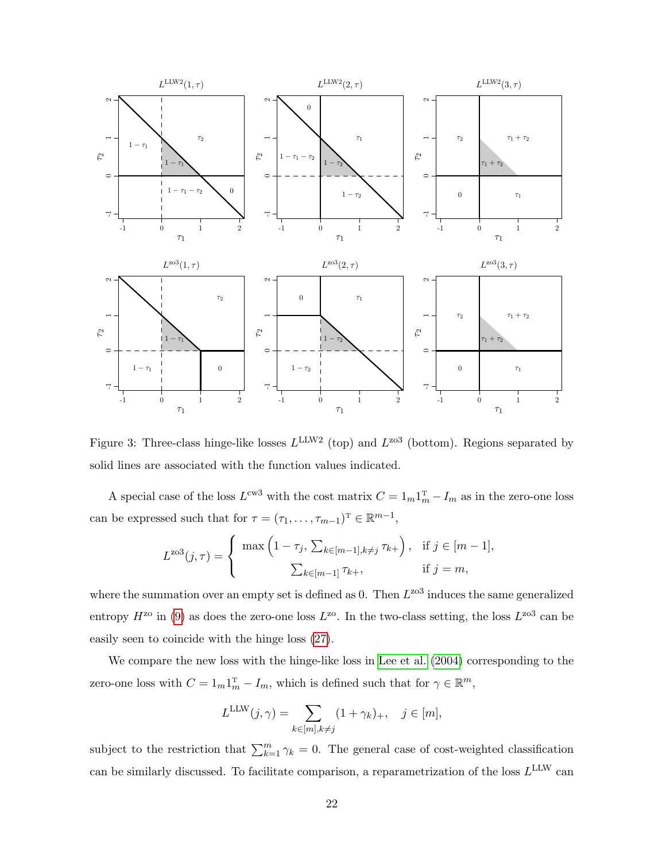

<span id="page-22-0"></span>Figure 3: Three-class hinge-like losses  $L^{\text{LLW2}}$  (top) and  $L^{\text{zo3}}$  (bottom). Regions separated by solid lines are associated with the function values indicated.

A special case of the loss  $L^{cw3}$  with the cost matrix  $C = 1_m 1_m^T - I_m$  as in the zero-one loss can be expressed such that for  $\tau = (\tau_1, \ldots, \tau_{m-1})^T \in \mathbb{R}^{m-1}$ ,

$$
L^{203}(j,\tau) = \begin{cases} \max\left(1 - \tau_j, \sum_{k \in [m-1], k \neq j} \tau_{k+}\right), & \text{if } j \in [m-1], \\ \sum_{k \in [m-1]} \tau_{k+}, & \text{if } j = m, \end{cases}
$$

where the summation over an empty set is defined as 0. Then  $L^{203}$  induces the same generalized entropy  $H^{z_0}$  in [\(9\)](#page-7-1) as does the zero-one loss  $L^{z_0}$ . In the two-class setting, the loss  $L^{z_0}$  can be easily seen to coincide with the hinge loss [\(27\)](#page-19-1).

We compare the new loss with the hinge-like loss in [Lee et al.](#page-39-4) [\(2004\)](#page-39-4) corresponding to the zero-one loss with  $C = 1_m 1_m^T - I_m$ , which is defined such that for  $\gamma \in \mathbb{R}^m$ ,

$$
L^{\text{LLW}}(j,\gamma) = \sum_{k \in [m], k \neq j} (1 + \gamma_k)_+, \quad j \in [m],
$$

subject to the restriction that  $\sum_{k=1}^{m} \gamma_k = 0$ . The general case of cost-weighted classification can be similarly discussed. To facilitate comparison, a reparametrization of the loss  $L^{\text{LLW}}$  can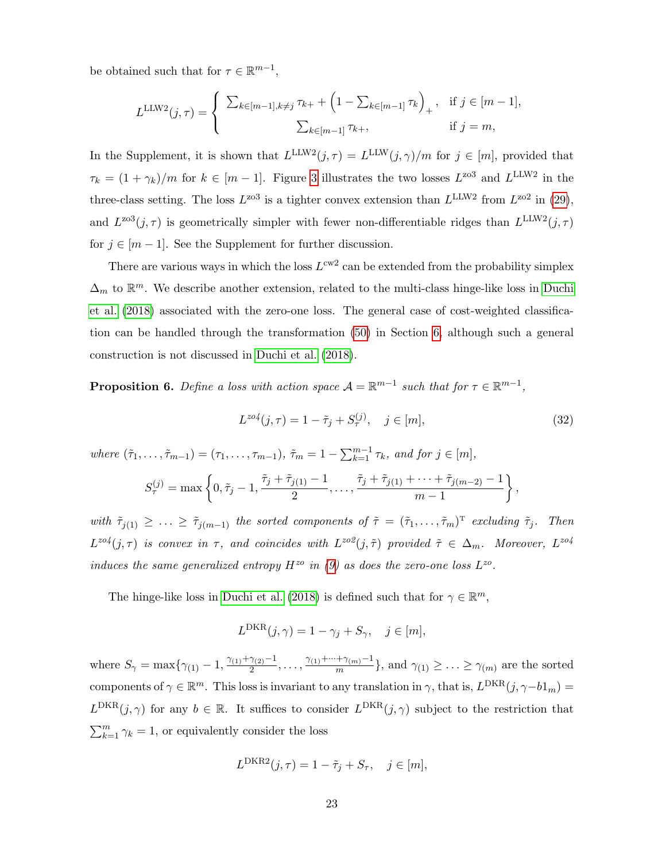be obtained such that for  $\tau \in \mathbb{R}^{m-1}$ ,

$$
L^{\text{LLW2}}(j,\tau) = \begin{cases} \sum_{k \in [m-1], k \neq j} \tau_{k+} + \left(1 - \sum_{k \in [m-1]} \tau_k\right)_+, & \text{if } j \in [m-1],\\ \sum_{k \in [m-1]} \tau_{k+}, & \text{if } j = m,\end{cases}
$$

In the Supplement, it is shown that  $L^{\text{LLW2}}(j, \tau) = L^{\text{LLW}}(j, \gamma)/m$  for  $j \in [m]$ , provided that  $\tau_k = (1 + \gamma_k)/m$  for  $k \in [m-1]$ . Figure [3](#page-22-0) illustrates the two losses  $L^{\text{zo3}}$  and  $L^{\text{LLW2}}$  in the three-class setting. The loss  $L^{203}$  is a tighter convex extension than  $L^{LLW2}$  from  $L^{202}$  in [\(29\)](#page-21-1), and  $L^{203}(j,\tau)$  is geometrically simpler with fewer non-differentiable ridges than  $L^{LLW2}(j,\tau)$ for  $j \in [m-1]$ . See the Supplement for further discussion.

There are various ways in which the loss  $L^{\text{cw2}}$  can be extended from the probability simplex  $\Delta_m$  to  $\mathbb{R}^m$ . We describe another extension, related to the multi-class hinge-like loss in [Duchi](#page-38-3) [et al.](#page-38-3) [\(2018\)](#page-38-3) associated with the zero-one loss. The general case of cost-weighted classification can be handled through the transformation [\(50\)](#page-34-1) in Section [6,](#page-29-0) although such a general construction is not discussed in [Duchi et al.](#page-38-3) [\(2018\)](#page-38-3).

<span id="page-23-0"></span>**Proposition 6.** Define a loss with action space  $A = \mathbb{R}^{m-1}$  such that for  $\tau \in \mathbb{R}^{m-1}$ ,

<span id="page-23-1"></span>
$$
L^{zo4}(j,\tau) = 1 - \tilde{\tau}_j + S^{(j)}_{\tau}, \quad j \in [m],
$$
\n(32)

where  $(\tilde{\tau}_1, \ldots, \tilde{\tau}_{m-1}) = (\tau_1, \ldots, \tau_{m-1}), \ \tilde{\tau}_m = 1 - \sum_{k=1}^{m-1} \tau_k$ , and for  $j \in [m],$ 

$$
S_{\tau}^{(j)} = \max \left\{0, \tilde{\tau}_j - 1, \frac{\tilde{\tau}_j + \tilde{\tau}_{j(1)} - 1}{2}, \dots, \frac{\tilde{\tau}_j + \tilde{\tau}_{j(1)} + \dots + \tilde{\tau}_{j(m-2)} - 1}{m-1}\right\},\,
$$

with  $\tilde{\tau}_{j(1)} \geq \ldots \geq \tilde{\tau}_{j(m-1)}$  the sorted components of  $\tilde{\tau} = (\tilde{\tau}_1, \ldots, \tilde{\tau}_m)^T$  excluding  $\tilde{\tau}_j$ . Then  $L^{zo4}(j,\tau)$  is convex in  $\tau$ , and coincides with  $L^{zo2}(j,\tilde{\tau})$  provided  $\tilde{\tau} \in \Delta_m$ . Moreover,  $L^{zo4}$ induces the same generalized entropy  $H^{zo}$  in [\(9\)](#page-7-1) as does the zero-one loss  $L^{zo}$ .

The hinge-like loss in [Duchi et al.](#page-38-3) [\(2018\)](#page-38-3) is defined such that for  $\gamma \in \mathbb{R}^m$ ,

$$
L^{\text{DKR}}(j,\gamma) = 1 - \gamma_j + S_{\gamma}, \quad j \in [m],
$$

where  $S_{\gamma} = \max\{\gamma_{(1)} - 1, \frac{\gamma_{(1)} + \gamma_{(2)} - 1}{2}\}$  $\frac{\gamma_{(2)}-1}{2}, \ldots, \frac{\gamma_{(1)}+\cdots+\gamma_{(m)}-1}{m}$  $\frac{\tau_{\gamma(m)}-1}{m}$ , and  $\gamma_{(1)} \geq \ldots \geq \gamma_{(m)}$  are the sorted components of  $\gamma \in \mathbb{R}^m$ . This loss is invariant to any translation in  $\gamma$ , that is,  $L^{DKR}(j, \gamma - b1_m) =$  $L^{DKR}(j,\gamma)$  for any  $b \in \mathbb{R}$ . It suffices to consider  $L^{DKR}(j,\gamma)$  subject to the restriction that  $\sum_{k=1}^{m} \gamma_k = 1$ , or equivalently consider the loss

$$
L^{\text{DKR2}}(j,\tau) = 1 - \tilde{\tau}_j + S_{\tau}, \quad j \in [m],
$$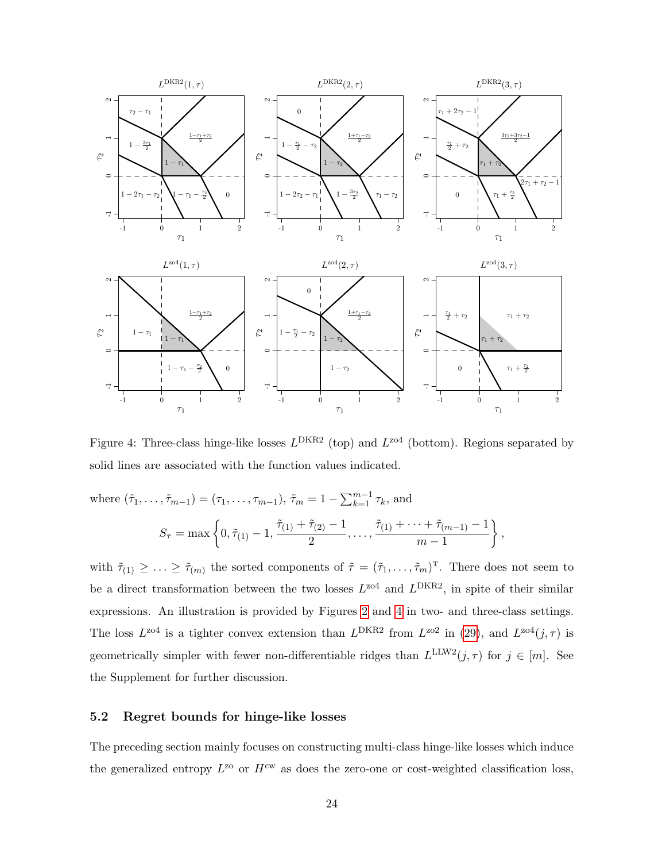

<span id="page-24-0"></span>Figure 4: Three-class hinge-like losses  $L^{DKR2}$  (top) and  $L^{zo4}$  (bottom). Regions separated by solid lines are associated with the function values indicated.

where 
$$
(\tilde{\tau}_1, ..., \tilde{\tau}_{m-1}) = (\tau_1, ..., \tau_{m-1}), \tilde{\tau}_m = 1 - \sum_{k=1}^{m-1} \tau_k
$$
, and  
\n
$$
S_{\tau} = \max \left\{ 0, \tilde{\tau}_{(1)} - 1, \frac{\tilde{\tau}_{(1)} + \tilde{\tau}_{(2)} - 1}{2}, \dots, \frac{\tilde{\tau}_{(1)} + \dots + \tilde{\tau}_{(m-1)} - 1}{m-1} \right\},
$$

with  $\tilde{\tau}_{(1)} \geq \ldots \geq \tilde{\tau}_{(m)}$  the sorted components of  $\tilde{\tau} = (\tilde{\tau}_1, \ldots, \tilde{\tau}_m)^{\mathrm{T}}$ . There does not seem to be a direct transformation between the two losses  $L^{204}$  and  $L^{DKR2}$ , in spite of their similar expressions. An illustration is provided by Figures [2](#page-19-0) and [4](#page-24-0) in two- and three-class settings. The loss  $L^{z04}$  is a tighter convex extension than  $L^{DKR2}$  from  $L^{z02}$  in [\(29\)](#page-21-1), and  $L^{z04}(j,\tau)$  is geometrically simpler with fewer non-differentiable ridges than  $L^{\text{LLW2}}(j, \tau)$  for  $j \in [m]$ . See the Supplement for further discussion.

#### <span id="page-24-1"></span>5.2 Regret bounds for hinge-like losses

The preceding section mainly focuses on constructing multi-class hinge-like losses which induce the generalized entropy  $L^{20}$  or  $H^{cw}$  as does the zero-one or cost-weighted classification loss,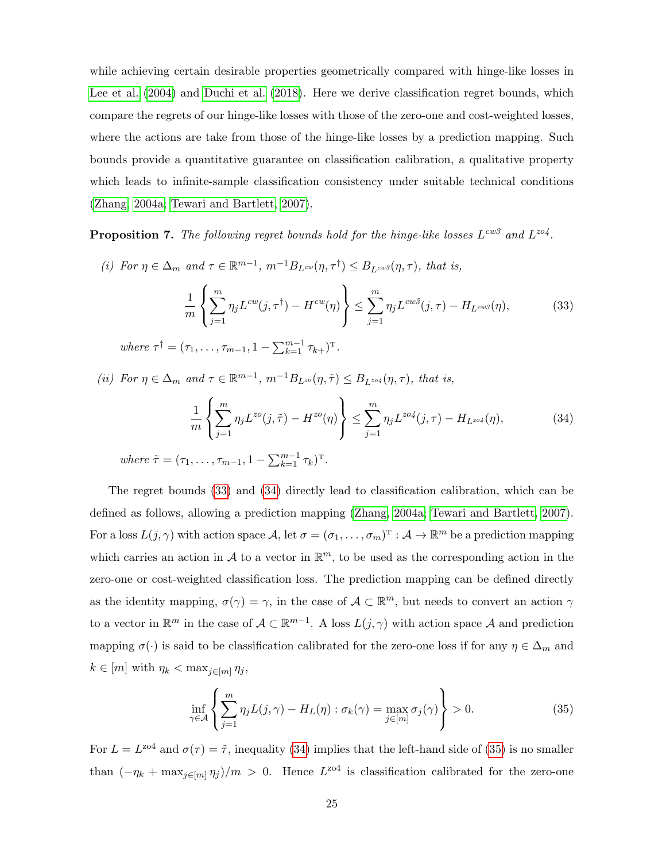while achieving certain desirable properties geometrically compared with hinge-like losses in [Lee et al.](#page-39-4) [\(2004\)](#page-39-4) and [Duchi et al.](#page-38-3) [\(2018\)](#page-38-3). Here we derive classification regret bounds, which compare the regrets of our hinge-like losses with those of the zero-one and cost-weighted losses, where the actions are take from those of the hinge-like losses by a prediction mapping. Such bounds provide a quantitative guarantee on classification calibration, a qualitative property which leads to infinite-sample classification consistency under suitable technical conditions [\(Zhang, 2004a;](#page-40-4) [Tewari and Bartlett, 2007\)](#page-40-5).

<span id="page-25-0"></span>**Proposition 7.** The following regret bounds hold for the hinge-like losses  $L^{cw3}$  and  $L^{zo4}$ .

(i) For  $\eta \in \Delta_m$  and  $\tau \in \mathbb{R}^{m-1}$ ,  $m^{-1}B_{L^{cw}}(\eta, \tau) \leq B_{L^{cw}}(\eta, \tau)$ , that is, 1 m  $\sqrt{ }$ J  $\mathcal{L}$  $\sum_{i=1}^{m}$  $j=1$  $\eta_j L^{cw}(j,\tau^\dagger) - H^{cw}(\eta)$  $\mathcal{L}$  $\mathcal{L}$ J  $\leq \sum_{n=1}^{m}$  $j=1$  $\eta_j L^{cw3}(j,\tau) - H_{L^{cw3}}(\eta),$  (33) where  $\tau^{\dagger} = (\tau_1, \ldots, \tau_{m-1}, 1 - \sum_{k=1}^{m-1} \tau_{k+})^{\mathrm{T}}$ .

(ii) For  $\eta \in \Delta_m$  and  $\tau \in \mathbb{R}^{m-1}$ ,  $m^{-1}B_{L^{z_o}}(\eta, \tilde{\tau}) \leq B_{L^{z_o}}(\eta, \tau)$ , that is,

<span id="page-25-2"></span><span id="page-25-1"></span>
$$
\frac{1}{m} \left\{ \sum_{j=1}^{m} \eta_j L^{zo}(j, \tilde{\tau}) - H^{zo}(\eta) \right\} \le \sum_{j=1}^{m} \eta_j L^{zo4}(j, \tau) - H_{L^{zo4}}(\eta), \tag{34}
$$

where  $\tilde{\tau} = (\tau_1, \ldots, \tau_{m-1}, 1 - \sum_{k=1}^{m-1} \tau_k)^{\mathrm{T}}$ .

The regret bounds [\(33\)](#page-25-1) and [\(34\)](#page-25-2) directly lead to classification calibration, which can be defined as follows, allowing a prediction mapping [\(Zhang, 2004a;](#page-40-4) [Tewari and Bartlett, 2007\)](#page-40-5). For a loss  $L(j, \gamma)$  with action space  $\mathcal{A}$ , let  $\sigma = (\sigma_1, \ldots, \sigma_m)^T : \mathcal{A} \to \mathbb{R}^m$  be a prediction mapping which carries an action in A to a vector in  $\mathbb{R}^m$ , to be used as the corresponding action in the zero-one or cost-weighted classification loss. The prediction mapping can be defined directly as the identity mapping,  $\sigma(\gamma) = \gamma$ , in the case of  $\mathcal{A} \subset \mathbb{R}^m$ , but needs to convert an action  $\gamma$ to a vector in  $\mathbb{R}^m$  in the case of  $\mathcal{A} \subset \mathbb{R}^{m-1}$ . A loss  $L(j,\gamma)$  with action space A and prediction mapping  $\sigma(\cdot)$  is said to be classification calibrated for the zero-one loss if for any  $\eta \in \Delta_m$  and  $k \in [m]$  with  $\eta_k < \max_{j \in [m]} \eta_j$ ,

<span id="page-25-3"></span>
$$
\inf_{\gamma \in \mathcal{A}} \left\{ \sum_{j=1}^{m} \eta_j L(j, \gamma) - H_L(\eta) : \sigma_k(\gamma) = \max_{j \in [m]} \sigma_j(\gamma) \right\} > 0.
$$
 (35)

For  $L = L^{\text{zo4}}$  and  $\sigma(\tau) = \tilde{\tau}$ , inequality [\(34\)](#page-25-2) implies that the left-hand side of [\(35\)](#page-25-3) is no smaller than  $(-\eta_k + \max_{j \in [m]} \eta_j)/m > 0$ . Hence  $L^{z04}$  is classification calibrated for the zero-one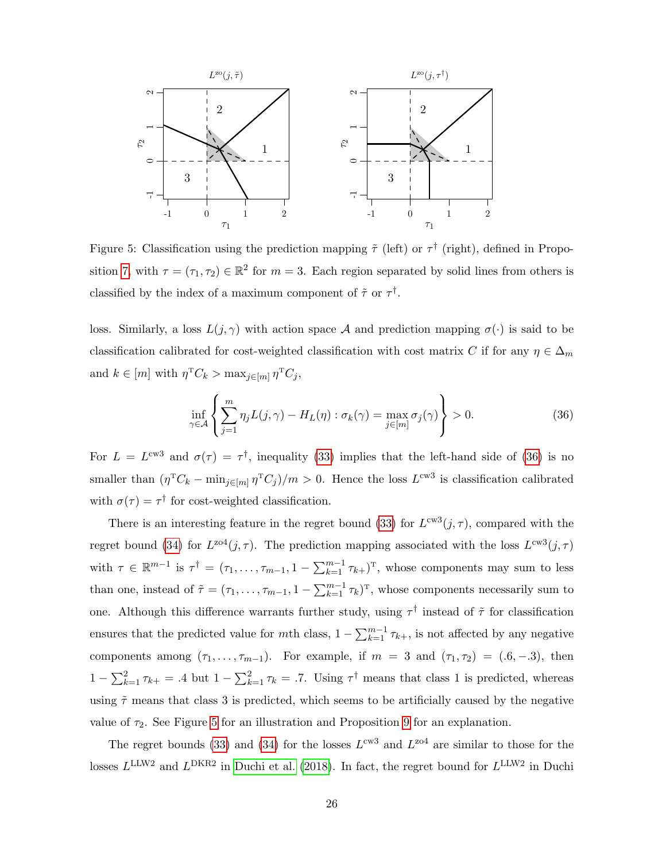

<span id="page-26-1"></span>Figure 5: Classification using the prediction mapping  $\tilde{\tau}$  (left) or  $\tau^{\dagger}$  (right), defined in Propo-sition [7,](#page-25-0) with  $\tau = (\tau_1, \tau_2) \in \mathbb{R}^2$  for  $m = 3$ . Each region separated by solid lines from others is classified by the index of a maximum component of  $\tilde{\tau}$  or  $\tau^{\dagger}$ .

loss. Similarly, a loss  $L(j, \gamma)$  with action space A and prediction mapping  $\sigma(\cdot)$  is said to be classification calibrated for cost-weighted classification with cost matrix C if for any  $\eta \in \Delta_m$ and  $k \in [m]$  with  $\eta^{\mathrm{T}} C_k > \max_{j \in [m]} \eta^{\mathrm{T}} C_j$ ,

<span id="page-26-0"></span>
$$
\inf_{\gamma \in \mathcal{A}} \left\{ \sum_{j=1}^{m} \eta_j L(j, \gamma) - H_L(\eta) : \sigma_k(\gamma) = \max_{j \in [m]} \sigma_j(\gamma) \right\} > 0.
$$
 (36)

For  $L = L^{cw3}$  and  $\sigma(\tau) = \tau^{\dagger}$ , inequality [\(33\)](#page-25-1) implies that the left-hand side of [\(36\)](#page-26-0) is no smaller than  $(\eta^T C_k - \min_{j \in [m]} \eta^T C_j)/m > 0$ . Hence the loss  $L^{cw3}$  is classification calibrated with  $\sigma(\tau) = \tau^{\dagger}$  for cost-weighted classification.

There is an interesting feature in the regret bound [\(33\)](#page-25-1) for  $L^{cw3}(j, \tau)$ , compared with the regret bound [\(34\)](#page-25-2) for  $L^{z04}(j, \tau)$ . The prediction mapping associated with the loss  $L^{cw3}(j, \tau)$ with  $\tau \in \mathbb{R}^{m-1}$  is  $\tau^{\dagger} = (\tau_1, \ldots, \tau_{m-1}, 1 - \sum_{k=1}^{m-1} \tau_{k+})^{\mathrm{T}}$ , whose components may sum to less than one, instead of  $\tilde{\tau} = (\tau_1, \ldots, \tau_{m-1}, 1 - \sum_{k=1}^{m-1} \tau_k)^T$ , whose components necessarily sum to one. Although this difference warrants further study, using  $\tau^{\dagger}$  instead of  $\tilde{\tau}$  for classification ensures that the predicted value for mth class,  $1 - \sum_{k=1}^{m-1} \tau_{k+}$ , is not affected by any negative components among  $(\tau_1, \ldots, \tau_{m-1})$ . For example, if  $m = 3$  and  $(\tau_1, \tau_2) = (.6, -.3)$ , then  $1 - \sum_{k=1}^{2} \tau_{k+} = .4$  but  $1 - \sum_{k=1}^{2} \tau_k = .7$ . Using  $\tau^{\dagger}$  means that class 1 is predicted, whereas using  $\tilde{\tau}$  means that class 3 is predicted, which seems to be artificially caused by the negative value of  $\tau_2$ . See Figure [5](#page-26-1) for an illustration and Proposition [9](#page-28-0) for an explanation.

The regret bounds [\(33\)](#page-25-1) and [\(34\)](#page-25-2) for the losses  $L^{\text{cw3}}$  and  $L^{\text{zo4}}$  are similar to those for the losses  $L^{\text{LLW2}}$  and  $L^{\text{DKR2}}$  in [Duchi et al.](#page-38-3) [\(2018\)](#page-38-3). In fact, the regret bound for  $L^{\text{LLW2}}$  in Duchi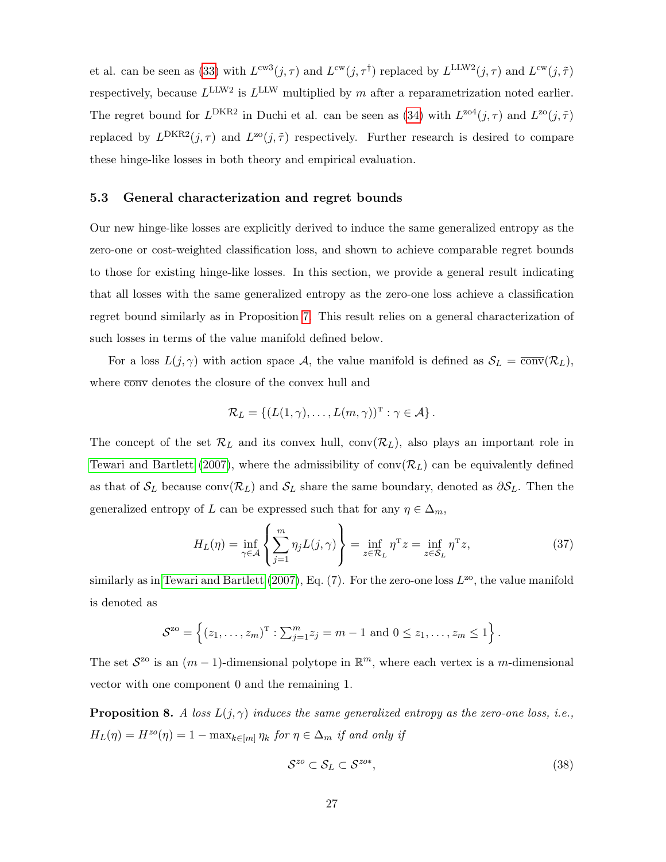et al. can be seen as [\(33\)](#page-25-1) with  $L^{cw}(j, \tau)$  and  $L^{cw}(j, \tau)$  replaced by  $L^{LLW2}(j, \tau)$  and  $L^{cw}(j, \tilde{\tau})$ respectively, because  $L^{\text{LLW2}}$  is  $L^{\text{LLW}}$  multiplied by m after a reparametrization noted earlier. The regret bound for  $L^{DKR2}$  in Duchi et al. can be seen as [\(34\)](#page-25-2) with  $L^{204}(j, \tau)$  and  $L^{20}(j, \tilde{\tau})$ replaced by  $L^{DKR2}(j,\tau)$  and  $L^{zo}(j,\tilde{\tau})$  respectively. Further research is desired to compare these hinge-like losses in both theory and empirical evaluation.

#### <span id="page-27-1"></span>5.3 General characterization and regret bounds

Our new hinge-like losses are explicitly derived to induce the same generalized entropy as the zero-one or cost-weighted classification loss, and shown to achieve comparable regret bounds to those for existing hinge-like losses. In this section, we provide a general result indicating that all losses with the same generalized entropy as the zero-one loss achieve a classification regret bound similarly as in Proposition [7.](#page-25-0) This result relies on a general characterization of such losses in terms of the value manifold defined below.

For a loss  $L(j, \gamma)$  with action space A, the value manifold is defined as  $S_L = \overline{conv}(\mathcal{R}_L)$ , where  $\overline{\text{conv}}$  denotes the closure of the convex hull and

<span id="page-27-3"></span>
$$
\mathcal{R}_L = \{ (L(1,\gamma), \ldots, L(m,\gamma))^{\mathrm{T}} : \gamma \in \mathcal{A} \}.
$$

The concept of the set  $\mathcal{R}_L$  and its convex hull, conv $(\mathcal{R}_L)$ , also plays an important role in [Tewari and Bartlett](#page-40-5) [\(2007\)](#page-40-5), where the admissibility of  $conv(\mathcal{R}_L)$  can be equivalently defined as that of  $\mathcal{S}_L$  because conv( $\mathcal{R}_L$ ) and  $\mathcal{S}_L$  share the same boundary, denoted as  $\partial \mathcal{S}_L$ . Then the generalized entropy of L can be expressed such that for any  $\eta \in \Delta_m$ ,

$$
H_L(\eta) = \inf_{\gamma \in \mathcal{A}} \left\{ \sum_{j=1}^m \eta_j L(j, \gamma) \right\} = \inf_{z \in \mathcal{R}_L} \eta^T z = \inf_{z \in \mathcal{S}_L} \eta^T z,
$$
 (37)

similarly as in [Tewari and Bartlett](#page-40-5) [\(2007\)](#page-40-5), Eq. (7). For the zero-one loss  $L^{20}$ , the value manifold is denoted as

$$
S^{z_0} = \left\{ (z_1, \ldots, z_m)^T : \sum_{j=1}^m z_j = m - 1 \text{ and } 0 \le z_1, \ldots, z_m \le 1 \right\}.
$$

The set  $S^{z_0}$  is an  $(m-1)$ -dimensional polytope in  $\mathbb{R}^m$ , where each vertex is a m-dimensional vector with one component 0 and the remaining 1.

<span id="page-27-0"></span>**Proposition 8.** A loss  $L(j, \gamma)$  induces the same generalized entropy as the zero-one loss, i.e.,  $H_L(\eta) = H^{zo}(\eta) = 1 - \max_{k \in [m]} \eta_k$  for  $\eta \in \Delta_m$  if and only if

<span id="page-27-2"></span>
$$
S^{zo} \subset S_L \subset S^{zo*},\tag{38}
$$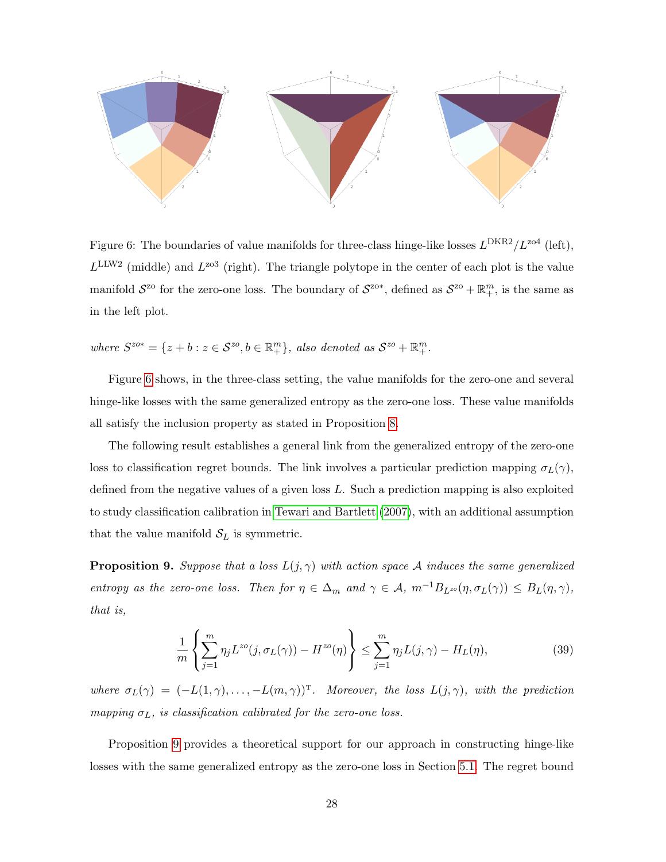

<span id="page-28-1"></span>Figure 6: The boundaries of value manifolds for three-class hinge-like losses  $L^{DKR2}/L^{zo4}$  (left),  $L^{\text{LLW2}}$  (middle) and  $L^{\text{zo3}}$  (right). The triangle polytope in the center of each plot is the value manifold  $S^{z_0}$  for the zero-one loss. The boundary of  $S^{z_0*}$ , defined as  $S^{z_0} + \mathbb{R}^m_+$ , is the same as in the left plot.

where  $S^{zo*} = \{z + b : z \in S^{zo}, b \in \mathbb{R}_+^m\}$ , also denoted as  $S^{zo} + \mathbb{R}_+^m$ .

Figure [6](#page-28-1) shows, in the three-class setting, the value manifolds for the zero-one and several hinge-like losses with the same generalized entropy as the zero-one loss. These value manifolds all satisfy the inclusion property as stated in Proposition [8.](#page-27-0)

The following result establishes a general link from the generalized entropy of the zero-one loss to classification regret bounds. The link involves a particular prediction mapping  $\sigma_L(\gamma)$ , defined from the negative values of a given loss L. Such a prediction mapping is also exploited to study classification calibration in [Tewari and Bartlett](#page-40-5) [\(2007\)](#page-40-5), with an additional assumption that the value manifold  $S_L$  is symmetric.

<span id="page-28-0"></span>**Proposition 9.** Suppose that a loss  $L(j, \gamma)$  with action space A induces the same generalized entropy as the zero-one loss. Then for  $\eta \in \Delta_m$  and  $\gamma \in \mathcal{A}$ ,  $m^{-1}B_{L^{z_o}}(\eta, \sigma_L(\gamma)) \le B_L(\eta, \gamma)$ , that is,

<span id="page-28-2"></span>
$$
\frac{1}{m}\left\{\sum_{j=1}^{m}\eta_j L^{zo}(j,\sigma_L(\gamma)) - H^{zo}(\eta)\right\} \le \sum_{j=1}^{m}\eta_j L(j,\gamma) - H_L(\eta),\tag{39}
$$

where  $\sigma_L(\gamma) = (-L(1,\gamma), \ldots, -L(m,\gamma))^T$ . Moreover, the loss  $L(j,\gamma)$ , with the prediction mapping  $\sigma_L$ , is classification calibrated for the zero-one loss.

Proposition [9](#page-28-0) provides a theoretical support for our approach in constructing hinge-like losses with the same generalized entropy as the zero-one loss in Section [5.1.](#page-19-2) The regret bound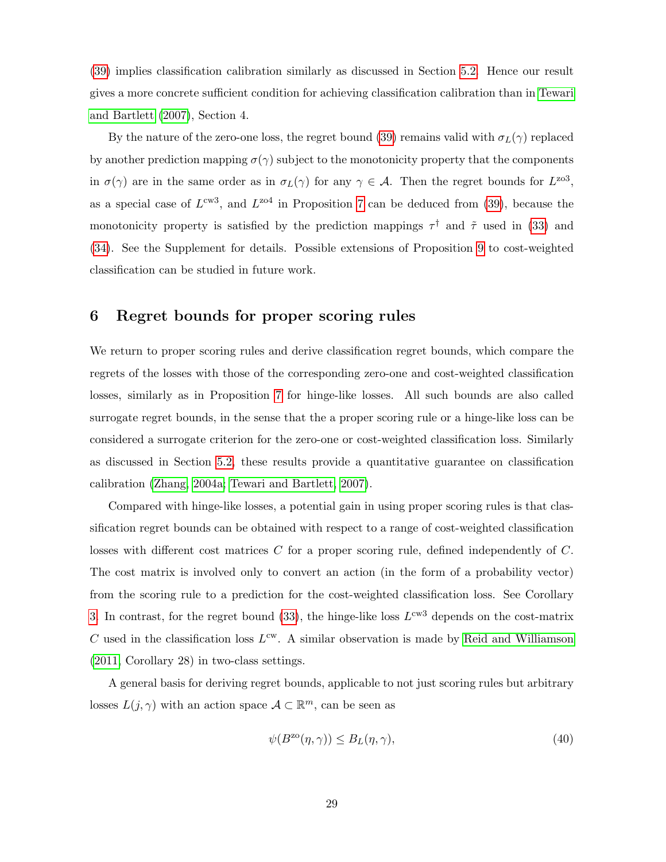[\(39\)](#page-28-2) implies classification calibration similarly as discussed in Section [5.2.](#page-24-1) Hence our result gives a more concrete sufficient condition for achieving classification calibration than in [Tewari](#page-40-5) [and Bartlett](#page-40-5) [\(2007\)](#page-40-5), Section 4.

By the nature of the zero-one loss, the regret bound [\(39\)](#page-28-2) remains valid with  $\sigma_L(\gamma)$  replaced by another prediction mapping  $\sigma(\gamma)$  subject to the monotonicity property that the components in  $\sigma(\gamma)$  are in the same order as in  $\sigma_L(\gamma)$  for any  $\gamma \in \mathcal{A}$ . Then the regret bounds for  $L^{203}$ , as a special case of  $L^{cw3}$ , and  $L^{zo4}$  in Proposition [7](#page-25-0) can be deduced from [\(39\)](#page-28-2), because the monotonicity property is satisfied by the prediction mappings  $\tau^{\dagger}$  and  $\tilde{\tau}$  used in [\(33\)](#page-25-1) and [\(34\)](#page-25-2). See the Supplement for details. Possible extensions of Proposition [9](#page-28-0) to cost-weighted classification can be studied in future work.

# <span id="page-29-0"></span>6 Regret bounds for proper scoring rules

We return to proper scoring rules and derive classification regret bounds, which compare the regrets of the losses with those of the corresponding zero-one and cost-weighted classification losses, similarly as in Proposition [7](#page-25-0) for hinge-like losses. All such bounds are also called surrogate regret bounds, in the sense that the a proper scoring rule or a hinge-like loss can be considered a surrogate criterion for the zero-one or cost-weighted classification loss. Similarly as discussed in Section [5.2,](#page-24-1) these results provide a quantitative guarantee on classification calibration [\(Zhang, 2004a;](#page-40-4) [Tewari and Bartlett, 2007\)](#page-40-5).

Compared with hinge-like losses, a potential gain in using proper scoring rules is that classification regret bounds can be obtained with respect to a range of cost-weighted classification losses with different cost matrices C for a proper scoring rule, defined independently of C. The cost matrix is involved only to convert an action (in the form of a probability vector) from the scoring rule to a prediction for the cost-weighted classification loss. See Corollary [3.](#page-36-0) In contrast, for the regret bound [\(33\)](#page-25-1), the hinge-like loss  $L^{cw3}$  depends on the cost-matrix C used in the classification loss  $L^{\text{cw}}$ . A similar observation is made by [Reid and Williamson](#page-39-7) [\(2011,](#page-39-7) Corollary 28) in two-class settings.

A general basis for deriving regret bounds, applicable to not just scoring rules but arbitrary losses  $L(j, \gamma)$  with an action space  $\mathcal{A} \subset \mathbb{R}^m$ , can be seen as

<span id="page-29-1"></span>
$$
\psi(B^{z\circ}(\eta,\gamma)) \le B_L(\eta,\gamma),\tag{40}
$$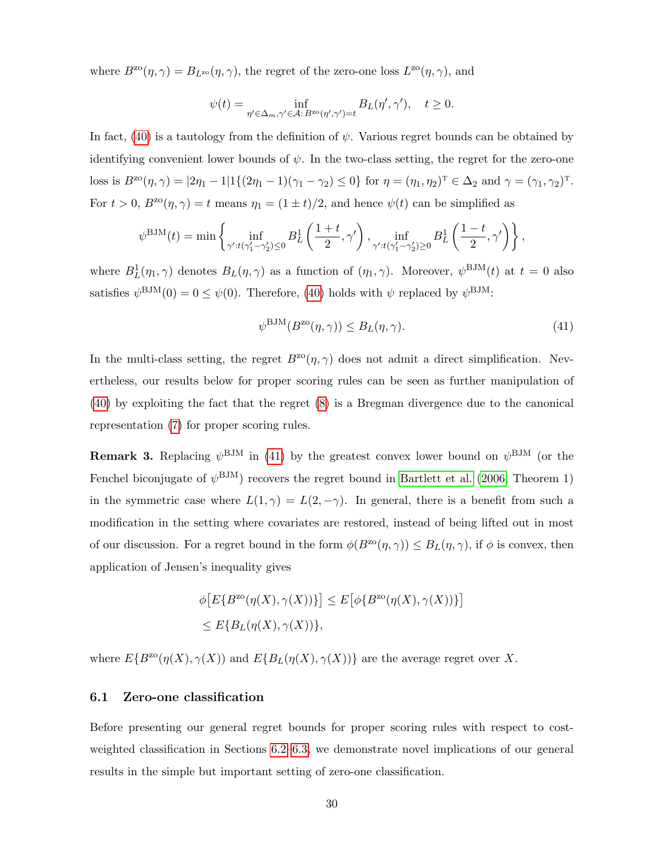where  $B^{z\alpha}(\eta, \gamma) = B_{L^{z\alpha}}(\eta, \gamma)$ , the regret of the zero-one loss  $L^{z\alpha}(\eta, \gamma)$ , and

$$
\psi(t) = \inf_{\eta' \in \Delta_m, \gamma' \in \mathcal{A}: B^{\text{zo}}(\eta', \gamma') = t} B_L(\eta', \gamma'), \quad t \ge 0.
$$

In fact, [\(40\)](#page-29-1) is a tautology from the definition of  $\psi$ . Various regret bounds can be obtained by identifying convenient lower bounds of  $\psi$ . In the two-class setting, the regret for the zero-one loss is  $B^{z\circ}(\eta, \gamma) = |2\eta_1 - 1| \mathbb{1}\{(2\eta_1 - 1)(\gamma_1 - \gamma_2) \leq 0\}$  for  $\eta = (\eta_1, \eta_2)^T \in \Delta_2$  and  $\gamma = (\gamma_1, \gamma_2)^T$ . For  $t > 0$ ,  $B^{z0}(\eta, \gamma) = t$  means  $\eta_1 = (1 \pm t)/2$ , and hence  $\psi(t)$  can be simplified as

$$
\psi^{\text{BJM}}(t) = \min\left\{\inf_{\gamma':t(\gamma'_1 - \gamma'_2) \le 0} B_L^1\left(\frac{1+t}{2}, \gamma'\right), \inf_{\gamma':t(\gamma'_1 - \gamma'_2) \ge 0} B_L^1\left(\frac{1-t}{2}, \gamma'\right)\right\},\,
$$

where  $B_L^1(\eta_1, \gamma)$  denotes  $B_L(\eta, \gamma)$  as a function of  $(\eta_1, \gamma)$ . Moreover,  $\psi^{\text{BJM}}(t)$  at  $t = 0$  also satisfies  $\psi^{\text{BJM}}(0) = 0 \leq \psi(0)$ . Therefore, [\(40\)](#page-29-1) holds with  $\psi$  replaced by  $\psi^{\text{BJM}}$ :

<span id="page-30-0"></span>
$$
\psi^{\text{BJM}}(B^{\text{zo}}(\eta,\gamma)) \le B_L(\eta,\gamma). \tag{41}
$$

In the multi-class setting, the regret  $B^{z\alpha}(\eta, \gamma)$  does not admit a direct simplification. Nevertheless, our results below for proper scoring rules can be seen as further manipulation of [\(40\)](#page-29-1) by exploiting the fact that the regret [\(8\)](#page-7-2) is a Bregman divergence due to the canonical representation [\(7\)](#page-7-0) for proper scoring rules.

**Remark 3.** Replacing  $\psi^{\text{BJM}}$  in [\(41\)](#page-30-0) by the greatest convex lower bound on  $\psi^{\text{BJM}}$  (or the Fenchel biconjugate of  $\psi^{\text{BJM}}$ ) recovers the regret bound in [Bartlett et al.](#page-38-2) [\(2006,](#page-38-2) Theorem 1) in the symmetric case where  $L(1, \gamma) = L(2, -\gamma)$ . In general, there is a benefit from such a modification in the setting where covariates are restored, instead of being lifted out in most of our discussion. For a regret bound in the form  $\phi(B^{z\alpha}(\eta, \gamma)) \leq B_L(\eta, \gamma)$ , if  $\phi$  is convex, then application of Jensen's inequality gives

$$
\begin{aligned} &\phi\big[E\{B^{\text{zo}}(\eta(X),\gamma(X))\}\big] \le E\big[\phi\{B^{\text{zo}}(\eta(X),\gamma(X))\}\big] \\ &\le E\{B_L(\eta(X),\gamma(X))\}, \end{aligned}
$$

where  $E\{B^{\text{zo}}(\eta(X), \gamma(X))\}$  and  $E\{B_L(\eta(X), \gamma(X))\}$  are the average regret over X.

## <span id="page-30-1"></span>6.1 Zero-one classification

Before presenting our general regret bounds for proper scoring rules with respect to costweighted classification in Sections [6.2–](#page-33-0)[6.3,](#page-35-1) we demonstrate novel implications of our general results in the simple but important setting of zero-one classification.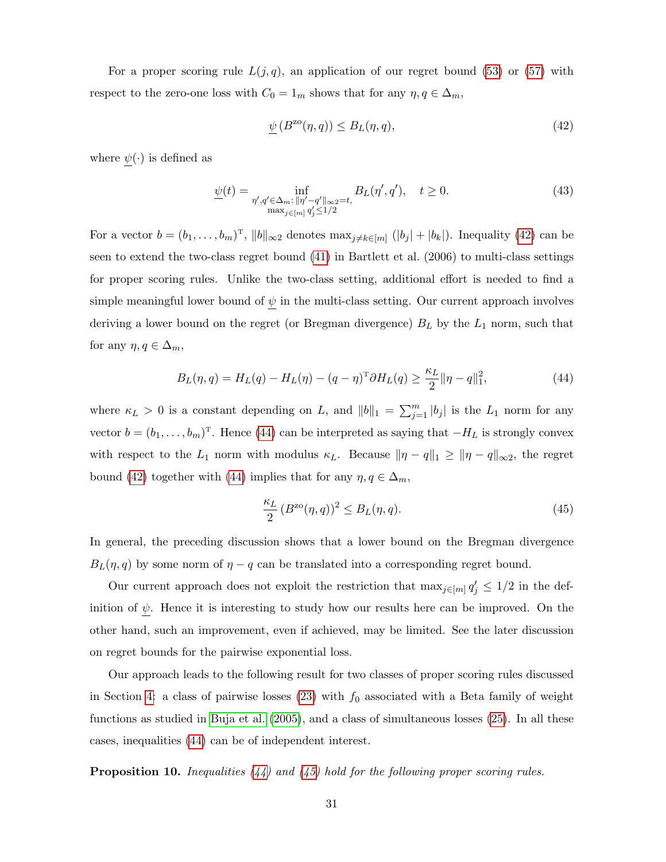For a proper scoring rule  $L(j, q)$ , an application of our regret bound [\(53\)](#page-35-2) or [\(57\)](#page-37-0) with respect to the zero-one loss with  $C_0 = 1_m$  shows that for any  $\eta, q \in \Delta_m$ ,

<span id="page-31-4"></span><span id="page-31-1"></span>
$$
\underline{\psi}\left(B^{\text{zo}}(\eta, q)\right) \le B_L(\eta, q),\tag{42}
$$

where  $\psi(\cdot)$  is defined as

$$
\underline{\psi}(t) = \inf_{\substack{\eta', q' \in \Delta_m : \|\eta' - q'\|_{\infty} = t, \\ \max_{j \in [m]} q'_j \le 1/2}} B_L(\eta', q'), \quad t \ge 0.
$$
\n(43)

For a vector  $b = (b_1, \ldots, b_m)^T$ ,  $||b||_{\infty}$  denotes  $\max_{j \neq k \in [m]} (|b_j| + |b_k|)$ . Inequality [\(42\)](#page-31-1) can be seen to extend the two-class regret bound [\(41\)](#page-30-0) in Bartlett et al. (2006) to multi-class settings for proper scoring rules. Unlike the two-class setting, additional effort is needed to find a simple meaningful lower bound of  $\psi$  in the multi-class setting. Our current approach involves deriving a lower bound on the regret (or Bregman divergence)  $B_L$  by the  $L_1$  norm, such that for any  $\eta, q \in \Delta_m$ ,

$$
B_L(\eta, q) = H_L(q) - H_L(\eta) - (q - \eta)^T \partial H_L(q) \ge \frac{\kappa_L}{2} \|\eta - q\|_1^2,
$$
\n(44)

where  $\kappa_L > 0$  is a constant depending on L, and  $||b||_1 = \sum_{j=1}^m |b_j|$  is the L<sub>1</sub> norm for any vector  $b = (b_1, \ldots, b_m)^T$ . Hence [\(44\)](#page-31-2) can be interpreted as saying that  $-H_L$  is strongly convex with respect to the  $L_1$  norm with modulus  $\kappa_L$ . Because  $\|\eta - q\|_1 \ge \|\eta - q\|_{\infty}$ , the regret bound [\(42\)](#page-31-1) together with [\(44\)](#page-31-2) implies that for any  $\eta, q \in \Delta_m$ ,

<span id="page-31-3"></span><span id="page-31-2"></span>
$$
\frac{\kappa_L}{2} \left( B^{\text{zo}}(\eta, q) \right)^2 \le B_L(\eta, q). \tag{45}
$$

In general, the preceding discussion shows that a lower bound on the Bregman divergence  $B_L(\eta, q)$  by some norm of  $\eta - q$  can be translated into a corresponding regret bound.

Our current approach does not exploit the restriction that  $\max_{j\in[m]} q'_j \leq 1/2$  in the definition of  $\psi$ . Hence it is interesting to study how our results here can be improved. On the other hand, such an improvement, even if achieved, may be limited. See the later discussion on regret bounds for the pairwise exponential loss.

Our approach leads to the following result for two classes of proper scoring rules discussed in Section [4:](#page-14-0) a class of pairwise losses  $(23)$  with  $f_0$  associated with a Beta family of weight functions as studied in [Buja et al.](#page-38-1) [\(2005\)](#page-38-1), and a class of simultaneous losses [\(25\)](#page-17-0). In all these cases, inequalities [\(44\)](#page-31-2) can be of independent interest.

<span id="page-31-0"></span>**Proposition 10.** Inequalities  $(44)$  and  $(45)$  hold for the following proper scoring rules.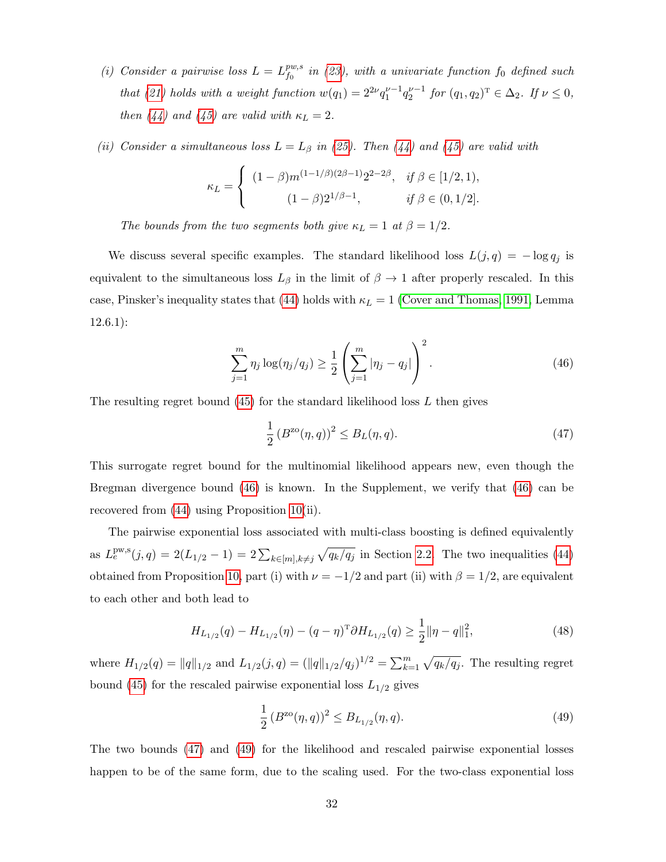- (i) Consider a pairwise loss  $L = L_1^{pw,s}$  $\begin{array}{l} F^{w,s}_{f_0} \;\; in \,\, (23), \,\, with \,\, a \,\, univariate \,\, function \,\, f_0 \,\, defined \,\, such \end{array}$  $\begin{array}{l} F^{w,s}_{f_0} \;\; in \,\, (23), \,\, with \,\, a \,\, univariate \,\, function \,\, f_0 \,\, defined \,\, such \end{array}$  $\begin{array}{l} F^{w,s}_{f_0} \;\; in \,\, (23), \,\, with \,\, a \,\, univariate \,\, function \,\, f_0 \,\, defined \,\, such \end{array}$ that [\(21\)](#page-14-2) holds with a weight function  $w(q_1) = 2^{2\nu} q_1^{\nu-1} q_2^{\nu-1}$  for  $(q_1, q_2)^T \in \Delta_2$ . If  $\nu \le 0$ , then [\(44\)](#page-31-2) and [\(45\)](#page-31-3) are valid with  $\kappa_L = 2$ .
- (ii) Consider a simultaneous loss  $L = L_{\beta}$  in [\(25\)](#page-17-0). Then [\(44\)](#page-31-2) and [\(45\)](#page-31-3) are valid with

$$
\kappa_L = \begin{cases} (1 - \beta) m^{(1 - 1/\beta)(2\beta - 1)} 2^{2 - 2\beta}, & \text{if } \beta \in [1/2, 1), \\ (1 - \beta) 2^{1/\beta - 1}, & \text{if } \beta \in (0, 1/2]. \end{cases}
$$

The bounds from the two segments both give  $\kappa_L = 1$  at  $\beta = 1/2$ .

We discuss several specific examples. The standard likelihood loss  $L(j, q) = -\log q_j$  is equivalent to the simultaneous loss  $L_\beta$  in the limit of  $\beta \to 1$  after properly rescaled. In this case, Pinsker's inequality states that [\(44\)](#page-31-2) holds with  $\kappa_L = 1$  [\(Cover and Thomas, 1991,](#page-38-12) Lemma 12.6.1):

$$
\sum_{j=1}^{m} \eta_j \log(\eta_j/q_j) \ge \frac{1}{2} \left( \sum_{j=1}^{m} |\eta_j - q_j| \right)^2.
$$
 (46)

The resulting regret bound  $(45)$  for the standard likelihood loss L then gives

<span id="page-32-1"></span><span id="page-32-0"></span>
$$
\frac{1}{2} (B^{z\circ}(\eta, q))^2 \le B_L(\eta, q). \tag{47}
$$

This surrogate regret bound for the multinomial likelihood appears new, even though the Bregman divergence bound [\(46\)](#page-32-0) is known. In the Supplement, we verify that [\(46\)](#page-32-0) can be recovered from [\(44\)](#page-31-2) using Proposition [10\(](#page-31-0)ii).

The pairwise exponential loss associated with multi-class boosting is defined equivalently as  $L_e^{pw,s}(j,q) = 2(L_{1/2} - 1) = 2\sum_{k \in [m], k \neq j} \sqrt{q_k/q_j}$  in Section [2.2.](#page-6-0) The two inequalities [\(44\)](#page-31-2) obtained from Proposition [10,](#page-31-0) part (i) with  $\nu = -1/2$  and part (ii) with  $\beta = 1/2$ , are equivalent to each other and both lead to

$$
H_{L_{1/2}}(q) - H_{L_{1/2}}(\eta) - (q - \eta)^{\mathrm{T}} \partial H_{L_{1/2}}(q) \ge \frac{1}{2} ||\eta - q||_1^2, \tag{48}
$$

where  $H_{1/2}(q) = ||q||_{1/2}$  and  $L_{1/2}(j,q) = (||q||_{1/2}/q_j)^{1/2} = \sum_{k=1}^{m} \sqrt{q_k/q_j}$ . The resulting regret bound [\(45\)](#page-31-3) for the rescaled pairwise exponential loss  $L_{1/2}$  gives

<span id="page-32-3"></span><span id="page-32-2"></span>
$$
\frac{1}{2} \left( B^{z\circ}(\eta, q) \right)^2 \le B_{L_{1/2}}(\eta, q). \tag{49}
$$

The two bounds [\(47\)](#page-32-1) and [\(49\)](#page-32-2) for the likelihood and rescaled pairwise exponential losses happen to be of the same form, due to the scaling used. For the two-class exponential loss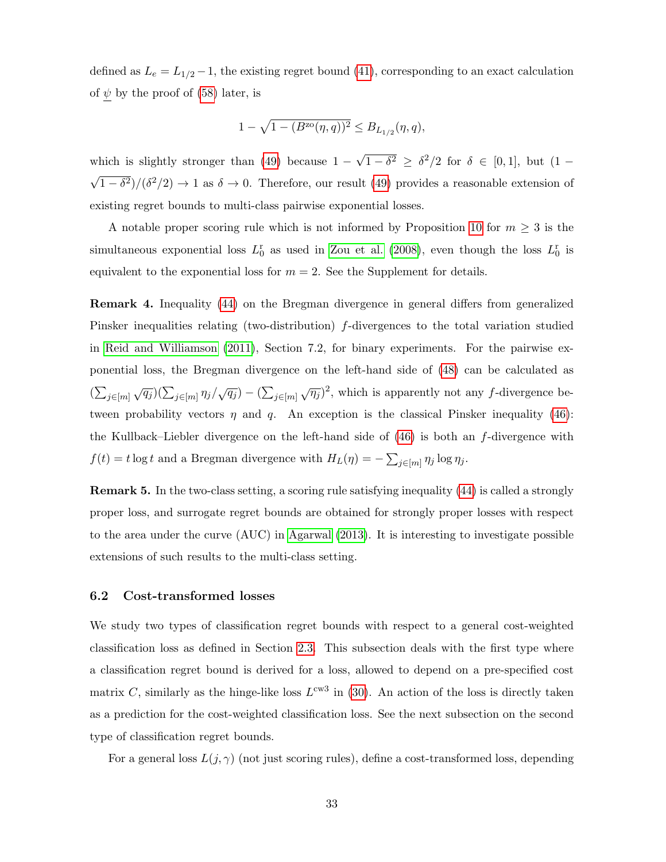defined as  $L_e = L_{1/2} - 1$ , the existing regret bound [\(41\)](#page-30-0), corresponding to an exact calculation of  $\psi$  by the proof of [\(58\)](#page-37-1) later, is

$$
1-\sqrt{1-(B^{\rm zo}(\eta,q))^2}\leq B_{L_{1/2}}(\eta,q),
$$

which is slightly stronger than  $(49)$  because  $1 -$ √  $\overline{1-\delta^2} \geq \delta^2/2$  for  $\delta \in [0,1]$ , but  $(1-\delta^2)$ √  $\sqrt{1-\delta^2}/(\delta^2/2) \rightarrow 1$  as  $\delta \rightarrow 0$ . Therefore, our result [\(49\)](#page-32-2) provides a reasonable extension of existing regret bounds to multi-class pairwise exponential losses.

A notable proper scoring rule which is not informed by Proposition [10](#page-31-0) for  $m \geq 3$  is the simultaneous exponential loss  $L_0^r$  as used in [Zou et al.](#page-40-1) [\(2008\)](#page-40-1), even though the loss  $L_0^r$  is equivalent to the exponential loss for  $m = 2$ . See the Supplement for details.

Remark 4. Inequality [\(44\)](#page-31-2) on the Bregman divergence in general differs from generalized Pinsker inequalities relating (two-distribution) f-divergences to the total variation studied in [Reid and Williamson](#page-39-7) [\(2011\)](#page-39-7), Section 7.2, for binary experiments. For the pairwise exponential loss, the Bregman divergence on the left-hand side of [\(48\)](#page-32-3) can be calculated as  $(\sum_{j\in [m]}\sqrt{q_j})(\sum_{j\in [m]}\eta_j/\sqrt{q_j}) - (\sum_{j\in [m]}\sqrt{\eta_j})^2$ , which is apparently not any f-divergence between probability vectors  $\eta$  and  $q$ . An exception is the classical Pinsker inequality [\(46\)](#page-32-0): the Kullback–Liebler divergence on the left-hand side of [\(46\)](#page-32-0) is both an f-divergence with  $f(t) = t \log t$  and a Bregman divergence with  $H_L(\eta) = -\sum_{j \in [m]} \eta_j \log \eta_j$ .

Remark 5. In the two-class setting, a scoring rule satisfying inequality [\(44\)](#page-31-2) is called a strongly proper loss, and surrogate regret bounds are obtained for strongly proper losses with respect to the area under the curve (AUC) in [Agarwal](#page-38-13) [\(2013\)](#page-38-13). It is interesting to investigate possible extensions of such results to the multi-class setting.

## <span id="page-33-0"></span>6.2 Cost-transformed losses

We study two types of classification regret bounds with respect to a general cost-weighted classification loss as defined in Section [2.3.](#page-7-3) This subsection deals with the first type where a classification regret bound is derived for a loss, allowed to depend on a pre-specified cost matrix C, similarly as the hinge-like loss  $L^{cw3}$  in [\(30\)](#page-21-2). An action of the loss is directly taken as a prediction for the cost-weighted classification loss. See the next subsection on the second type of classification regret bounds.

For a general loss  $L(j, \gamma)$  (not just scoring rules), define a cost-transformed loss, depending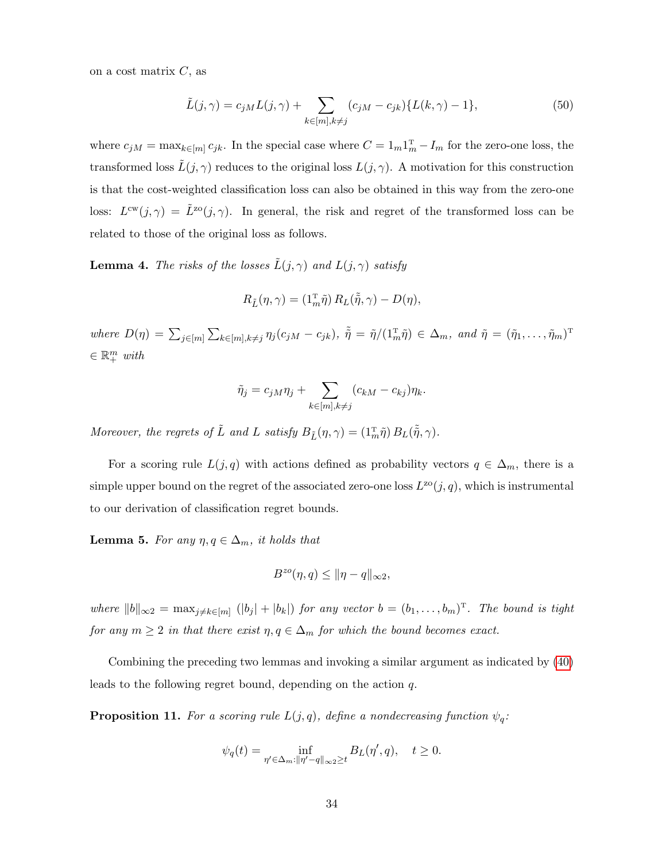on a cost matrix  $C$ , as

<span id="page-34-1"></span>
$$
\tilde{L}(j,\gamma) = c_{jM}L(j,\gamma) + \sum_{k \in [m], k \neq j} (c_{jM} - c_{jk}) \{ L(k,\gamma) - 1 \},\tag{50}
$$

where  $c_{jM} = \max_{k \in [m]} c_{jk}$ . In the special case where  $C = 1_m 1_m^T - I_m$  for the zero-one loss, the transformed loss  $\tilde{L}(j, \gamma)$  reduces to the original loss  $L(j, \gamma)$ . A motivation for this construction is that the cost-weighted classification loss can also be obtained in this way from the zero-one loss:  $L^{cw}(j,\gamma) = \tilde{L}^{zo}(j,\gamma)$ . In general, the risk and regret of the transformed loss can be related to those of the original loss as follows.

<span id="page-34-2"></span>**Lemma 4.** The risks of the losses  $\tilde{L}(j, \gamma)$  and  $L(j, \gamma)$  satisfy

$$
R_{\tilde{L}}(\eta, \gamma) = (\mathbf{1}_m^{\mathrm{T}} \tilde{\eta}) R_L(\tilde{\tilde{\eta}}, \gamma) - D(\eta),
$$

where  $D(\eta) = \sum_{j \in [m]} \sum_{k \in [m], k \neq j} \eta_j(c_{jM} - c_{jk}), \ \tilde{\eta} = \tilde{\eta}/(1_m^{\text{T}} \tilde{\eta}) \in \Delta_m$ , and  $\tilde{\eta} = (\tilde{\eta}_1, \dots, \tilde{\eta}_m)^{\text{T}}$  $\in \mathbb{R}^m_+$  with

$$
\tilde{\eta}_j = c_{jM}\eta_j + \sum_{k \in [m], k \neq j} (c_{kM} - c_{kj})\eta_k.
$$

Moreover, the regrets of  $\tilde{L}$  and  $L$  satisfy  $B_{\tilde{L}}(\eta, \gamma) = (1_m^{\text{T}}\tilde{\eta}) B_L(\tilde{\tilde{\eta}}, \gamma)$ .

For a scoring rule  $L(j, q)$  with actions defined as probability vectors  $q \in \Delta_m$ , there is a simple upper bound on the regret of the associated zero-one loss  $L^{zo}(j, q)$ , which is instrumental to our derivation of classification regret bounds.

<span id="page-34-0"></span>**Lemma 5.** For any  $\eta, q \in \Delta_m$ , it holds that

$$
B^{zo}(\eta, q) \le \|\eta - q\|_{\infty 2},
$$

where  $||b||_{\infty} = \max_{j \neq k \in [m]} (|b_j| + |b_k|)$  for any vector  $b = (b_1, \ldots, b_m)^T$ . The bound is tight for any  $m \geq 2$  in that there exist  $\eta, q \in \Delta_m$  for which the bound becomes exact.

Combining the preceding two lemmas and invoking a similar argument as indicated by [\(40\)](#page-29-1) leads to the following regret bound, depending on the action q.

<span id="page-34-3"></span>**Proposition 11.** For a scoring rule  $L(j, q)$ , define a nondecreasing function  $\psi_q$ :

$$
\psi_q(t) = \inf_{\eta' \in \Delta_m : ||\eta' - q||_{\infty 2} \ge t} B_L(\eta', q), \quad t \ge 0.
$$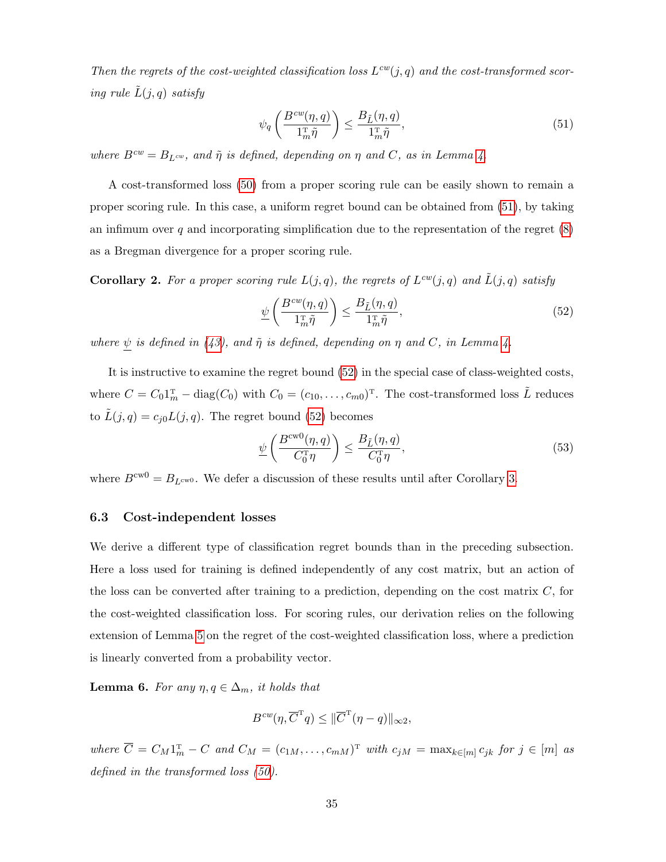Then the regrets of the cost-weighted classification loss  $L^{cw}(j, q)$  and the cost-transformed scoring rule  $\tilde{L}(j,q)$  satisfy

<span id="page-35-3"></span>
$$
\psi_q\left(\frac{B^{cw}(\eta, q)}{1_m^{\mathrm{T}}\tilde{\eta}}\right) \le \frac{B_{\tilde{L}}(\eta, q)}{1_m^{\mathrm{T}}\tilde{\eta}},\tag{51}
$$

where  $B^{cw} = B_{L^{cw}}$ , and  $\tilde{\eta}$  is defined, depending on  $\eta$  and C, as in Lemma [4.](#page-34-2)

A cost-transformed loss [\(50\)](#page-34-1) from a proper scoring rule can be easily shown to remain a proper scoring rule. In this case, a uniform regret bound can be obtained from [\(51\)](#page-35-3), by taking an infimum over q and incorporating simplification due to the representation of the regret  $(8)$ as a Bregman divergence for a proper scoring rule.

<span id="page-35-5"></span>**Corollary 2.** For a proper scoring rule  $L(j, q)$ , the regrets of  $L^{cw}(j, q)$  and  $\tilde{L}(j, q)$  satisfy

<span id="page-35-4"></span>
$$
\underline{\psi}\left(\frac{B^{cw}(\eta,q)}{\mathbf{1}_m^{\mathrm{T}}\tilde{\eta}}\right) \le \frac{B_{\tilde{L}}(\eta,q)}{\mathbf{1}_m^{\mathrm{T}}\tilde{\eta}},\tag{52}
$$

where  $\psi$  is defined in [\(43\)](#page-31-4), and  $\tilde{\eta}$  is defined, depending on  $\eta$  and C, in Lemma [4.](#page-34-2)

It is instructive to examine the regret bound [\(52\)](#page-35-4) in the special case of class-weighted costs, where  $C = C_0 \mathbb{1}_m^T - \text{diag}(C_0)$  with  $C_0 = (c_{10}, \ldots, c_{m0})^T$ . The cost-transformed loss  $\tilde{L}$  reduces to  $\tilde{L}(j, q) = c_{j0}L(j, q)$ . The regret bound [\(52\)](#page-35-4) becomes

<span id="page-35-2"></span>
$$
\psi\left(\frac{B^{\text{cw}0}(\eta,q)}{C_0^{\text{T}}\eta}\right) \le \frac{B_{\tilde{L}}(\eta,q)}{C_0^{\text{T}}\eta},\tag{53}
$$

where  $B^{\text{cw0}} = B_{L^{\text{cw0}}}$ . We defer a discussion of these results until after Corollary [3.](#page-36-0)

### <span id="page-35-1"></span>6.3 Cost-independent losses

We derive a different type of classification regret bounds than in the preceding subsection. Here a loss used for training is defined independently of any cost matrix, but an action of the loss can be converted after training to a prediction, depending on the cost matrix  $C$ , for the cost-weighted classification loss. For scoring rules, our derivation relies on the following extension of Lemma [5](#page-34-0) on the regret of the cost-weighted classification loss, where a prediction is linearly converted from a probability vector.

<span id="page-35-0"></span>**Lemma 6.** For any  $\eta, q \in \Delta_m$ , it holds that

$$
B^{cw}(\eta, \overline{C}^{\mathrm{T}}q) \leq \|\overline{C}^{\mathrm{T}}(\eta - q)\|_{\infty 2},
$$

where  $C = C_M 1_m^T - C$  and  $C_M = (c_{1M}, \ldots, c_{mM})^T$  with  $c_{jM} = \max_{k \in [m]} c_{jk}$  for  $j \in [m]$  as defined in the transformed loss  $(50)$ .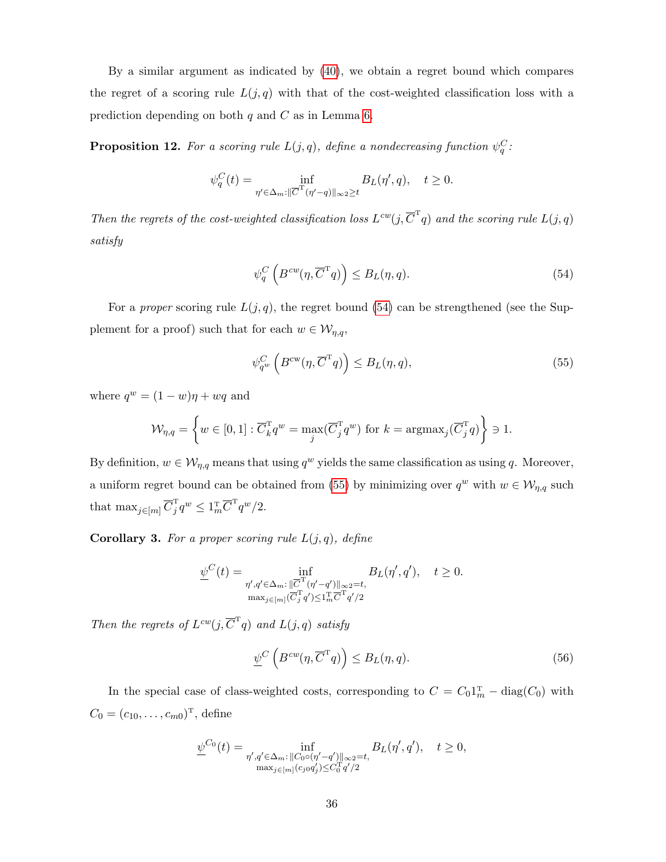By a similar argument as indicated by [\(40\)](#page-29-1), we obtain a regret bound which compares the regret of a scoring rule  $L(j, q)$  with that of the cost-weighted classification loss with a prediction depending on both  $q$  and  $C$  as in Lemma [6.](#page-35-0)

<span id="page-36-4"></span>**Proposition 12.** For a scoring rule  $L(j, q)$ , define a nondecreasing function  $\psi_q^C$ :

$$
\psi_q^C(t) = \inf_{\eta' \in \Delta_m : ||\overline{C}^{\mathrm{T}}(\eta' - q)||_{\infty 2} \ge t} B_L(\eta', q), \quad t \ge 0.
$$

Then the regrets of the cost-weighted classification loss  $L^{cw}(j, \overline{C}^T q)$  and the scoring rule  $L(j, q)$ satisfy

<span id="page-36-1"></span>
$$
\psi_q^C\left(B^{cw}(\eta, \overline{C}^T q)\right) \le B_L(\eta, q). \tag{54}
$$

For a *proper* scoring rule  $L(j, q)$ , the regret bound [\(54\)](#page-36-1) can be strengthened (see the Supplement for a proof) such that for each  $w \in \mathcal{W}_{\eta,q}$ ,

<span id="page-36-2"></span>
$$
\psi_{q^w}^C \left( B^{\text{cw}}(\eta, \overline{C}^{\text{T}} q) \right) \leq B_L(\eta, q), \tag{55}
$$

where  $q^w = (1 - w)\eta + wq$  and

$$
\mathcal{W}_{\eta,q} = \left\{ w \in [0,1] : \overline{C}_k^{\mathrm{T}} q^w = \max_j (\overline{C}_j^{\mathrm{T}} q^w) \text{ for } k = \operatorname{argmax}_j (\overline{C}_j^{\mathrm{T}} q) \right\} \ni 1.
$$

By definition,  $w \in \mathcal{W}_{\eta,q}$  means that using  $q^w$  yields the same classification as using q. Moreover, a uniform regret bound can be obtained from [\(55\)](#page-36-2) by minimizing over  $q^w$  with  $w \in \mathcal{W}_{\eta,q}$  such that  $\max_{j \in [m]} \overline{C}_j^{\mathrm{T}} q^w \leq 1_m^{\mathrm{T}} \overline{C}^{\mathrm{T}} q^w / 2.$ 

<span id="page-36-0"></span>**Corollary 3.** For a proper scoring rule  $L(j, q)$ , define

$$
\underline{\psi}^C(t)=\inf_{\substack{\eta',q'\in\Delta_m:\|\overline{C}^{\mathrm{T}}(\eta'-q')\|_{\infty^2}=t,\\ \max_{j\in[m]}(\overline{C}_j^{\mathrm{T}}q')\leq 1_m^{\mathrm{T}}\overline{C}^{\mathrm{T}}q'/2}}B_L(\eta',q'),\quad t\geq 0.
$$

Then the regrets of  $L^{cw}(j,\overline{C}^T q)$  and  $L(j,q)$  satisfy

<span id="page-36-3"></span>
$$
\underline{\psi}^C \left( B^{cw}(\eta, \overline{C}^T q) \right) \leq B_L(\eta, q). \tag{56}
$$

In the special case of class-weighted costs, corresponding to  $C = C_0 1_m^T - \text{diag}(C_0)$  with  $C_0 = (c_{10}, \ldots, c_{m0})^{\mathrm{T}}$ , define

$$
\underline{\psi}^{C_0}(t) = \inf_{\substack{\eta', q' \in \Delta_m : ||C_0 \circ (\eta' - q')||_{\infty 2} = t, \\ \max_{j \in [m]} (c_{j0} q'_j) \le C_0^T q'/2}} B_L(\eta', q'), \quad t \ge 0,
$$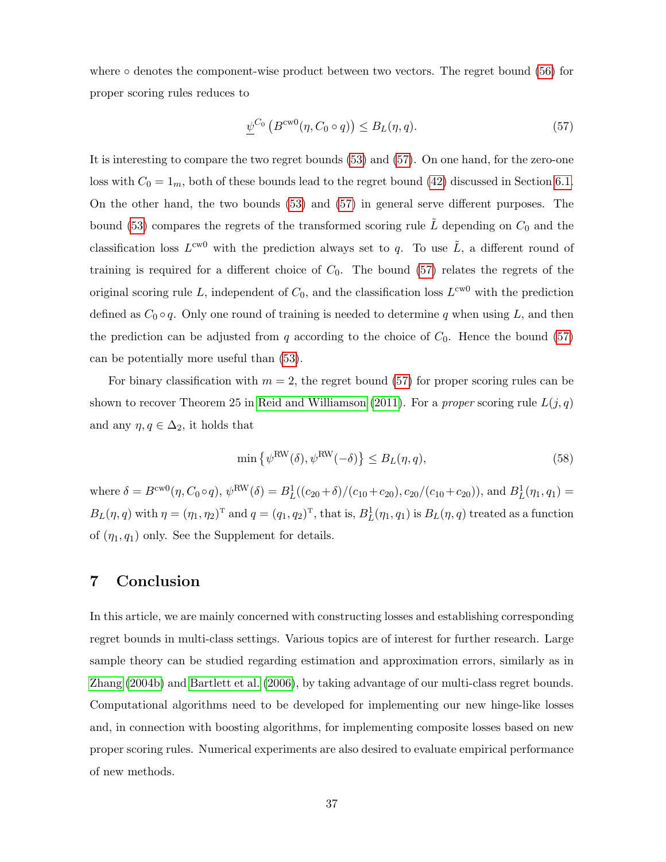where  $\circ$  denotes the component-wise product between two vectors. The regret bound [\(56\)](#page-36-3) for proper scoring rules reduces to

<span id="page-37-0"></span>
$$
\underline{\psi}^{C_0} \left( B^{\text{cw0}}(\eta, C_0 \circ q) \right) \leq B_L(\eta, q). \tag{57}
$$

It is interesting to compare the two regret bounds [\(53\)](#page-35-2) and [\(57\)](#page-37-0). On one hand, for the zero-one loss with  $C_0 = 1_m$ , both of these bounds lead to the regret bound [\(42\)](#page-31-1) discussed in Section [6.1.](#page-30-1) On the other hand, the two bounds [\(53\)](#page-35-2) and [\(57\)](#page-37-0) in general serve different purposes. The bound [\(53\)](#page-35-2) compares the regrets of the transformed scoring rule  $\tilde{L}$  depending on  $C_0$  and the classification loss  $L^{\text{cw0}}$  with the prediction always set to q. To use  $\tilde{L}$ , a different round of training is required for a different choice of  $C_0$ . The bound [\(57\)](#page-37-0) relates the regrets of the original scoring rule L, independent of  $C_0$ , and the classification loss  $L^{\text{cw}0}$  with the prediction defined as  $C_0 \circ q$ . Only one round of training is needed to determine q when using L, and then the prediction can be adjusted from  $q$  according to the choice of  $C_0$ . Hence the bound [\(57\)](#page-37-0) can be potentially more useful than [\(53\)](#page-35-2).

For binary classification with  $m = 2$ , the regret bound [\(57\)](#page-37-0) for proper scoring rules can be shown to recover Theorem 25 in [Reid and Williamson](#page-39-7) [\(2011\)](#page-39-7). For a *proper* scoring rule  $L(j, q)$ and any  $\eta, q \in \Delta_2$ , it holds that

<span id="page-37-1"></span>
$$
\min \left\{ \psi^{\text{RW}}(\delta), \psi^{\text{RW}}(-\delta) \right\} \le B_L(\eta, q), \tag{58}
$$

where  $\delta = B^{\text{cw0}}(\eta, C_0 \circ q), \psi^{\text{RW}}(\delta) = B_L^1((c_{20} + \delta)/(c_{10} + c_{20}), c_{20}/(c_{10} + c_{20}))$ , and  $B_L^1(\eta_1, q_1) =$  $B_L(\eta, q)$  with  $\eta = (\eta_1, \eta_2)^T$  and  $q = (q_1, q_2)^T$ , that is,  $B_L^1(\eta_1, q_1)$  is  $B_L(\eta, q)$  treated as a function of  $(\eta_1, q_1)$  only. See the Supplement for details.

# 7 Conclusion

In this article, we are mainly concerned with constructing losses and establishing corresponding regret bounds in multi-class settings. Various topics are of interest for further research. Large sample theory can be studied regarding estimation and approximation errors, similarly as in [Zhang](#page-40-2) [\(2004b\)](#page-40-2) and [Bartlett et al.](#page-38-2) [\(2006\)](#page-38-2), by taking advantage of our multi-class regret bounds. Computational algorithms need to be developed for implementing our new hinge-like losses and, in connection with boosting algorithms, for implementing composite losses based on new proper scoring rules. Numerical experiments are also desired to evaluate empirical performance of new methods.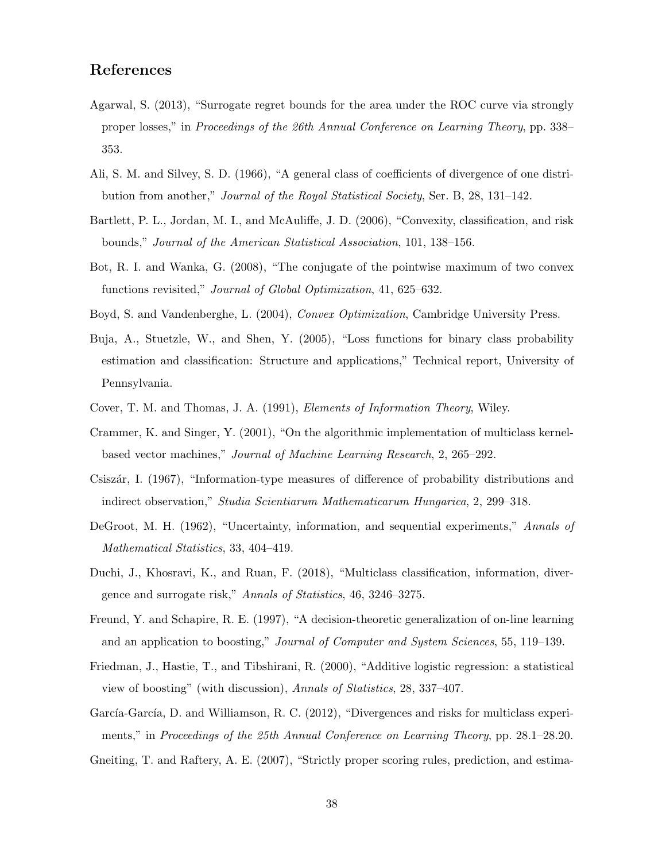# References

- <span id="page-38-13"></span>Agarwal, S. (2013), "Surrogate regret bounds for the area under the ROC curve via strongly proper losses," in Proceedings of the 26th Annual Conference on Learning Theory, pp. 338– 353.
- <span id="page-38-7"></span>Ali, S. M. and Silvey, S. D. (1966), "A general class of coefficients of divergence of one distribution from another," Journal of the Royal Statistical Society, Ser. B, 28, 131–142.
- <span id="page-38-2"></span>Bartlett, P. L., Jordan, M. I., and McAuliffe, J. D. (2006), "Convexity, classification, and risk bounds," Journal of the American Statistical Association, 101, 138–156.
- <span id="page-38-14"></span>Bot, R. I. and Wanka, G. (2008), "The conjugate of the pointwise maximum of two convex functions revisited," Journal of Global Optimization, 41, 625–632.
- <span id="page-38-9"></span><span id="page-38-1"></span>Boyd, S. and Vandenberghe, L. (2004), Convex Optimization, Cambridge University Press.
- Buja, A., Stuetzle, W., and Shen, Y. (2005), "Loss functions for binary class probability estimation and classification: Structure and applications," Technical report, University of Pennsylvania.
- <span id="page-38-12"></span><span id="page-38-4"></span>Cover, T. M. and Thomas, J. A. (1991), Elements of Information Theory, Wiley.
- Crammer, K. and Singer, Y. (2001), "On the algorithmic implementation of multiclass kernelbased vector machines," Journal of Machine Learning Research, 2, 265–292.
- <span id="page-38-8"></span>Csiszár, I. (1967), "Information-type measures of difference of probability distributions and indirect observation," Studia Scientiarum Mathematicarum Hungarica, 2, 299–318.
- <span id="page-38-0"></span>DeGroot, M. H. (1962), "Uncertainty, information, and sequential experiments," Annals of Mathematical Statistics, 33, 404–419.
- <span id="page-38-3"></span>Duchi, J., Khosravi, K., and Ruan, F. (2018), "Multiclass classification, information, divergence and surrogate risk," Annals of Statistics, 46, 3246–3275.
- <span id="page-38-11"></span>Freund, Y. and Schapire, R. E. (1997), "A decision-theoretic generalization of on-line learning and an application to boosting," Journal of Computer and System Sciences, 55, 119–139.
- <span id="page-38-10"></span>Friedman, J., Hastie, T., and Tibshirani, R. (2000), "Additive logistic regression: a statistical view of boosting" (with discussion), Annals of Statistics, 28, 337–407.
- <span id="page-38-5"></span>García-García, D. and Williamson, R. C. (2012), "Divergences and risks for multiclass experiments," in Proceedings of the 25th Annual Conference on Learning Theory, pp. 28.1–28.20.
- <span id="page-38-6"></span>Gneiting, T. and Raftery, A. E. (2007), "Strictly proper scoring rules, prediction, and estima-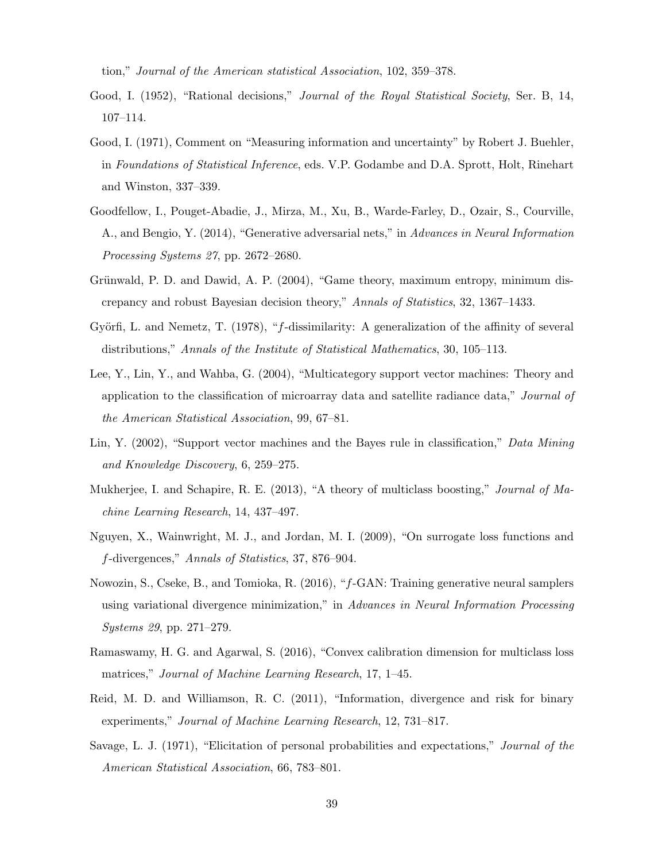tion," Journal of the American statistical Association, 102, 359–378.

- <span id="page-39-9"></span>Good, I. (1952), "Rational decisions," Journal of the Royal Statistical Society, Ser. B, 14, 107–114.
- <span id="page-39-12"></span>Good, I. (1971), Comment on "Measuring information and uncertainty" by Robert J. Buehler, in Foundations of Statistical Inference, eds. V.P. Godambe and D.A. Sprott, Holt, Rinehart and Winston, 337–339.
- <span id="page-39-10"></span>Goodfellow, I., Pouget-Abadie, J., Mirza, M., Xu, B., Warde-Farley, D., Ozair, S., Courville, A., and Bengio, Y. (2014), "Generative adversarial nets," in Advances in Neural Information Processing Systems 27, pp. 2672–2680.
- <span id="page-39-0"></span>Grünwald, P. D. and Dawid, A. P. (2004), "Game theory, maximum entropy, minimum discrepancy and robust Bayesian decision theory," Annals of Statistics, 32, 1367–1433.
- <span id="page-39-6"></span>Györfi, L. and Nemetz, T. (1978), "f-dissimilarity: A generalization of the affinity of several distributions," Annals of the Institute of Statistical Mathematics, 30, 105–113.
- <span id="page-39-4"></span>Lee, Y., Lin, Y., and Wahba, G. (2004), "Multicategory support vector machines: Theory and application to the classification of microarray data and satellite radiance data," Journal of the American Statistical Association, 99, 67–81.
- <span id="page-39-3"></span>Lin, Y. (2002), "Support vector machines and the Bayes rule in classification," Data Mining and Knowledge Discovery, 6, 259–275.
- <span id="page-39-2"></span>Mukherjee, I. and Schapire, R. E. (2013), "A theory of multiclass boosting," Journal of Machine Learning Research, 14, 437–497.
- <span id="page-39-5"></span>Nguyen, X., Wainwright, M. J., and Jordan, M. I. (2009), "On surrogate loss functions and f-divergences," Annals of Statistics, 37, 876–904.
- <span id="page-39-11"></span>Nowozin, S., Cseke, B., and Tomioka, R. (2016), "f-GAN: Training generative neural samplers using variational divergence minimization," in Advances in Neural Information Processing Systems 29, pp. 271–279.
- <span id="page-39-8"></span>Ramaswamy, H. G. and Agarwal, S. (2016), "Convex calibration dimension for multiclass loss matrices," Journal of Machine Learning Research, 17, 1–45.
- <span id="page-39-7"></span>Reid, M. D. and Williamson, R. C. (2011), "Information, divergence and risk for binary experiments," Journal of Machine Learning Research, 12, 731–817.
- <span id="page-39-1"></span>Savage, L. J. (1971), "Elicitation of personal probabilities and expectations," Journal of the American Statistical Association, 66, 783–801.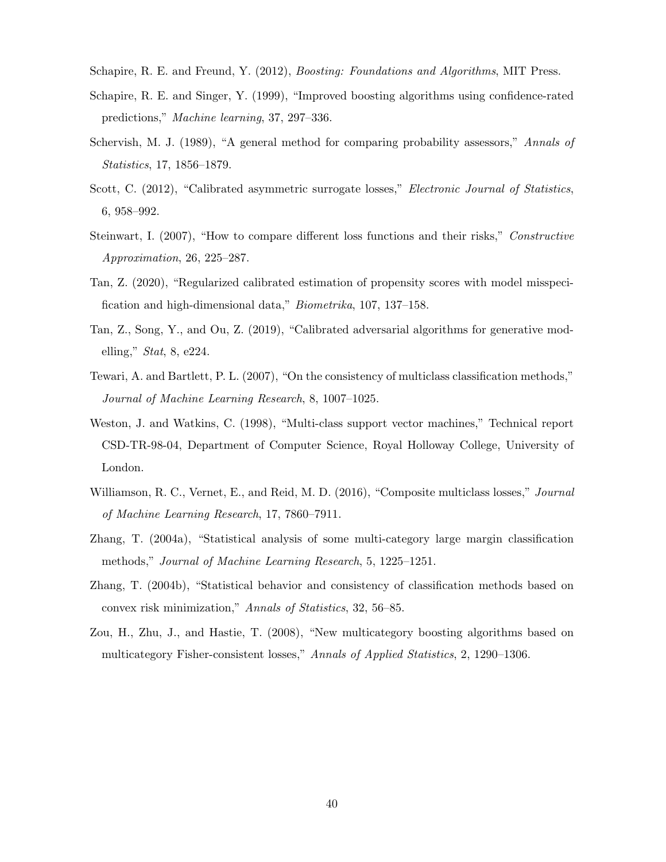- <span id="page-40-12"></span><span id="page-40-9"></span>Schapire, R. E. and Freund, Y. (2012), *Boosting: Foundations and Algorithms*, MIT Press.
- Schapire, R. E. and Singer, Y. (1999), "Improved boosting algorithms using confidence-rated predictions," Machine learning, 37, 297–336.
- <span id="page-40-8"></span>Schervish, M. J. (1989), "A general method for comparing probability assessors," Annals of Statistics, 17, 1856–1879.
- <span id="page-40-7"></span>Scott, C. (2012), "Calibrated asymmetric surrogate losses," *Electronic Journal of Statistics*, 6, 958–992.
- <span id="page-40-6"></span>Steinwart, I. (2007), "How to compare different loss functions and their risks," Constructive Approximation, 26, 225–287.
- <span id="page-40-10"></span>Tan, Z. (2020), "Regularized calibrated estimation of propensity scores with model misspecification and high-dimensional data," Biometrika, 107, 137–158.
- <span id="page-40-11"></span>Tan, Z., Song, Y., and Ou, Z. (2019), "Calibrated adversarial algorithms for generative modelling," Stat, 8, e224.
- <span id="page-40-5"></span>Tewari, A. and Bartlett, P. L. (2007), "On the consistency of multiclass classification methods," Journal of Machine Learning Research, 8, 1007–1025.
- <span id="page-40-3"></span>Weston, J. and Watkins, C. (1998), "Multi-class support vector machines," Technical report CSD-TR-98-04, Department of Computer Science, Royal Holloway College, University of London.
- <span id="page-40-0"></span>Williamson, R. C., Vernet, E., and Reid, M. D. (2016), "Composite multiclass losses," *Journal* of Machine Learning Research, 17, 7860–7911.
- <span id="page-40-4"></span>Zhang, T. (2004a), "Statistical analysis of some multi-category large margin classification methods," Journal of Machine Learning Research, 5, 1225–1251.
- <span id="page-40-2"></span>Zhang, T. (2004b), "Statistical behavior and consistency of classification methods based on convex risk minimization," Annals of Statistics, 32, 56–85.
- <span id="page-40-1"></span>Zou, H., Zhu, J., and Hastie, T. (2008), "New multicategory boosting algorithms based on multicategory Fisher-consistent losses," Annals of Applied Statistics, 2, 1290–1306.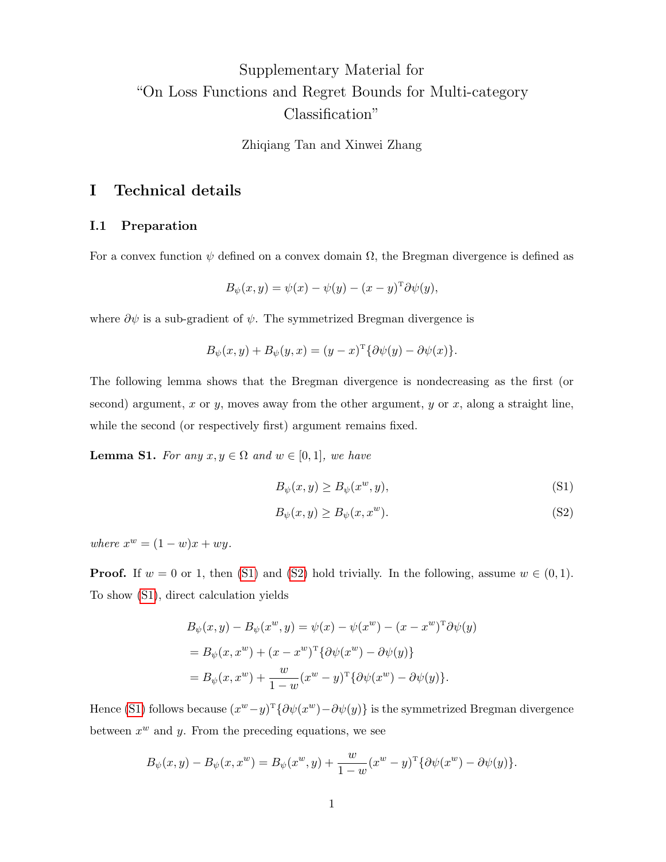# Supplementary Material for "On Loss Functions and Regret Bounds for Multi-category Classification"

Zhiqiang Tan and Xinwei Zhang

# I Technical details

## I.1 Preparation

For a convex function  $\psi$  defined on a convex domain  $\Omega$ , the Bregman divergence is defined as

$$
B_{\psi}(x, y) = \psi(x) - \psi(y) - (x - y)^{\mathrm{T}} \partial \psi(y),
$$

where  $\partial \psi$  is a sub-gradient of  $\psi$ . The symmetrized Bregman divergence is

$$
B_{\psi}(x, y) + B_{\psi}(y, x) = (y - x)^{\mathrm{T}} \{ \partial \psi(y) - \partial \psi(x) \}.
$$

The following lemma shows that the Bregman divergence is nondecreasing as the first (or second) argument, x or y, moves away from the other argument, y or x, along a straight line, while the second (or respectively first) argument remains fixed.

**Lemma S1.** For any  $x, y \in \Omega$  and  $w \in [0, 1]$ , we have

$$
B_{\psi}(x, y) \ge B_{\psi}(x^w, y),\tag{S1}
$$

$$
B_{\psi}(x, y) \ge B_{\psi}(x, x^w). \tag{S2}
$$

where  $x^w = (1 - w)x + wy$ .

**Proof.** If  $w = 0$  or 1, then [\(S1\)](#page-1-0) and [\(S2\)](#page-1-1) hold trivially. In the following, assume  $w \in (0, 1)$ . To show [\(S1\)](#page-1-0), direct calculation yields

$$
B_{\psi}(x, y) - B_{\psi}(x^w, y) = \psi(x) - \psi(x^w) - (x - x^w)^T \partial \psi(y)
$$
  
= 
$$
B_{\psi}(x, x^w) + (x - x^w)^T \{\partial \psi(x^w) - \partial \psi(y)\}
$$
  
= 
$$
B_{\psi}(x, x^w) + \frac{w}{1 - w}(x^w - y)^T \{\partial \psi(x^w) - \partial \psi(y)\}.
$$

Hence [\(S1\)](#page-1-0) follows because  $(x^w - y)^T \{ \partial \psi(x^w) - \partial \psi(y) \}$  is the symmetrized Bregman divergence between  $x^w$  and  $y$ . From the preceding equations, we see

$$
B_{\psi}(x, y) - B_{\psi}(x, x^{w}) = B_{\psi}(x^{w}, y) + \frac{w}{1 - w}(x^{w} - y)^{T} \{ \partial \psi(x^{w}) - \partial \psi(y) \}.
$$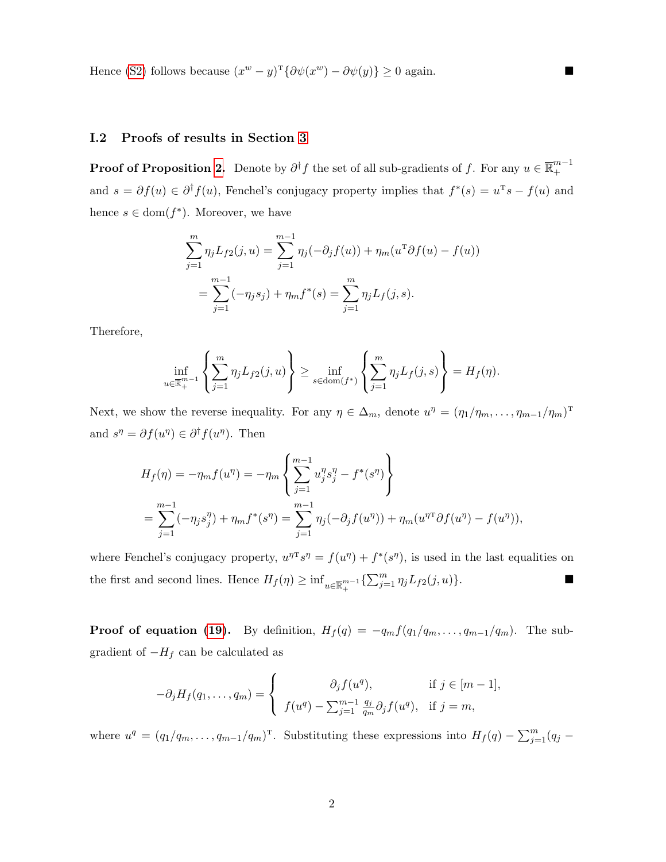Hence [\(S2\)](#page-1-1) follows because  $(x^w - y)^T {\partial \psi(x^w) - \partial \psi(y)} \ge 0$  again.

## I.2 Proofs of results in Section [3](#page-9-2)

**Proof of Proposition [2.](#page-12-0)** Denote by  $\partial^{\dagger} f$  the set of all sub-gradients of f. For any  $u \in \overline{\mathbb{R}}_+^{m-1}$ + and  $s = \partial f(u) \in \partial^{\dagger} f(u)$ , Fenchel's conjugacy property implies that  $f^*(s) = u^{\mathrm{T}} s - f(u)$  and hence  $s \in \text{dom}(f^*)$ . Moreover, we have

$$
\sum_{j=1}^{m} \eta_j L_{f2}(j, u) = \sum_{j=1}^{m-1} \eta_j(-\partial_j f(u)) + \eta_m(u^{\mathrm{T}} \partial f(u) - f(u))
$$
  
= 
$$
\sum_{j=1}^{m-1} (-\eta_j s_j) + \eta_m f^*(s) = \sum_{j=1}^{m} \eta_j L_f(j, s).
$$

Therefore,

$$
\inf_{u \in \overline{\mathbb{R}}_+^{m-1}} \left\{ \sum_{j=1}^m \eta_j L_{f2}(j, u) \right\} \ge \inf_{s \in \text{dom}(f^*)} \left\{ \sum_{j=1}^m \eta_j L_f(j, s) \right\} = H_f(\eta).
$$

Next, we show the reverse inequality. For any  $\eta \in \Delta_m$ , denote  $u^{\eta} = (\eta_1/\eta_m, \ldots, \eta_{m-1}/\eta_m)^T$ and  $s^{\eta} = \partial f(u^{\eta}) \in \partial^{\dagger} f(u^{\eta})$ . Then

$$
H_f(\eta) = -\eta_m f(u^{\eta}) = -\eta_m \left\{ \sum_{j=1}^{m-1} u_j^{\eta} s_j^{\eta} - f^*(s^{\eta}) \right\}
$$
  
= 
$$
\sum_{j=1}^{m-1} (-\eta_j s_j^{\eta}) + \eta_m f^*(s^{\eta}) = \sum_{j=1}^{m-1} \eta_j (-\partial_j f(u^{\eta})) + \eta_m (u^{\eta \tau} \partial f(u^{\eta}) - f(u^{\eta})),
$$

where Fenchel's conjugacy property,  $u^{\eta T} s^{\eta} = f(u^{\eta}) + f^*(s^{\eta})$ , is used in the last equalities on the first and second lines. Hence  $H_f(\eta) \geq \inf_{u \in \overline{\mathbb{R}}_+^{m-1}} \{\sum_{j=1}^m \eta_j L_{f2}(j, u)\}.$ 

**Proof of equation [\(19\)](#page-13-1).** By definition,  $H_f(q) = -q_m f(q_1/q_m, \ldots, q_{m-1}/q_m)$ . The subgradient of  $-H_f$  can be calculated as

$$
-\partial_j H_f(q_1,\ldots,q_m) = \begin{cases} \partial_j f(u^q), & \text{if } j \in [m-1], \\ f(u^q) - \sum_{j=1}^{m-1} \frac{q_j}{q_m} \partial_j f(u^q), & \text{if } j = m, \end{cases}
$$

where  $u^q = (q_1/q_m, \ldots, q_{m-1}/q_m)^T$ . Substituting these expressions into  $H_f(q) - \sum_{j=1}^m (q_j -$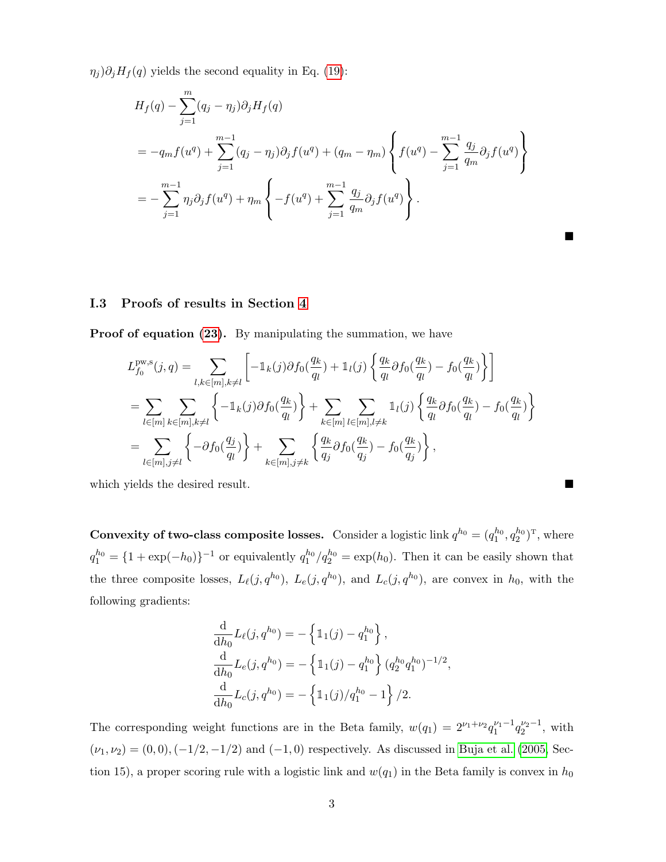$\eta_j$ ) $\partial_j H_f(q)$  yields the second equality in Eq. [\(19\)](#page-13-1):

$$
H_f(q) - \sum_{j=1}^m (q_j - \eta_j) \partial_j H_f(q)
$$
  
=  $-q_m f(u^q) + \sum_{j=1}^{m-1} (q_j - \eta_j) \partial_j f(u^q) + (q_m - \eta_m) \left\{ f(u^q) - \sum_{j=1}^{m-1} \frac{q_j}{q_m} \partial_j f(u^q) \right\}$   
=  $- \sum_{j=1}^{m-1} \eta_j \partial_j f(u^q) + \eta_m \left\{ -f(u^q) + \sum_{j=1}^{m-1} \frac{q_j}{q_m} \partial_j f(u^q) \right\}.$ 

▅

#### I.3 Proofs of results in Section [4](#page-14-0)

Proof of equation [\(23\)](#page-16-0). By manipulating the summation, we have

$$
L_{f_0}^{\text{pw},s}(j,q) = \sum_{l,k \in [m], k \neq l} \left[ -\mathbb{1}_k(j)\partial f_0(\frac{q_k}{q_l}) + \mathbb{1}_l(j) \left\{ \frac{q_k}{q_l} \partial f_0(\frac{q_k}{q_l}) - f_0(\frac{q_k}{q_l}) \right\} \right]
$$
  
= 
$$
\sum_{l \in [m]} \sum_{k \in [m], k \neq l} \left\{ -\mathbb{1}_k(j)\partial f_0(\frac{q_k}{q_l}) \right\} + \sum_{k \in [m]} \sum_{l \in [m], l \neq k} \mathbb{1}_l(j) \left\{ \frac{q_k}{q_l} \partial f_0(\frac{q_k}{q_l}) - f_0(\frac{q_k}{q_l}) \right\}
$$
  
= 
$$
\sum_{l \in [m], j \neq l} \left\{ -\partial f_0(\frac{q_j}{q_l}) \right\} + \sum_{k \in [m], j \neq k} \left\{ \frac{q_k}{q_j} \partial f_0(\frac{q_k}{q_j}) - f_0(\frac{q_k}{q_j}) \right\},
$$

which yields the desired result.

**Convexity of two-class composite losses.** Consider a logistic link  $q^{h_0} = (q_1^{h_0}, q_2^{h_0})^T$ , where  $q_1^{h_0} = \{1 + \exp(-h_0)\}^{-1}$  or equivalently  $q_1^{h_0}/q_2^{h_0} = \exp(h_0)$ . Then it can be easily shown that the three composite losses,  $L_{\ell}(j, q^{h_0})$ ,  $L_{e}(j, q^{h_0})$ , and  $L_{c}(j, q^{h_0})$ , are convex in  $h_0$ , with the following gradients:

$$
\frac{\mathrm{d}}{\mathrm{d}h_0} L_\ell(j, q^{h_0}) = -\left\{ \mathbb{1}_1(j) - q_1^{h_0} \right\},\
$$
  

$$
\frac{\mathrm{d}}{\mathrm{d}h_0} L_e(j, q^{h_0}) = -\left\{ \mathbb{1}_1(j) - q_1^{h_0} \right\} (q_2^{h_0} q_1^{h_0})^{-1/2},\
$$
  

$$
\frac{\mathrm{d}}{\mathrm{d}h_0} L_c(j, q^{h_0}) = -\left\{ \mathbb{1}_1(j)/q_1^{h_0} - 1 \right\}/2.
$$

The corresponding weight functions are in the Beta family,  $w(q_1) = 2^{\nu_1 + \nu_2} q_1^{\nu_1 - 1} q_2^{\nu_2 - 1}$ , with  $(\nu_1, \nu_2) = (0, 0), (-1/2, -1/2)$  and  $(-1, 0)$  respectively. As discussed in [Buja et al.](#page-38-1) [\(2005,](#page-38-1) Section 15), a proper scoring rule with a logistic link and  $w(q_1)$  in the Beta family is convex in  $h_0$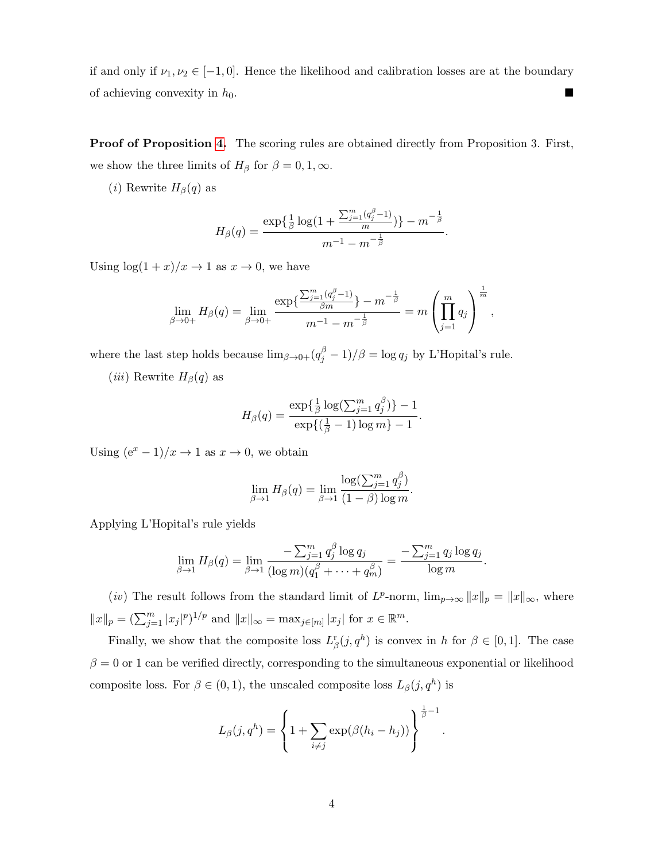if and only if  $\nu_1, \nu_2 \in [-1, 0]$ . Hence the likelihood and calibration losses are at the boundary of achieving convexity in  $h_0$ .

Proof of Proposition [4.](#page-17-1) The scoring rules are obtained directly from Proposition 3. First, we show the three limits of  $H_\beta$  for  $\beta = 0, 1, \infty$ .

(*i*) Rewrite  $H_\beta(q)$  as

$$
H_{\beta}(q) = \frac{\exp\{\frac{1}{\beta}\log(1+\frac{\sum_{j=1}^{m}(q_j^{\beta}-1)}{m})\} - m^{-\frac{1}{\beta}}}{m^{-1} - m^{-\frac{1}{\beta}}}.
$$

Using  $\log(1 + x)/x \to 1$  as  $x \to 0$ , we have

$$
\lim_{\beta \to 0+} H_{\beta}(q) = \lim_{\beta \to 0+} \frac{\exp\left\{ \frac{\sum_{j=1}^m (q_j^{\beta} - 1)}{\beta m} \right\} - m^{-\frac{1}{\beta}}}{m^{-1} - m^{-\frac{1}{\beta}}} = m \left( \prod_{j=1}^m q_j \right)^{\frac{1}{m}},
$$

where the last step holds because  $\lim_{\beta \to 0+} (q_j^{\beta} - 1)/\beta = \log q_j$  by L'Hopital's rule.

(*iii*) Rewrite  $H_\beta(q)$  as

$$
H_{\beta}(q) = \frac{\exp\{\frac{1}{\beta}\log(\sum_{j=1}^{m} q_j^{\beta})\} - 1}{\exp\{(\frac{1}{\beta} - 1)\log m\} - 1}.
$$

Using  $(e^x - 1)/x \to 1$  as  $x \to 0$ , we obtain

$$
\lim_{\beta \to 1} H_{\beta}(q) = \lim_{\beta \to 1} \frac{\log(\sum_{j=1}^{m} q_j^{\beta})}{(1 - \beta) \log m}.
$$

Applying L'Hopital's rule yields

$$
\lim_{\beta \to 1} H_{\beta}(q) = \lim_{\beta \to 1} \frac{-\sum_{j=1}^{m} q_j^{\beta} \log q_j}{(\log m)(q_1^{\beta} + \cdots + q_m^{\beta})} = \frac{-\sum_{j=1}^{m} q_j \log q_j}{\log m}.
$$

(*iv*) The result follows from the standard limit of  $L^p$ -norm,  $\lim_{p\to\infty} ||x||_p = ||x||_{\infty}$ , where  $||x||_p = \left(\sum_{j=1}^m |x_j|^p\right)^{1/p}$  and  $||x||_{\infty} = \max_{j \in [m]} |x_j|$  for  $x \in \mathbb{R}^m$ .

Finally, we show that the composite loss  $L^r_\beta(j, q^h)$  is convex in h for  $\beta \in [0, 1]$ . The case  $\beta = 0$  or 1 can be verified directly, corresponding to the simultaneous exponential or likelihood composite loss. For  $\beta \in (0,1)$ , the unscaled composite loss  $L_{\beta}(j, q^h)$  is

$$
L_{\beta}(j,q^h) = \left\{1 + \sum_{i \neq j} \exp(\beta(h_i - h_j))\right\}^{\frac{1}{\beta} - 1}.
$$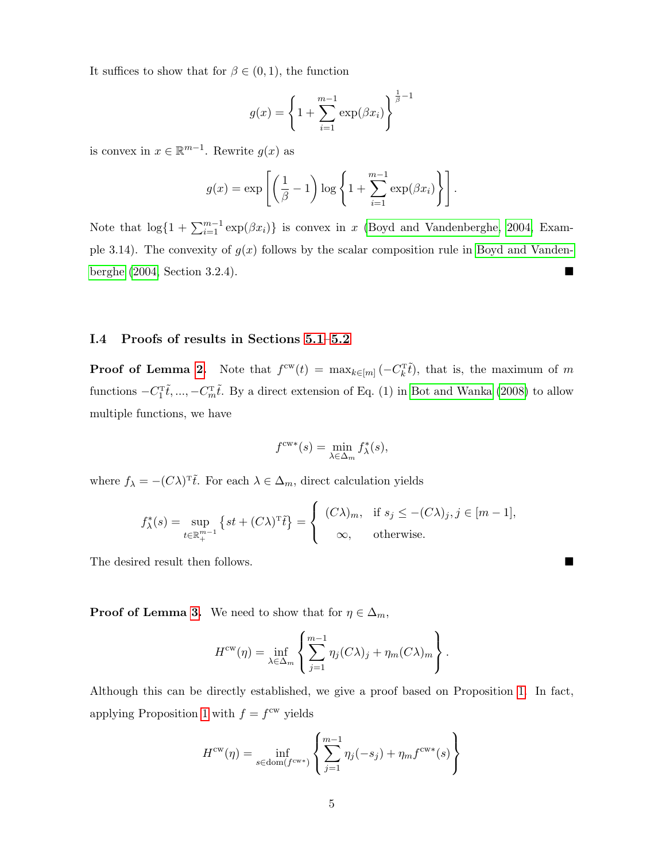It suffices to show that for  $\beta \in (0,1)$ , the function

$$
g(x) = \left\{ 1 + \sum_{i=1}^{m-1} \exp(\beta x_i) \right\}^{\frac{1}{\beta} - 1}
$$

is convex in  $x \in \mathbb{R}^{m-1}$ . Rewrite  $g(x)$  as

$$
g(x) = \exp\left[\left(\frac{1}{\beta} - 1\right) \log \left\{1 + \sum_{i=1}^{m-1} \exp(\beta x_i)\right\}\right].
$$

Note that  $\log\{1 + \sum_{i=1}^{m-1} \exp(\beta x_i)\}\$ is convex in x [\(Boyd and Vandenberghe, 2004,](#page-38-9) Example 3.14). The convexity of  $g(x)$  follows by the scalar composition rule in [Boyd and Vanden](#page-38-9)[berghe](#page-38-9) [\(2004,](#page-38-9) Section 3.2.4).

## I.4 Proofs of results in Sections [5.1–](#page-19-2)[5.2](#page-24-1)

**Proof of Lemma [2.](#page-20-1)** Note that  $f^{\text{cw}}(t) = \max_{k \in [m]} (-C_k^{\text{T}}\tilde{t})$ , that is, the maximum of m functions  $-C_1^{\text{T}}\tilde{t}$ , ...,  $-C_m^{\text{T}}\tilde{t}$ . By a direct extension of Eq. (1) in [Bot and Wanka](#page-38-14) [\(2008\)](#page-38-14) to allow multiple functions, we have

$$
f^{\text{cw}*}(s) = \min_{\lambda \in \Delta_m} f_{\lambda}^*(s),
$$

where  $f_{\lambda} = -(C\lambda)^{\mathrm{T}}\tilde{t}$ . For each  $\lambda \in \Delta_m$ , direct calculation yields

$$
f_{\lambda}^*(s) = \sup_{t \in \mathbb{R}^{m-1}_+} \left\{ st + (C\lambda)^{\mathrm{T}} \tilde{t} \right\} = \begin{cases} (C\lambda)_m, & \text{if } s_j \leq -(C\lambda)_j, j \in [m-1], \\ \infty, & \text{otherwise.} \end{cases}
$$

The desired result then follows.

**Proof of Lemma [3.](#page-20-0)** We need to show that for  $\eta \in \Delta_m$ ,

$$
H^{\text{cw}}(\eta) = \inf_{\lambda \in \Delta_m} \left\{ \sum_{j=1}^{m-1} \eta_j(C\lambda)_j + \eta_m(C\lambda)_m \right\}.
$$

Although this can be directly established, we give a proof based on Proposition [1.](#page-11-0) In fact, applying Proposition [1](#page-11-0) with  $f = f^{\text{cw}}$  yields

$$
H^{\text{cw}}(\eta) = \inf_{s \in \text{dom}(f^{\text{cw}*})} \left\{ \sum_{j=1}^{m-1} \eta_j(-s_j) + \eta_m f^{\text{cw}*}(s) \right\}
$$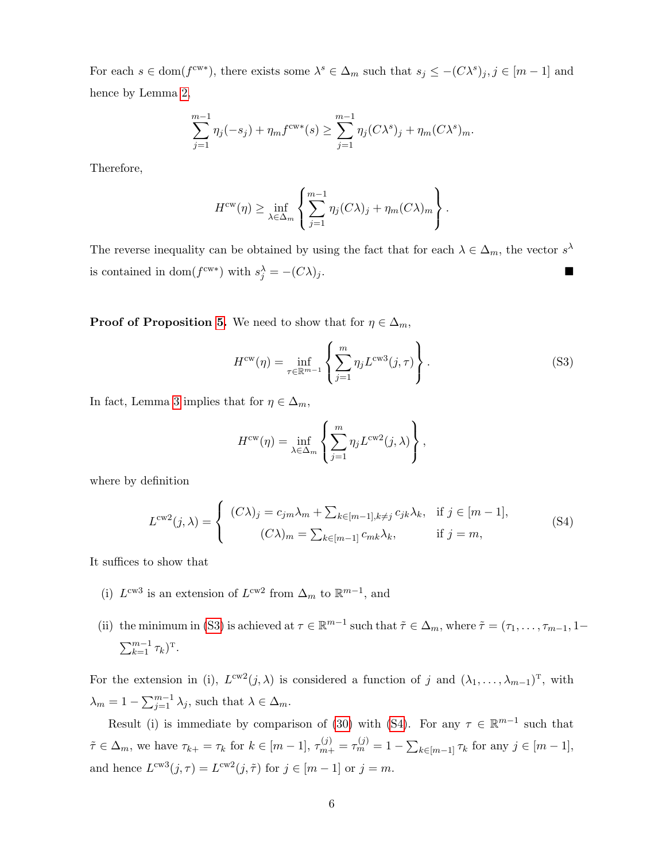For each  $s \in \text{dom}(f^{\text{cw}*})$ , there exists some  $\lambda^s \in \Delta_m$  such that  $s_j \leq -(C\lambda^s)_j, j \in [m-1]$  and hence by Lemma [2,](#page-20-1)

$$
\sum_{j=1}^{m-1} \eta_j(-s_j) + \eta_m f^{cw*}(s) \ge \sum_{j=1}^{m-1} \eta_j(C\lambda^s)_j + \eta_m(C\lambda^s)_m.
$$

Therefore,

$$
H^{\text{cw}}(\eta) \ge \inf_{\lambda \in \Delta_m} \left\{ \sum_{j=1}^{m-1} \eta_j(C\lambda)_j + \eta_m(C\lambda)_m \right\}.
$$

The reverse inequality can be obtained by using the fact that for each  $\lambda \in \Delta_m$ , the vector  $s^{\lambda}$ is contained in dom( $f^{\text{cw}*}$ ) with  $s_j^{\lambda} = -(C\lambda)_j$ .

**Proof of Proposition [5.](#page-21-0)** We need to show that for  $\eta \in \Delta_m$ ,

<span id="page-46-0"></span>
$$
H^{\text{cw}}(\eta) = \inf_{\tau \in \mathbb{R}^{m-1}} \left\{ \sum_{j=1}^{m} \eta_j L^{\text{cw3}}(j, \tau) \right\}.
$$
 (S3)

In fact, Lemma [3](#page-20-0) implies that for  $\eta \in \Delta_m$ ,

<span id="page-46-1"></span>
$$
H^{\text{cw}}(\eta) = \inf_{\lambda \in \Delta_m} \left\{ \sum_{j=1}^m \eta_j L^{\text{cw2}}(j, \lambda) \right\},\,
$$

where by definition

$$
L^{cw2}(j,\lambda) = \begin{cases} (C\lambda)_j = c_{jm}\lambda_m + \sum_{k \in [m-1], k \neq j} c_{jk}\lambda_k, & \text{if } j \in [m-1],\\ (C\lambda)_m = \sum_{k \in [m-1]} c_{mk}\lambda_k, & \text{if } j = m,\end{cases}
$$
(S4)

It suffices to show that

- (i)  $L^{cw3}$  is an extension of  $L^{cw2}$  from  $\Delta_m$  to  $\mathbb{R}^{m-1}$ , and
- (ii) the minimum in [\(S3\)](#page-46-0) is achieved at  $\tau \in \mathbb{R}^{m-1}$  such that  $\tilde{\tau} \in \Delta_m$ , where  $\tilde{\tau} = (\tau_1, \ldots, \tau_{m-1}, 1-\tau_m)$  $\sum_{k=1}^{m-1} \tau_k$ <sup>T</sup>.

For the extension in (i),  $L^{cw2}(j,\lambda)$  is considered a function of j and  $(\lambda_1,\ldots,\lambda_{m-1})^T$ , with  $\lambda_m = 1 - \sum_{j=1}^{m-1} \lambda_j$ , such that  $\lambda \in \Delta_m$ .

Result (i) is immediate by comparison of [\(30\)](#page-21-2) with [\(S4\)](#page-46-1). For any  $\tau \in \mathbb{R}^{m-1}$  such that  $\tilde{\tau} \in \Delta_m$ , we have  $\tau_{k+} = \tau_k$  for  $k \in [m-1]$ ,  $\tau_{m+}^{(j)} = \tau_m^{(j)} = 1 - \sum_{k \in [m-1]} \tau_k$  for any  $j \in [m-1]$ , and hence  $L^{cw3}(j,\tau) = L^{cw2}(j,\tilde{\tau})$  for  $j \in [m-1]$  or  $j = m$ .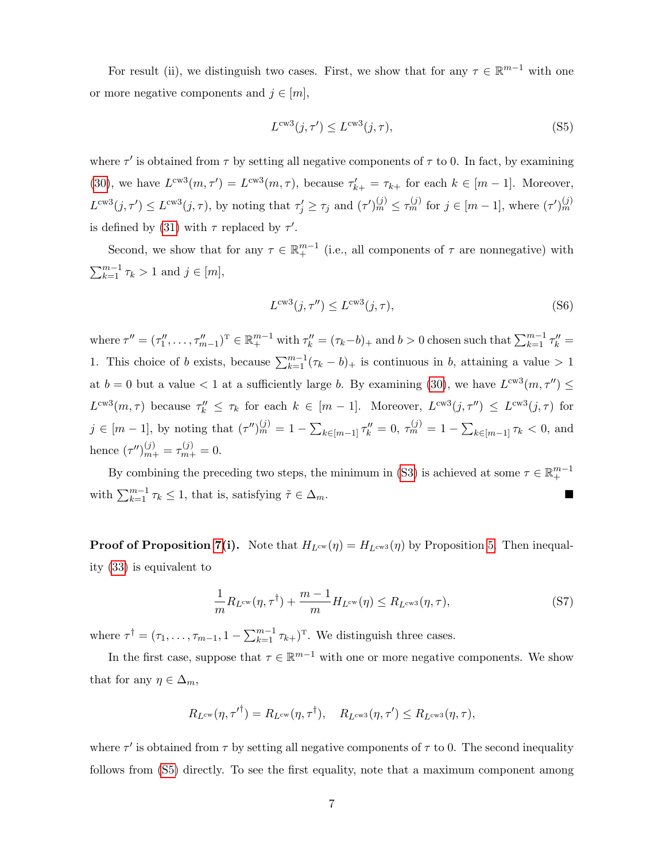For result (ii), we distinguish two cases. First, we show that for any  $\tau \in \mathbb{R}^{m-1}$  with one or more negative components and  $j \in [m]$ ,

<span id="page-47-0"></span>
$$
L^{\text{cw3}}(j,\tau') \le L^{\text{cw3}}(j,\tau),\tag{S5}
$$

where  $\tau'$  is obtained from  $\tau$  by setting all negative components of  $\tau$  to 0. In fact, by examining [\(30\)](#page-21-2), we have  $L^{cw3}(m, \tau') = L^{cw3}(m, \tau)$ , because  $\tau'_{k+} = \tau_{k+}$  for each  $k \in [m-1]$ . Moreover,  $L^{cw3}(j, \tau') \leq L^{cw3}(j, \tau)$ , by noting that  $\tau'_j \geq \tau_j$  and  $(\tau')_m^{(j)} \leq \tau_m^{(j)}$  for  $j \in [m-1]$ , where  $(\tau')_m^{(j)}$ is defined by [\(31\)](#page-21-3) with  $\tau$  replaced by  $\tau'$ .

Second, we show that for any  $\tau \in \mathbb{R}^{m-1}$  (i.e., all components of  $\tau$  are nonnegative) with  $\sum_{k=1}^{m-1} \tau_k > 1$  and  $j \in [m]$ ,

<span id="page-47-1"></span>
$$
L^{\text{cw3}}(j,\tau'') \le L^{\text{cw3}}(j,\tau),\tag{S6}
$$

where  $\tau'' = (\tau_1'', \ldots, \tau_{m-1}'')^T \in \mathbb{R}^{m-1}_+$  with  $\tau_k'' = (\tau_k - b)_+$  and  $b > 0$  chosen such that  $\sum_{k=1}^{m-1} \tau_k'' =$ 1. This choice of b exists, because  $\sum_{k=1}^{m-1} (\tau_k - b)_+$  is continuous in b, attaining a value > 1 at  $b = 0$  but a value  $\lt 1$  at a sufficiently large b. By examining [\(30\)](#page-21-2), we have  $L^{cw3}(m, \tau'') \leq$  $L^{cw3}(m,\tau)$  because  $\tau_k'' \leq \tau_k$  for each  $k \in [m-1]$ . Moreover,  $L^{cw3}(j,\tau'') \leq L^{cw3}(j,\tau)$  for  $j \in [m-1]$ , by noting that  $(\tau'')_m^{(j)} = 1 - \sum_{k \in [m-1]} \tau''_k = 0$ ,  $\tau_m^{(j)} = 1 - \sum_{k \in [m-1]} \tau_k < 0$ , and hence  $(\tau'')_{m+}^{(j)} = \tau_{m+}^{(j)} = 0.$ 

By combining the preceding two steps, the minimum in [\(S3\)](#page-46-0) is achieved at some  $\tau \in \mathbb{R}^{m-1}_+$ with  $\sum_{k=1}^{m-1} \tau_k \leq 1$ , that is, satisfying  $\tilde{\tau} \in \Delta_m$ .

**Proof of Proposition [7\(](#page-25-0)i).** Note that  $H_{L^{cw}}(\eta) = H_{L^{cw}}(\eta)$  by Proposition [5.](#page-21-0) Then inequality [\(33\)](#page-25-1) is equivalent to

<span id="page-47-2"></span>
$$
\frac{1}{m}R_{L^{cw}}(\eta, \tau^{\dagger}) + \frac{m-1}{m}H_{L^{cw}}(\eta) \le R_{L^{cw3}}(\eta, \tau),\tag{S7}
$$

where  $\tau^{\dagger} = (\tau_1, \ldots, \tau_{m-1}, 1 - \sum_{k=1}^{m-1} \tau_{k+})^{\mathrm{T}}$ . We distinguish three cases.

In the first case, suppose that  $\tau \in \mathbb{R}^{m-1}$  with one or more negative components. We show that for any  $\eta \in \Delta_m$ ,

$$
R_{L^{\text{cw}}}(\eta, {\tau'}^{\dagger}) = R_{L^{\text{cw}}}(\eta, \tau^{\dagger}), \quad R_{L^{\text{cw3}}}(\eta, \tau') \leq R_{L^{\text{cw3}}}(\eta, \tau),
$$

where  $\tau'$  is obtained from  $\tau$  by setting all negative components of  $\tau$  to 0. The second inequality follows from [\(S5\)](#page-47-0) directly. To see the first equality, note that a maximum component among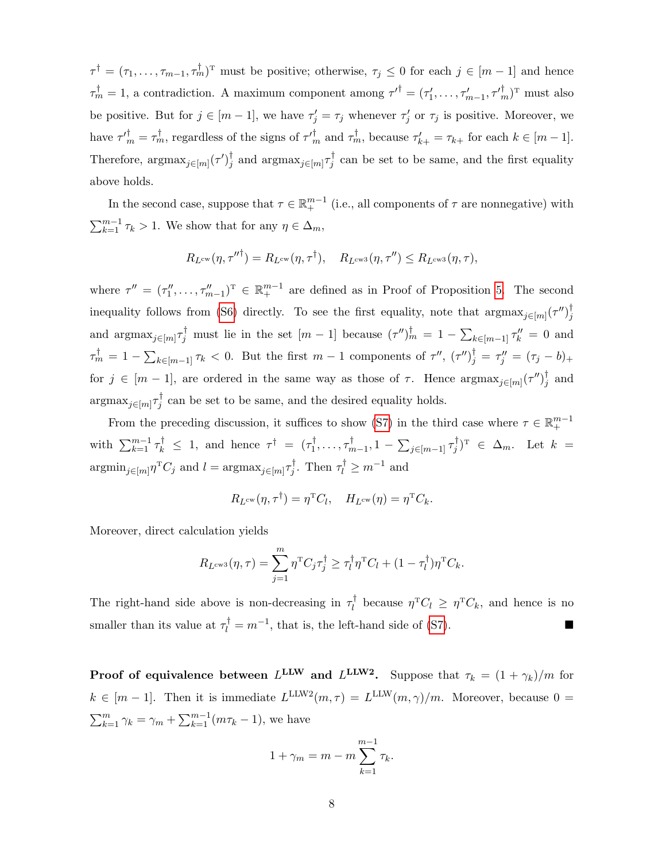$\tau^{\dagger} = (\tau_1, \ldots, \tau_{m-1}, \tau_m^{\dagger})^{\mathrm{T}}$  must be positive; otherwise,  $\tau_j \leq 0$  for each  $j \in [m-1]$  and hence  $\tau_m^{\dagger} = 1$ , a contradiction. A maximum component among  $\tau'^{\dagger} = (\tau'_1, \ldots, \tau'_{m-1}, \tau'_{m}^{\dagger})^{\text{T}}$  must also be positive. But for  $j \in [m-1]$ , we have  $\tau'_j = \tau_j$  whenever  $\tau'_j$  or  $\tau_j$  is positive. Moreover, we have  $\tau'_{m} = \tau_{m}^{\dagger}$ , regardless of the signs of  $\tau'_{m}$  and  $\tau_{m}^{\dagger}$ , because  $\tau'_{k+} = \tau_{k+}$  for each  $k \in [m-1]$ . Therefore,  $\operatorname{argmax}_{j \in [m]} (\tau')_j^{\dagger}$ <sup>†</sup><sub>j</sub> and  $\arg \max_{j \in [m]} \tau_j^{\dagger}$  $j$  can be set to be same, and the first equality above holds.

In the second case, suppose that  $\tau \in \mathbb{R}^{m-1}_+$  (i.e., all components of  $\tau$  are nonnegative) with  $\sum_{k=1}^{m-1} \tau_k > 1$ . We show that for any  $\eta \in \Delta_m$ ,

$$
R_{L^{\text{cw}}}(\eta, \tau^{\prime\prime \dagger}) = R_{L^{\text{cw}}}(\eta, \tau^{\dagger}), \quad R_{L^{\text{cws}}}(\eta, \tau^{\prime\prime}) \leq R_{L^{\text{cws}}}(\eta, \tau),
$$

where  $\tau'' = (\tau_1'', \ldots, \tau_{m-1}'')^T \in \mathbb{R}^{m-1}$  are defined as in Proof of Proposition [5.](#page-21-0) The second inequality follows from [\(S6\)](#page-47-1) directly. To see the first equality, note that  $\arg\max_{j\in[m]} (\tau'')_j^{\dagger}$ j and  $\operatorname{argmax}_{j \in [m]} \tau_j^{\dagger}$  must lie in the set  $[m-1]$  because  $(\tau'')^{\dagger}_m = 1 - \sum_{k \in [m-1]} \tau''_k = 0$  and  $\tau_m^{\dagger} = 1 - \sum_{k \in [m-1]} \tau_k < 0$ . But the first  $m-1$  components of  $\tau''$ ,  $(\tau'')_j^{\dagger} = \tau''_j = (\tau_j - b)_+$ for  $j \in [m-1]$ , are ordered in the same way as those of  $\tau$ . Hence  $\arg \max_{j \in [m]} (\tau'')_j^{\dagger}$  $j$  and  $\mathrm{argmax}_{j \in [m]} \tau_j^{\dagger}$  $j$  can be set to be same, and the desired equality holds.

From the preceding discussion, it suffices to show [\(S7\)](#page-47-2) in the third case where  $\tau \in \mathbb{R}^{m-1}_+$ with  $\sum_{k=1}^{m-1} \tau_k^{\dagger} \leq 1$ , and hence  $\tau^{\dagger} = (\tau_1^{\dagger})$  $\tau_1^{\dagger}, \ldots, \tau_n^{\dagger}$  $\frac{1}{m-1}, 1-\sum_{j\in [m-1]} \tau_j^\dagger$  $(\frac{1}{j})^T \in \Delta_m$ . Let  $k =$  $\operatorname{argmin}_{j \in [m]} \eta^{\mathrm{T}} C_j$  and  $l = \operatorname{argmax}_{j \in [m]} \tau_j^{\dagger}$ <sup>t</sup>, Then  $\tau_l^{\dagger} \geq m^{-1}$  and

$$
R_{L^{\text{cw}}}(\eta, \tau^{\dagger}) = \eta^{\text{T}} C_l, \quad H_{L^{\text{cw}}}(\eta) = \eta^{\text{T}} C_k.
$$

Moreover, direct calculation yields

$$
R_{L^{\text{cws}}}(\eta,\tau) = \sum_{j=1}^{m} \eta^{\text{T}} C_j \tau_j^{\dagger} \geq \tau_l^{\dagger} \eta^{\text{T}} C_l + (1 - \tau_l^{\dagger}) \eta^{\text{T}} C_k.
$$

The right-hand side above is non-decreasing in  $\tau_l^{\dagger}$  $\eta^{\mathrm{T}}C_l \geq \eta^{\mathrm{T}}C_k$ , and hence is no smaller than its value at  $\tau_l^{\dagger} = m^{-1}$ , that is, the left-hand side of [\(S7\)](#page-47-2).

**Proof of equivalence between**  $L^{\text{LLW}}$  and  $L^{\text{LLW2}}$ . Suppose that  $\tau_k = (1 + \gamma_k)/m$  for  $k \in [m-1]$ . Then it is immediate  $L^{\text{LLW2}}(m, \tau) = L^{\text{LLW}}(m, \gamma)/m$ . Moreover, because  $0 =$  $\sum_{k=1}^{m} \gamma_k = \gamma_m + \sum_{k=1}^{m-1} (m\tau_k - 1)$ , we have

$$
1 + \gamma_m = m - m \sum_{k=1}^{m-1} \tau_k.
$$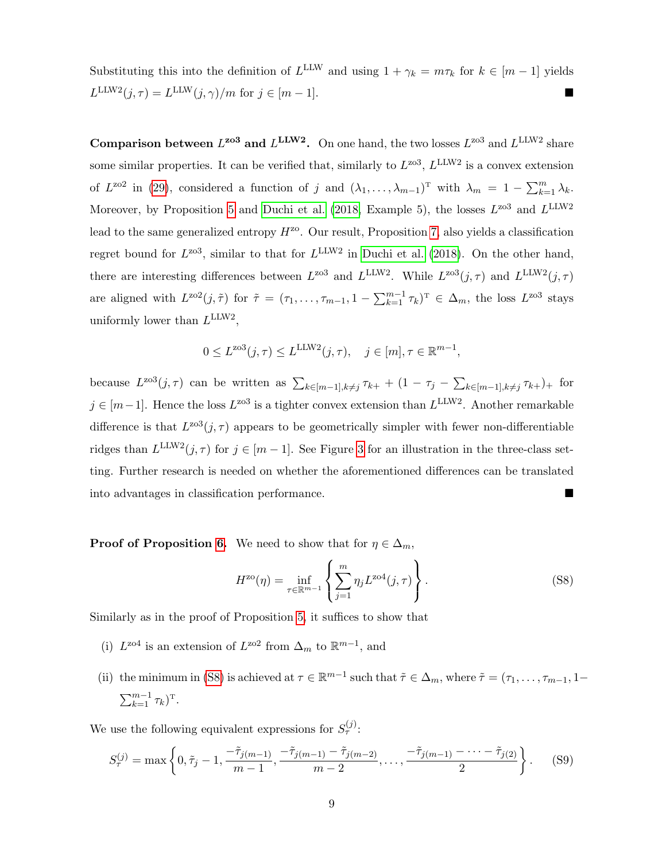Substituting this into the definition of  $L^{\text{LLW}}$  and using  $1 + \gamma_k = m\tau_k$  for  $k \in [m-1]$  yields  $L^{\text{LLW2}}(j,\tau) = L^{\text{LLW}}(j,\gamma)/m$  for  $j \in [m-1]$ .

**Comparison between**  $L^{203}$  and  $L^{LLW2}$ . On one hand, the two losses  $L^{203}$  and  $L^{LLW2}$  share some similar properties. It can be verified that, similarly to  $L^{203}$ ,  $L^{LLW2}$  is a convex extension of  $L^{\text{zo2}}$  in [\(29\)](#page-21-1), considered a function of j and  $(\lambda_1, ..., \lambda_{m-1})^T$  with  $\lambda_m = 1 - \sum_{k=1}^m \lambda_k$ . Moreover, by Proposition [5](#page-21-0) and [Duchi et al.](#page-38-3) [\(2018,](#page-38-3) Example 5), the losses  $L^{203}$  and  $L^{LLW2}$ lead to the same generalized entropy  $H^{z_0}$ . Our result, Proposition [7,](#page-25-0) also yields a classification regret bound for  $L^{203}$ , similar to that for  $L^{LLW2}$  in [Duchi et al.](#page-38-3) [\(2018\)](#page-38-3). On the other hand, there are interesting differences between  $L^{203}$  and  $L^{LLW2}$ . While  $L^{203}(j, \tau)$  and  $L^{LLW2}(j, \tau)$ are aligned with  $L^{202}(j, \tilde{\tau})$  for  $\tilde{\tau} = (\tau_1, \ldots, \tau_{m-1}, 1 - \sum_{k=1}^{m-1} \tau_k)^T \in \Delta_m$ , the loss  $L^{203}$  stays uniformly lower than  $L^{\text{LLW2}}$ ,

$$
0 \le L^{\text{zo3}}(j,\tau) \le L^{\text{LLW2}}(j,\tau), \quad j \in [m], \tau \in \mathbb{R}^{m-1},
$$

because  $L^{203}(j,\tau)$  can be written as  $\sum_{k\in[m-1],k\neq j}\tau_{k+}+(1-\tau_j-\sum_{k\in[m-1],k\neq j}\tau_{k+})$  for  $j \in [m-1]$ . Hence the loss  $L^{zo3}$  is a tighter convex extension than  $L^{LLW2}$ . Another remarkable difference is that  $L^{203}(j, \tau)$  appears to be geometrically simpler with fewer non-differentiable ridges than  $L^{\text{LLW2}}(j, \tau)$  for  $j \in [m-1]$ . See Figure [3](#page-22-0) for an illustration in the three-class setting. Further research is needed on whether the aforementioned differences can be translated into advantages in classification performance.

**Proof of Proposition [6.](#page-23-0)** We need to show that for  $\eta \in \Delta_m$ ,

<span id="page-49-1"></span><span id="page-49-0"></span>
$$
H^{20}(\eta) = \inf_{\tau \in \mathbb{R}^{m-1}} \left\{ \sum_{j=1}^{m} \eta_j L^{204}(j, \tau) \right\}.
$$
 (S8)

Similarly as in the proof of Proposition [5,](#page-21-0) it suffices to show that

- (i)  $L^{204}$  is an extension of  $L^{202}$  from  $\Delta_m$  to  $\mathbb{R}^{m-1}$ , and
- (ii) the minimum in [\(S8\)](#page-49-0) is achieved at  $\tau \in \mathbb{R}^{m-1}$  such that  $\tilde{\tau} \in \Delta_m$ , where  $\tilde{\tau} = (\tau_1, \ldots, \tau_{m-1}, 1-\tau_m)$  $\sum_{k=1}^{m-1} \tau_k$ <sup>T</sup>.

We use the following equivalent expressions for  $S_{\tau}^{(j)}$ :

$$
S_{\tau}^{(j)} = \max\left\{0, \tilde{\tau}_j - 1, \frac{-\tilde{\tau}_j(m-1)}{m-1}, \frac{-\tilde{\tau}_j(m-1) - \tilde{\tau}_j(m-2)}{m-2}, \dots, \frac{-\tilde{\tau}_j(m-1) - \dots - \tilde{\tau}_j(2)}{2}\right\}.
$$
 (S9)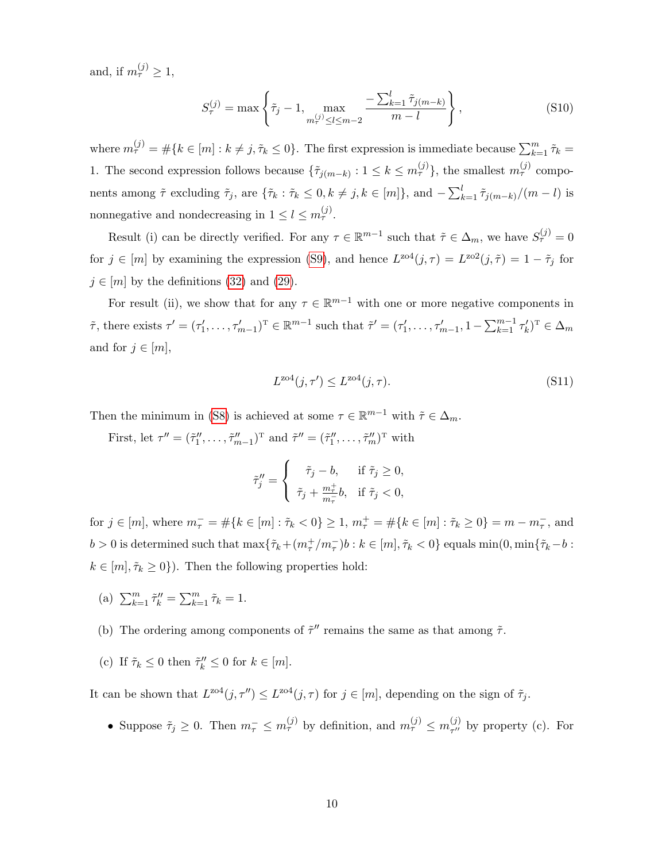and, if  $m_{\tau}^{(j)} \geq 1$ ,

<span id="page-50-0"></span>
$$
S_{\tau}^{(j)} = \max\left\{\tilde{\tau}_j - 1, \max_{m_{\tau}^{(j)} \le l \le m-2} \frac{-\sum_{k=1}^{l} \tilde{\tau}_{j(m-k)}}{m-l}\right\},\tag{S10}
$$

where  $m_{\tau}^{(j)} = \#\{k \in [m] : k \neq j, \tilde{\tau}_k \leq 0\}$ . The first expression is immediate because  $\sum_{k=1}^{m} \tilde{\tau}_k =$ 1. The second expression follows because  $\{\tilde{\tau}_{j(m-k)} : 1 \leq k \leq m_{\tau}^{(j)}\}$ , the smallest  $m_{\tau}^{(j)}$  components among  $\tilde{\tau}$  excluding  $\tilde{\tau}_j$ , are  $\{\tilde{\tau}_k : \tilde{\tau}_k \leq 0, k \neq j, k \in [m]\},$  and  $-\sum_{k=1}^l \tilde{\tau}_{j(m-k)}/(m-l)$  is nonnegative and nondecreasing in  $1 \leq l \leq m_{\tau}^{(j)}$ .

Result (i) can be directly verified. For any  $\tau \in \mathbb{R}^{m-1}$  such that  $\tilde{\tau} \in \Delta_m$ , we have  $S_{\tau}^{(j)} = 0$ for  $j \in [m]$  by examining the expression [\(S9\)](#page-49-1), and hence  $L^{z04}(j, \tau) = L^{z02}(j, \tilde{\tau}) = 1 - \tilde{\tau}_j$  for  $j \in [m]$  by the definitions [\(32\)](#page-23-1) and [\(29\)](#page-21-1).

For result (ii), we show that for any  $\tau \in \mathbb{R}^{m-1}$  with one or more negative components in  $\tilde{\tau}$ , there exists  $\tau' = (\tau'_1, \ldots, \tau'_{m-1})^T \in \mathbb{R}^{m-1}$  such that  $\tilde{\tau}' = (\tau'_1, \ldots, \tau'_{m-1}, 1 - \sum_{k=1}^{m-1} \tau'_k)^T \in \Delta_m$ and for  $j \in [m]$ ,

<span id="page-50-1"></span>
$$
L^{\text{zo4}}(j,\tau') \le L^{\text{zo4}}(j,\tau). \tag{S11}
$$

Then the minimum in [\(S8\)](#page-49-0) is achieved at some  $\tau \in \mathbb{R}^{m-1}$  with  $\tilde{\tau} \in \Delta_m$ .

First, let  $\tau'' = (\tilde{\tau}_1'', \ldots, \tilde{\tau}_{m-1}'')^T$  and  $\tilde{\tau}'' = (\tilde{\tau}_1'', \ldots, \tilde{\tau}_m'')^T$  with

$$
\tilde{\tau}_j'' = \begin{cases}\n\tilde{\tau}_j - b, & \text{if } \tilde{\tau}_j \ge 0, \\
\tilde{\tau}_j + \frac{m_{\tau}^+}{m_{\tau}} b, & \text{if } \tilde{\tau}_j < 0,\n\end{cases}
$$

for  $j \in [m]$ , where  $m_{\tau}^- = \#\{k \in [m] : \tilde{\tau}_k < 0\} \geq 1$ ,  $m_{\tau}^+ = \#\{k \in [m] : \tilde{\tau}_k \geq 0\} = m - m_{\tau}^-$ , and  $b > 0$  is determined such that  $\max{\lbrace \tilde{\tau}_k + (m^+_{\tau}/m^-_{\tau})b : k \in [m], \tilde{\tau}_k < 0 \rbrace}$  equals  $\min(0, \min{\lbrace \tilde{\tau}_k - b : k \rbrace})$  $k \in [m], \tilde{\tau}_k \geq 0$ . Then the following properties hold:

- (a)  $\sum_{k=1}^{m} \tilde{\tau}'_k = \sum_{k=1}^{m} \tilde{\tau}_k = 1.$
- (b) The ordering among components of  $\tilde{\tau}''$  remains the same as that among  $\tilde{\tau}$ .
- (c) If  $\tilde{\tau}_k \leq 0$  then  $\tilde{\tau}_k'' \leq 0$  for  $k \in [m]$ .

It can be shown that  $L^{204}(j, \tau'') \leq L^{204}(j, \tau)$  for  $j \in [m]$ , depending on the sign of  $\tilde{\tau}_j$ .

• Suppose  $\tilde{\tau}_j \geq 0$ . Then  $m_{\tau}^- \leq m_{\tau}^{(j)}$  by definition, and  $m_{\tau}^{(j)} \leq m_{\tau''}^{(j)}$  $_{\tau^{\prime\prime}}^{(J)}$  by property (c). For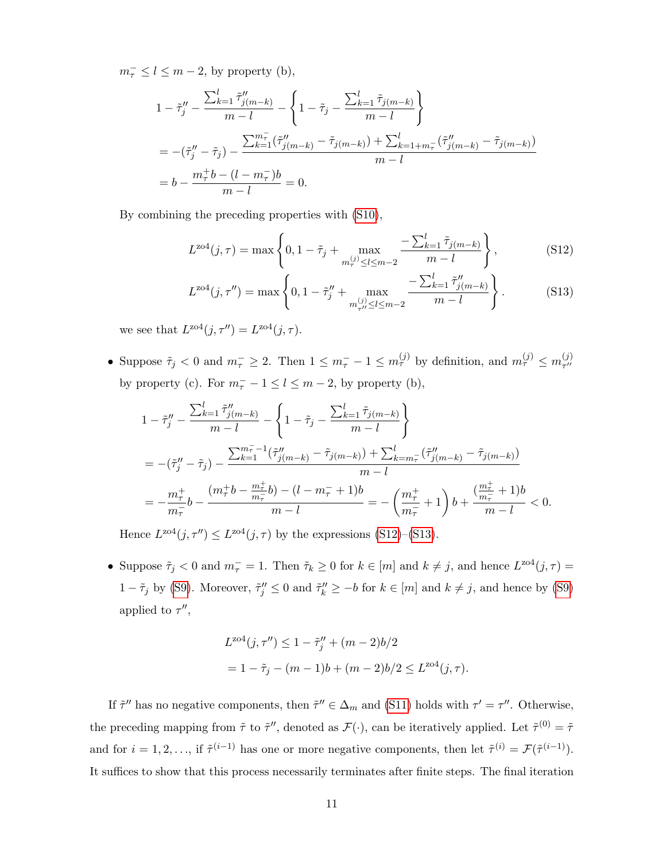$m_{\tau}^{-} \leq l \leq m-2$ , by property (b),

$$
1 - \tilde{\tau}_j'' - \frac{\sum_{k=1}^l \tilde{\tau}_{j(m-k)}''}{m-l} - \left\{ 1 - \tilde{\tau}_j - \frac{\sum_{k=1}^l \tilde{\tau}_{j(m-k)}}{m-l} \right\}
$$
  
= 
$$
-(\tilde{\tau}_j'' - \tilde{\tau}_j) - \frac{\sum_{k=1}^{m} (\tilde{\tau}_{j(m-k)}'' - \tilde{\tau}_{j(m-k)}) + \sum_{k=1+m}^l (\tilde{\tau}_{j(m-k)}'' - \tilde{\tau}_{j(m-k)})}{m-l}
$$
  
= 
$$
b - \frac{m_{\tau}^+ b - (l - m_{\tau}^-)b}{m-l} = 0.
$$

By combining the preceding properties with [\(S10\)](#page-50-0),

<span id="page-51-0"></span>
$$
L^{z04}(j,\tau) = \max\left\{0, 1 - \tilde{\tau}_j + \max_{m_{\tau}^{(j)} \le l \le m-2} \frac{-\sum_{k=1}^{l} \tilde{\tau}_{j(m-k)}}{m-l}\right\},\tag{S12}
$$

<span id="page-51-1"></span>
$$
L^{204}(j,\tau'') = \max\left\{0, 1 - \tilde{\tau}_j'' + \max_{\substack{m,\{j\} \le l \le m-2}} \frac{-\sum_{k=1}^l \tilde{\tau}_{j(m-k)}''}{m-l}\right\}.
$$
 (S13)

we see that  $L^{z \circ 4}(j, \tau'') = L^{z \circ 4}(j, \tau)$ .

• Suppose  $\tilde{\tau}_j < 0$  and  $m_{\tau}^- \geq 2$ . Then  $1 \leq m_{\tau}^- - 1 \leq m_{\tau}^{(j)}$  by definition, and  $m_{\tau}^{(j)} \leq m_{\tau''}^{(j)}$  $\tau^{\prime\prime}$ by property (c). For  $m_{\tau}^- - 1 \leq l \leq m - 2$ , by property (b),

$$
\begin{split} & 1 - \tilde{\tau}''_j - \frac{\sum_{k=1}^l \tilde{\tau}''_{j(m-k)}}{m-l} - \left\{ 1 - \tilde{\tau}_j - \frac{\sum_{k=1}^l \tilde{\tau}_{j(m-k)}}{m-l} \right\} \\ & = -(\tilde{\tau}''_j - \tilde{\tau}_j) - \frac{\sum_{k=1}^{m^-_{\tau}-1} (\tilde{\tau}''_{j(m-k)} - \tilde{\tau}_{j(m-k)}) + \sum_{k=m_{\tau}}^l (\tilde{\tau}''_{j(m-k)} - \tilde{\tau}_{j(m-k)})}{m-l} \\ & = -\frac{m^+_{\tau}}{m^+_{\tau}} b - \frac{(m^+_{\tau} b - \frac{m^+_{\tau}}{m^-_{\tau}} b) - (l - m^-_{\tau} + 1)b}{m-l} = -\left(\frac{m^+_{\tau}}{m^-_{\tau}} + 1\right) b + \frac{(\frac{m^+_{\tau}}{m^-_{\tau}} + 1)b}{m-l} < 0. \end{split}
$$

Hence  $L^{204}(j, \tau'') \leq L^{204}(j, \tau)$  by the expressions [\(S12\)](#page-51-0)–[\(S13\)](#page-51-1).

• Suppose  $\tilde{\tau}_j < 0$  and  $m_{\tau}^- = 1$ . Then  $\tilde{\tau}_k \geq 0$  for  $k \in [m]$  and  $k \neq j$ , and hence  $L^{204}(j, \tau) =$  $1-\tilde{\tau}_j$  by [\(S9\)](#page-49-1). Moreover,  $\tilde{\tau}_j'' \leq 0$  and  $\tilde{\tau}_k'' \geq -b$  for  $k \in [m]$  and  $k \neq j$ , and hence by (S9) applied to  $\tau''$ ,

$$
L^{\text{zo4}}(j, \tau'') \le 1 - \tilde{\tau}_j'' + (m - 2)b/2
$$
  
=  $1 - \tilde{\tau}_j - (m - 1)b + (m - 2)b/2 \le L^{\text{zo4}}(j, \tau).$ 

If  $\tilde{\tau}''$  has no negative components, then  $\tilde{\tau}'' \in \Delta_m$  and [\(S11\)](#page-50-1) holds with  $\tau' = \tau''$ . Otherwise, the preceding mapping from  $\tilde{\tau}$  to  $\tilde{\tau}''$ , denoted as  $\mathcal{F}(\cdot)$ , can be iteratively applied. Let  $\tilde{\tau}^{(0)} = \tilde{\tau}$ and for  $i = 1, 2, ...,$  if  $\tilde{\tau}^{(i-1)}$  has one or more negative components, then let  $\tilde{\tau}^{(i)} = \mathcal{F}(\tilde{\tau}^{(i-1)})$ . It suffices to show that this process necessarily terminates after finite steps. The final iteration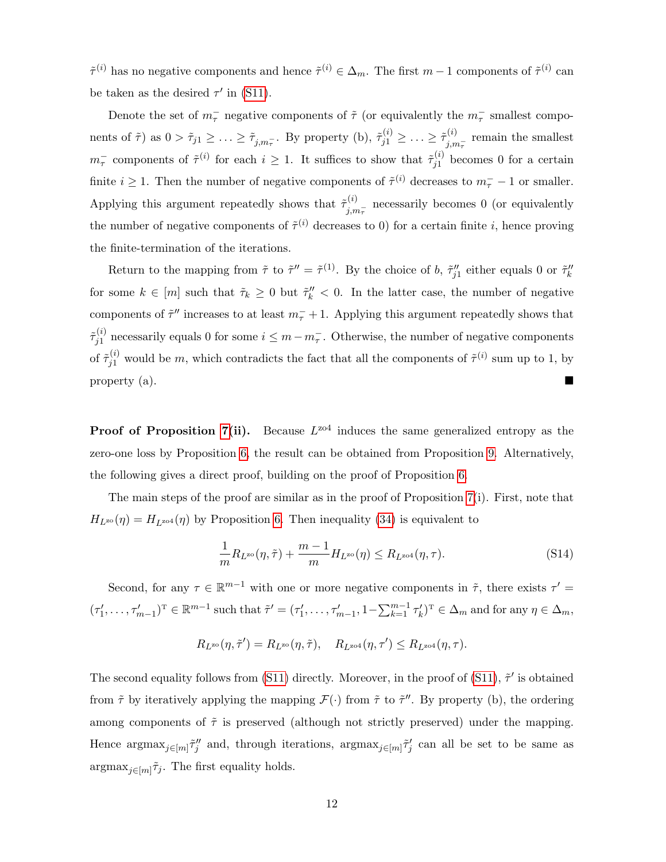$\tilde{\tau}^{(i)}$  has no negative components and hence  $\tilde{\tau}^{(i)} \in \Delta_m$ . The first  $m-1$  components of  $\tilde{\tau}^{(i)}$  can be taken as the desired  $\tau'$  in [\(S11\)](#page-50-1).

Denote the set of  $m_{\tau}^-$  negative components of  $\tilde{\tau}$  (or equivalently the  $m_{\tau}^-$  smallest components of  $\tilde{\tau}$ ) as  $0 > \tilde{\tau}_{j1} \geq \ldots \geq \tilde{\tau}_{j,m_{\tau}}$ . By property (b),  $\tilde{\tau}_{j1}^{(i)} \geq \ldots \geq \tilde{\tau}_{j,n_{\tau}}^{(i)}$  $j_{,m_{\tau}}^{(i)}$  remain the smallest  $m_{\tau}^-$  components of  $\tilde{\tau}^{(i)}$  for each  $i \geq 1$ . It suffices to show that  $\tilde{\tau}_{i1}^{(i)}$  $j_1^{(i)}$  becomes 0 for a certain finite  $i \geq 1$ . Then the number of negative components of  $\tilde{\tau}^{(i)}$  decreases to  $m_{\tau}^- - 1$  or smaller. Applying this argument repeatedly shows that  $\tilde{\tau}^{(i)}$ .  $j_{j,m_{\tau}}^{(i)}$  necessarily becomes 0 (or equivalently the number of negative components of  $\tilde{\tau}^{(i)}$  decreases to 0) for a certain finite *i*, hence proving the finite-termination of the iterations.

Return to the mapping from  $\tilde{\tau}$  to  $\tilde{\tau}'' = \tilde{\tau}^{(1)}$ . By the choice of b,  $\tilde{\tau}_{j1}''$  either equals 0 or  $\tilde{\tau}_k''$ for some  $k \in [m]$  such that  $\tilde{\tau}_k \geq 0$  but  $\tilde{\tau}_k'' < 0$ . In the latter case, the number of negative components of  $\tilde{\tau}''$  increases to at least  $m_{\tau}^- + 1$ . Applying this argument repeatedly shows that  $\tilde{\tau}^{(i)}_{i1}$  $j_1^{(i)}$  necessarily equals 0 for some  $i \leq m - m_{\tau}^{-}$ . Otherwise, the number of negative components of  $\tilde{\tau}_{j1}^{(i)}$  would be m, which contradicts the fact that all the components of  $\tilde{\tau}^{(i)}$  sum up to 1, by property (a).

**Proof of Proposition [7\(](#page-25-0)ii).** Because  $L^{204}$  induces the same generalized entropy as the zero-one loss by Proposition [6,](#page-23-0) the result can be obtained from Proposition [9.](#page-28-0) Alternatively, the following gives a direct proof, building on the proof of Proposition [6.](#page-23-0)

The main steps of the proof are similar as in the proof of Proposition [7\(](#page-25-0)i). First, note that  $H_{L^{z\alpha}}(\eta) = H_{L^{z\alpha}}(\eta)$  by Proposition [6.](#page-23-0) Then inequality [\(34\)](#page-25-2) is equivalent to

<span id="page-52-0"></span>
$$
\frac{1}{m}R_{L^{20}}(\eta,\tilde{\tau}) + \frac{m-1}{m}H_{L^{20}}(\eta) \le R_{L^{204}}(\eta,\tau). \tag{S14}
$$

Second, for any  $\tau \in \mathbb{R}^{m-1}$  with one or more negative components in  $\tilde{\tau}$ , there exists  $\tau' =$  $(\tau'_1, \ldots, \tau'_{m-1})^T \in \mathbb{R}^{m-1}$  such that  $\tilde{\tau}' = (\tau'_1, \ldots, \tau'_{m-1}, 1 - \sum_{k=1}^{m-1} \tau'_k)^T \in \Delta_m$  and for any  $\eta \in \Delta_m$ ,

$$
R_{L^{\rm zo}}(\eta,\tilde{\tau}')=R_{L^{\rm zo}}(\eta,\tilde{\tau}),\quad R_{L^{\rm zo4}}(\eta,\tau')\leq R_{L^{\rm zo4}}(\eta,\tau).
$$

The second equality follows from [\(S11\)](#page-50-1) directly. Moreover, in the proof of (S11),  $\tilde{\tau}'$  is obtained from  $\tilde{\tau}$  by iteratively applying the mapping  $\mathcal{F}(\cdot)$  from  $\tilde{\tau}$  to  $\tilde{\tau}''$ . By property (b), the ordering among components of  $\tilde{\tau}$  is preserved (although not strictly preserved) under the mapping. Hence  $\argmax_{j\in[m]} \tilde{\tau}_j''$  and, through iterations,  $\argmax_{j\in[m]} \tilde{\tau}_j'$  can all be set to be same as  $\operatorname{argmax}_{j \in [m]} \tilde{\tau}_j$ . The first equality holds.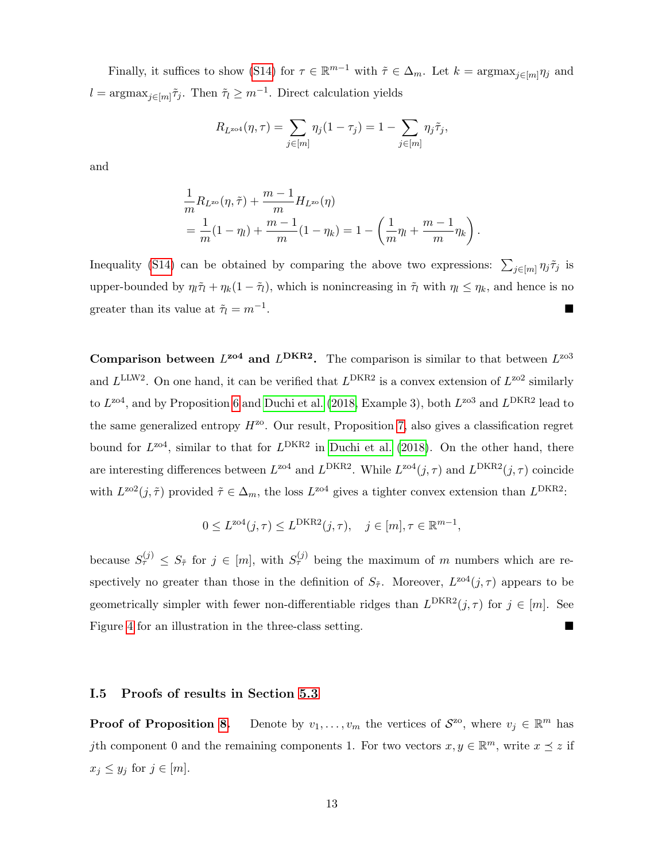Finally, it suffices to show [\(S14\)](#page-52-0) for  $\tau \in \mathbb{R}^{m-1}$  with  $\tilde{\tau} \in \Delta_m$ . Let  $k = \operatorname{argmax}_{j \in [m]} \eta_j$  and  $l = \operatorname{argmax}_{j \in [m]} \tilde{\tau}_j$ . Then  $\tilde{\tau}_l \geq m^{-1}$ . Direct calculation yields

$$
R_{L^{z\alpha 4}}(\eta,\tau) = \sum_{j \in [m]} \eta_j(1-\tau_j) = 1 - \sum_{j \in [m]} \eta_j \tilde{\tau}_j,
$$

and

$$
\frac{1}{m}R_{L^{x_0}}(\eta, \tilde{\tau}) + \frac{m-1}{m}H_{L^{x_0}}(\eta)
$$
\n
$$
= \frac{1}{m}(1 - \eta_l) + \frac{m-1}{m}(1 - \eta_k) = 1 - \left(\frac{1}{m}\eta_l + \frac{m-1}{m}\eta_k\right).
$$

Inequality [\(S14\)](#page-52-0) can be obtained by comparing the above two expressions:  $\sum_{j\in [m]} \eta_j \tilde{\tau}_j$  is upper-bounded by  $\eta_l \tilde{\tau}_l + \eta_k(1 - \tilde{\tau}_l)$ , which is nonincreasing in  $\tilde{\tau}_l$  with  $\eta_l \leq \eta_k$ , and hence is no greater than its value at  $\tilde{\tau}_l = m^{-1}$ . .

**Comparison between**  $L^{204}$  and  $L^{DKR2}$ . The comparison is similar to that between  $L^{203}$ and  $L^{\text{LLW2}}$ . On one hand, it can be verified that  $L^{\text{DKR2}}$  is a convex extension of  $L^{\text{zo2}}$  similarly to  $L^{\text{zo4}}$ , and by Proposition [6](#page-23-0) and [Duchi et al.](#page-38-3) [\(2018,](#page-38-3) Example 3), both  $L^{\text{zo3}}$  and  $L^{\text{DKR2}}$  lead to the same generalized entropy  $H^{zo}$ . Our result, Proposition [7,](#page-25-0) also gives a classification regret bound for  $L^{204}$ , similar to that for  $L^{DKR2}$  in [Duchi et al.](#page-38-3) [\(2018\)](#page-38-3). On the other hand, there are interesting differences between  $L^{204}$  and  $L^{DKR2}$ . While  $L^{204}(j, \tau)$  and  $L^{DKR2}(j, \tau)$  coincide with  $L^{202}(j, \tilde{\tau})$  provided  $\tilde{\tau} \in \Delta_m$ , the loss  $L^{204}$  gives a tighter convex extension than  $L^{DKR2}$ .

$$
0 \le L^{\text{zo4}}(j,\tau) \le L^{\text{DKR2}}(j,\tau), \quad j \in [m], \tau \in \mathbb{R}^{m-1},
$$

because  $S_{\tau}^{(j)} \leq S_{\tilde{\tau}}$  for  $j \in [m]$ , with  $S_{\tau}^{(j)}$  being the maximum of m numbers which are respectively no greater than those in the definition of  $S_{\tilde{\tau}}$ . Moreover,  $L^{z04}(j,\tau)$  appears to be geometrically simpler with fewer non-differentiable ridges than  $L^{DKR2}(j, \tau)$  for  $j \in [m]$ . See Figure [4](#page-24-0) for an illustration in the three-class setting.

## I.5 Proofs of results in Section [5.3](#page-27-1)

**Proof of Proposition [8.](#page-27-0)** Denote by  $v_1, \ldots, v_m$  the vertices of  $S^{z_0}$ , where  $v_j \in \mathbb{R}^m$  has jth component 0 and the remaining components 1. For two vectors  $x, y \in \mathbb{R}^m$ , write  $x \preceq z$  if  $x_j \leq y_j$  for  $j \in [m]$ .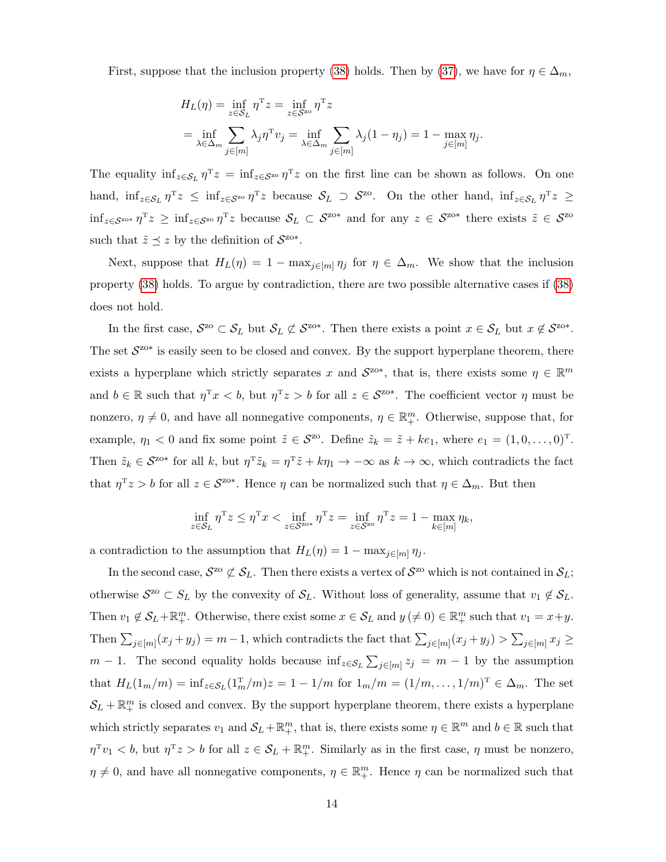First, suppose that the inclusion property [\(38\)](#page-27-2) holds. Then by [\(37\)](#page-27-3), we have for  $\eta \in \Delta_m$ ,

$$
H_L(\eta) = \inf_{z \in S_L} \eta^T z = \inf_{z \in S^{\text{zo}}} \eta^T z
$$
  
= 
$$
\inf_{\lambda \in \Delta_m} \sum_{j \in [m]} \lambda_j \eta^T v_j = \inf_{\lambda \in \Delta_m} \sum_{j \in [m]} \lambda_j (1 - \eta_j) = 1 - \max_{j \in [m]} \eta_j.
$$

The equality  $\inf_{z \in S_L} \eta^T z = \inf_{z \in S_{\alpha}} \eta^T z$  on the first line can be shown as follows. On one hand,  $\inf_{z \in S_L} \eta^T z \leq \inf_{z \in S^{\text{zo}}} \eta^T z$  because  $S_L \supset S^{\text{zo}}$ . On the other hand,  $\inf_{z \in S_L} \eta^T z \geq$  $\inf_{z \in S^{\text{zos}}} \eta^{\text{T}} z \ge \inf_{z \in S^{\text{zos}}} \eta^{\text{T}} z$  because  $\mathcal{S}_L \subset S^{\text{zos}}$  and for any  $z \in S^{\text{zos}}$  there exists  $\tilde{z} \in S^{\text{zos}}$ such that  $\tilde{z} \preceq z$  by the definition of  $S^{z\alpha*}$ .

Next, suppose that  $H_L(\eta) = 1 - \max_{j \in [m]} \eta_j$  for  $\eta \in \Delta_m$ . We show that the inclusion property [\(38\)](#page-27-2) holds. To argue by contradiction, there are two possible alternative cases if [\(38\)](#page-27-2) does not hold.

In the first case,  $S^{z_0} \subset S_L$  but  $S_L \not\subset S^{z_0*}$ . Then there exists a point  $x \in S_L$  but  $x \not\in S^{z_0*}$ . The set  $S^{z_{0}*}$  is easily seen to be closed and convex. By the support hyperplane theorem, there exists a hyperplane which strictly separates x and  $S^{z0*}$ , that is, there exists some  $\eta \in \mathbb{R}^m$ and  $b \in \mathbb{R}$  such that  $\eta^T x < b$ , but  $\eta^T z > b$  for all  $z \in \mathcal{S}^{z_0*}$ . The coefficient vector  $\eta$  must be nonzero,  $\eta \neq 0$ , and have all nonnegative components,  $\eta \in \mathbb{R}^m_+$ . Otherwise, suppose that, for example,  $\eta_1 < 0$  and fix some point  $\tilde{z} \in \mathcal{S}^{z_0}$ . Define  $\tilde{z}_k = \tilde{z} + ke_1$ , where  $e_1 = (1, 0, \ldots, 0)^T$ . Then  $\tilde{z}_k \in \mathcal{S}^{\text{z}_0*}$  for all k, but  $\eta^T \tilde{z}_k = \eta^T \tilde{z} + k \eta_1 \to -\infty$  as  $k \to \infty$ , which contradicts the fact that  $\eta^T z > b$  for all  $z \in \mathcal{S}^{z_0*}$ . Hence  $\eta$  can be normalized such that  $\eta \in \Delta_m$ . But then

$$
\inf_{z \in S_L} \eta^{\mathrm{T}} z \le \eta^{\mathrm{T}} x < \inf_{z \in S^{\mathrm{ZO*}}} \eta^{\mathrm{T}} z = \inf_{z \in S^{\mathrm{ZO}}} \eta^{\mathrm{T}} z = 1 - \max_{k \in [m]} \eta_k,
$$

a contradiction to the assumption that  $H_L(\eta) = 1 - \max_{j \in [m]} \eta_j$ .

In the second case,  $S^{z_0} \not\subset S_L$ . Then there exists a vertex of  $S^{z_0}$  which is not contained in  $S_L$ ; otherwise  $S^{z_0} \subset S_L$  by the convexity of  $S_L$ . Without loss of generality, assume that  $v_1 \notin S_L$ . Then  $v_1 \notin \mathcal{S}_L + \mathbb{R}^m_+$ . Otherwise, there exist some  $x \in \mathcal{S}_L$  and  $y \notin \{0\} \in \mathbb{R}^m_+$  such that  $v_1 = x + y$ . Then  $\sum_{j\in [m]}(x_j+y_j)=m-1$ , which contradicts the fact that  $\sum_{j\in [m]}(x_j+y_j) > \sum_{j\in [m]}x_j \geq$  $m-1$ . The second equality holds because  $\inf_{z \in S_L} \sum_{j \in [m]} z_j = m-1$  by the assumption that  $H_L(1_m/m) = \inf_{z \in S_L}(1_m^T/m)z = 1 - 1/m$  for  $1_m/m = (1/m, ..., 1/m)^T \in \Delta_m$ . The set  $\mathcal{S}_L + \mathbb{R}^m_+$  is closed and convex. By the support hyperplane theorem, there exists a hyperplane which strictly separates  $v_1$  and  $S_L + \mathbb{R}^m_+$ , that is, there exists some  $\eta \in \mathbb{R}^m$  and  $b \in \mathbb{R}$  such that  $\eta^T v_1 < b$ , but  $\eta^T z > b$  for all  $z \in \mathcal{S}_L + \mathbb{R}^m_+$ . Similarly as in the first case,  $\eta$  must be nonzero,  $\eta \neq 0$ , and have all nonnegative components,  $\eta \in \mathbb{R}^m_+$ . Hence  $\eta$  can be normalized such that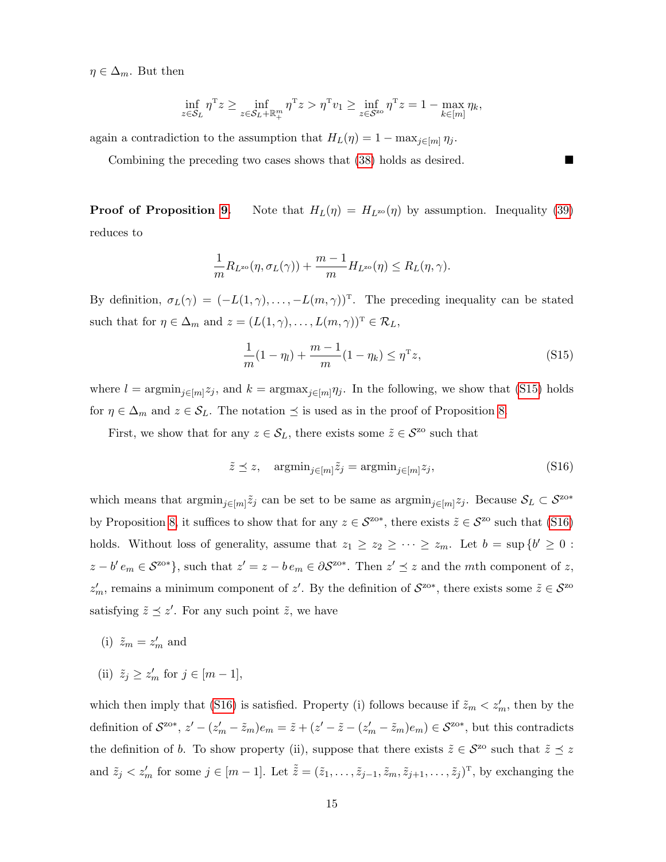$\eta \in \Delta_m$ . But then

$$
\inf_{z \in S_L} \eta^{\mathrm{T}} z \ge \inf_{z \in S_L + \mathbb{R}_+^m} \eta^{\mathrm{T}} z > \eta^{\mathrm{T}} v_1 \ge \inf_{z \in S^{\mathrm{zo}}} \eta^{\mathrm{T}} z = 1 - \max_{k \in [m]} \eta_k,
$$

again a contradiction to the assumption that  $H_L(\eta) = 1 - \max_{j \in [m]} \eta_j$ .

Combining the preceding two cases shows that  $(38)$  holds as desired.

**Proof of Proposition [9.](#page-28-0)** Note that  $H_L(\eta) = H_{L^{20}}(\eta)$  by assumption. Inequality [\(39\)](#page-28-2) reduces to

$$
\frac{1}{m}R_{L^{\rm zo}}(\eta,\sigma_L(\gamma))+\frac{m-1}{m}H_{L^{\rm zo}}(\eta)\leq R_L(\eta,\gamma).
$$

By definition,  $\sigma_L(\gamma) = (-L(1,\gamma), \ldots, -L(m,\gamma))^T$ . The preceding inequality can be stated such that for  $\eta \in \Delta_m$  and  $z = (L(1, \gamma), \ldots, L(m, \gamma))^T \in \mathcal{R}_L$ ,

<span id="page-55-0"></span>
$$
\frac{1}{m}(1-\eta_l) + \frac{m-1}{m}(1-\eta_k) \le \eta^{\mathrm{T}} z,\tag{S15}
$$

where  $l = \operatorname{argmin}_{j \in [m]} z_j$ , and  $k = \operatorname{argmax}_{j \in [m]} \eta_j$ . In the following, we show that [\(S15\)](#page-55-0) holds for  $\eta \in \Delta_m$  and  $z \in \mathcal{S}_L$ . The notation  $\preceq$  is used as in the proof of Proposition [8.](#page-27-0)

First, we show that for any  $z \in S_L$ , there exists some  $\tilde{z} \in S^{\text{zo}}$  such that

<span id="page-55-1"></span>
$$
\tilde{z} \preceq z, \quad \operatorname{argmin}_{j \in [m]} \tilde{z}_j = \operatorname{argmin}_{j \in [m]} z_j,\tag{S16}
$$

which means that  $\operatorname{argmin}_{j \in [m]} \tilde{z}_j$  can be set to be same as  $\operatorname{argmin}_{j \in [m]} z_j$ . Because  $S_L \subset S^{\text{z}_0*}$ by Proposition [8,](#page-27-0) it suffices to show that for any  $z \in \mathcal{S}^{z\circ*}$ , there exists  $\tilde{z} \in \mathcal{S}^{z\circ}$  such that [\(S16\)](#page-55-1) holds. Without loss of generality, assume that  $z_1 \geq z_2 \geq \cdots \geq z_m$ . Let  $b = \sup \{b' \geq 0 : b' \geq 0\}$  $z-b' e_m \in \mathcal{S}^{\text{z}_0*}$ , such that  $z'=z-b e_m \in \partial \mathcal{S}^{\text{z}_0*}$ . Then  $z'\preceq z$  and the mth component of z,  $z'_m$ , remains a minimum component of  $z'$ . By the definition of  $S^{z_{0}*}$ , there exists some  $\tilde{z} \in S^{z_{0}}$ satisfying  $\tilde{z} \preceq z'$ . For any such point  $\tilde{z}$ , we have

- (i)  $\tilde{z}_m = z'_m$  and
- (ii)  $\tilde{z}_j \geq z'_m$  for  $j \in [m-1]$ ,

which then imply that [\(S16\)](#page-55-1) is satisfied. Property (i) follows because if  $\tilde{z}_m < z'_m$ , then by the definition of  $S^{z_{0}*}$ ,  $z' - (z'_{m} - \tilde{z}_{m})e_{m} = \tilde{z} + (z' - \tilde{z} - (z'_{m} - \tilde{z}_{m})e_{m}) \in S^{z_{0}*}$ , but this contradicts the definition of b. To show property (ii), suppose that there exists  $\tilde{z} \in \mathcal{S}^{z_0}$  such that  $\tilde{z} \preceq z$ and  $\tilde{z}_j < z'_m$  for some  $j \in [m-1]$ . Let  $\tilde{\tilde{z}} = (\tilde{z}_1, \ldots, \tilde{z}_{j-1}, \tilde{z}_m, \tilde{z}_{j+1}, \ldots, \tilde{z}_j)^T$ , by exchanging the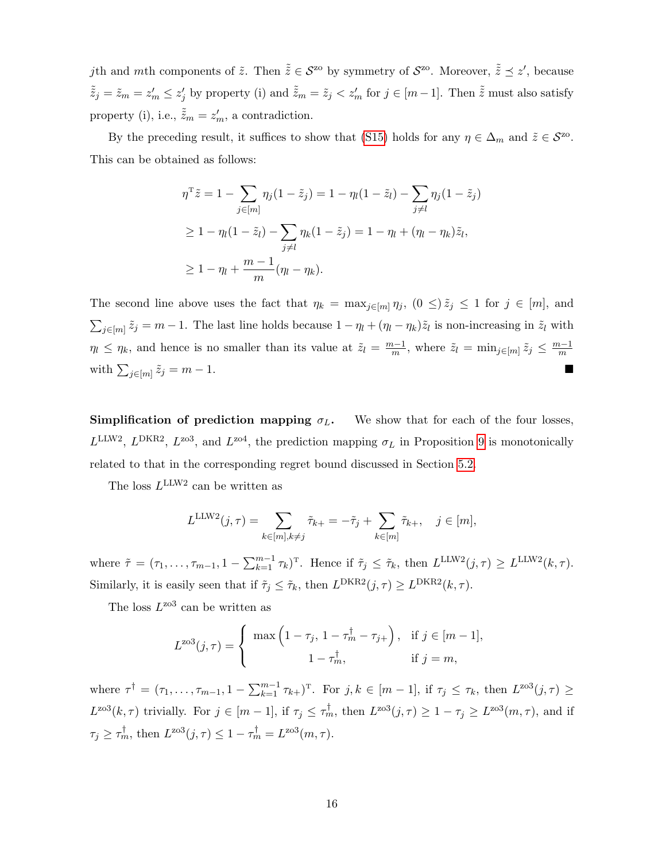jth and mth components of  $\tilde{z}$ . Then  $\tilde{\tilde{z}} \in \mathcal{S}^{z_0}$  by symmetry of  $\mathcal{S}^{z_0}$ . Moreover,  $\tilde{\tilde{z}} \preceq z'$ , because  $\tilde{\tilde{z}}_j = \tilde{z}_m = z'_m \leq z'_j$  by property (i) and  $\tilde{\tilde{z}}_m = \tilde{z}_j < z'_m$  for  $j \in [m-1]$ . Then  $\tilde{\tilde{z}}$  must also satisfy property (i), i.e.,  $\tilde{\tilde{z}}_m = z'_m$ , a contradiction.

By the preceding result, it suffices to show that [\(S15\)](#page-55-0) holds for any  $\eta \in \Delta_m$  and  $\tilde{z} \in \mathcal{S}^{z_0}$ . This can be obtained as follows:

$$
\eta^{\mathrm{T}} \tilde{z} = 1 - \sum_{j \in [m]} \eta_j (1 - \tilde{z}_j) = 1 - \eta_l (1 - \tilde{z}_l) - \sum_{j \neq l} \eta_j (1 - \tilde{z}_j)
$$
  
\n
$$
\geq 1 - \eta_l (1 - \tilde{z}_l) - \sum_{j \neq l} \eta_k (1 - \tilde{z}_j) = 1 - \eta_l + (\eta_l - \eta_k) \tilde{z}_l,
$$
  
\n
$$
\geq 1 - \eta_l + \frac{m - 1}{m} (\eta_l - \eta_k).
$$

The second line above uses the fact that  $\eta_k = \max_{j \in [m]} \eta_j$ ,  $(0 \leq) \tilde{z}_j \leq 1$  for  $j \in [m]$ , and  $\sum_{j\in[m]} \tilde{z}_j = m-1$ . The last line holds because  $1-\eta_l + (\eta_l - \eta_k)\tilde{z}_l$  is non-increasing in  $\tilde{z}_l$  with  $\eta_l \leq \eta_k$ , and hence is no smaller than its value at  $\tilde{z}_l = \frac{m-1}{m}$  $\frac{n-1}{m}$ , where  $\tilde{z}_l = \min_{j \in [m]} \tilde{z}_j \leq \frac{m-1}{m}$ m with  $\sum_{j \in [m]} \tilde{z}_j = m - 1$ .

**Simplification of prediction mapping**  $\sigma_L$ **.** We show that for each of the four losses,  $L^{\text{LLW2}}$ ,  $L^{\text{DKR2}}$ ,  $L^{\text{zo3}}$ , and  $L^{\text{zo4}}$ , the prediction mapping  $\sigma_L$  in Proposition [9](#page-28-0) is monotonically related to that in the corresponding regret bound discussed in Section [5.2.](#page-24-1)

The loss  $L^{\text{LLW2}}$  can be written as

$$
L^{\text{LLW2}}(j,\tau) = \sum_{k \in [m], k \neq j} \tilde{\tau}_{k+} = -\tilde{\tau}_j + \sum_{k \in [m]} \tilde{\tau}_{k+}, \quad j \in [m],
$$

where  $\tilde{\tau} = (\tau_1, \ldots, \tau_{m-1}, 1 - \sum_{k=1}^{m-1} \tau_k)^T$ . Hence if  $\tilde{\tau}_j \leq \tilde{\tau}_k$ , then  $L^{\text{LLW2}}(j, \tau) \geq L^{\text{LLW2}}(k, \tau)$ . Similarly, it is easily seen that if  $\tilde{\tau}_j \leq \tilde{\tau}_k$ , then  $L^{DKR2}(j, \tau) \geq L^{DKR2}(k, \tau)$ .

The loss  $L^{203}$  can be written as

$$
L^{\text{zo3}}(j,\tau) = \begin{cases} \max\left(1 - \tau_j, 1 - \tau_m^{\dagger} - \tau_{j+}\right), & \text{if } j \in [m-1], \\ 1 - \tau_m^{\dagger}, & \text{if } j = m, \end{cases}
$$

where  $\tau^{\dagger} = (\tau_1, \ldots, \tau_{m-1}, 1 - \sum_{k=1}^{m-1} \tau_{k+})^{\mathrm{T}}$ . For  $j, k \in [m-1]$ , if  $\tau_j \leq \tau_k$ , then  $L^{203}(j, \tau) \geq$  $L^{203}(k,\tau)$  trivially. For  $j \in [m-1]$ , if  $\tau_j \leq \tau_m^{\dagger}$ , then  $L^{203}(j,\tau) \geq 1 - \tau_j \geq L^{203}(m,\tau)$ , and if  $\tau_j \ge \tau_m^{\dagger}$ , then  $L^{203}(j, \tau) \le 1 - \tau_m^{\dagger} = L^{203}(m, \tau)$ .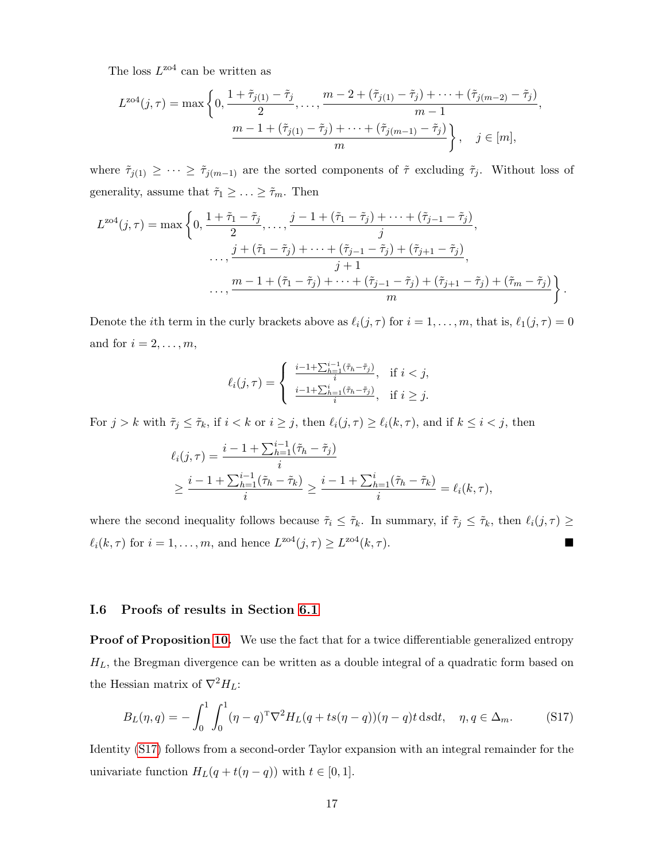The loss  $L^{z04}$  can be written as

$$
L^{z04}(j,\tau) = \max\left\{0, \frac{1+\tilde{\tau}_{j(1)}-\tilde{\tau}_j}{2}, \dots, \frac{m-2+(\tilde{\tau}_{j(1)}-\tilde{\tau}_j)+\dots+(\tilde{\tau}_{j(m-2)}-\tilde{\tau}_j)}{m-1}, \frac{m-1+(\tilde{\tau}_{j(1)}-\tilde{\tau}_j)+\dots+(\tilde{\tau}_{j(m-1)}-\tilde{\tau}_j)}{m}\right\}, \quad j \in [m],
$$

where  $\tilde{\tau}_{j(1)} \geq \cdots \geq \tilde{\tau}_{j(m-1)}$  are the sorted components of  $\tilde{\tau}$  excluding  $\tilde{\tau}_j$ . Without loss of generality, assume that  $\tilde{\tau}_1 \geq \ldots \geq \tilde{\tau}_m$ . Then

$$
L^{zof}(j,\tau) = \max \left\{ 0, \frac{1+\tilde{\tau}_1 - \tilde{\tau}_j}{2}, \dots, \frac{j-1+(\tilde{\tau}_1 - \tilde{\tau}_j) + \dots + (\tilde{\tau}_{j-1} - \tilde{\tau}_j)}{j}, \dots, \frac{j+(\tilde{\tau}_1 - \tilde{\tau}_j) + \dots + (\tilde{\tau}_{j-1} - \tilde{\tau}_j) + (\tilde{\tau}_{j+1} - \tilde{\tau}_j)}{j+1}, \dots, \frac{m-1+(\tilde{\tau}_1 - \tilde{\tau}_j) + \dots + (\tilde{\tau}_{j-1} - \tilde{\tau}_j) + (\tilde{\tau}_{j+1} - \tilde{\tau}_j) + (\tilde{\tau}_m - \tilde{\tau}_j)}{m} \right\}.
$$

Denote the *i*th term in the curly brackets above as  $\ell_i(j, \tau)$  for  $i = 1, \ldots, m$ , that is,  $\ell_1(j, \tau) = 0$ and for  $i = 2, \ldots, m$ ,

$$
\ell_i(j,\tau) = \begin{cases} \frac{i-1+\sum_{h=1}^{i-1} (\tilde{\tau}_h - \tilde{\tau}_j)}{i}, & \text{if } i < j, \\ \frac{i-1+\sum_{h=1}^{i} (\tilde{\tau}_h - \tilde{\tau}_j)}{i}, & \text{if } i \ge j. \end{cases}
$$

For  $j > k$  with  $\tilde{\tau}_j \leq \tilde{\tau}_k$ , if  $i < k$  or  $i \geq j$ , then  $\ell_i(j, \tau) \geq \ell_i(k, \tau)$ , and if  $k \leq i < j$ , then

$$
\ell_i(j,\tau) = \frac{i - 1 + \sum_{h=1}^{i-1} (\tilde{\tau}_h - \tilde{\tau}_j)}{i}
$$
  
 
$$
\geq \frac{i - 1 + \sum_{h=1}^{i-1} (\tilde{\tau}_h - \tilde{\tau}_k)}{i} \geq \frac{i - 1 + \sum_{h=1}^{i} (\tilde{\tau}_h - \tilde{\tau}_k)}{i} = \ell_i(k,\tau),
$$

where the second inequality follows because  $\tilde{\tau}_i \leq \tilde{\tau}_k$ . In summary, if  $\tilde{\tau}_j \leq \tilde{\tau}_k$ , then  $\ell_i(j, \tau) \geq$  $\ell_i(k, \tau)$  for  $i = 1, \ldots, m$ , and hence  $L^{\text{zo4}}(j, \tau) \ge L^{\text{zo4}}(k, \tau)$ .

## I.6 Proofs of results in Section [6.1](#page-30-1)

Proof of Proposition [10.](#page-31-0) We use the fact that for a twice differentiable generalized entropy  $H_L$ , the Bregman divergence can be written as a double integral of a quadratic form based on the Hessian matrix of  $\nabla^2 H_L$ :

<span id="page-57-0"></span>
$$
B_L(\eta, q) = -\int_0^1 \int_0^1 (\eta - q)^{\mathrm{T}} \nabla^2 H_L(q + ts(\eta - q)) (\eta - q) t \, ds \, dt, \quad \eta, q \in \Delta_m. \tag{S17}
$$

Identity [\(S17\)](#page-57-0) follows from a second-order Taylor expansion with an integral remainder for the univariate function  $H_L(q + t(\eta - q))$  with  $t \in [0, 1]$ .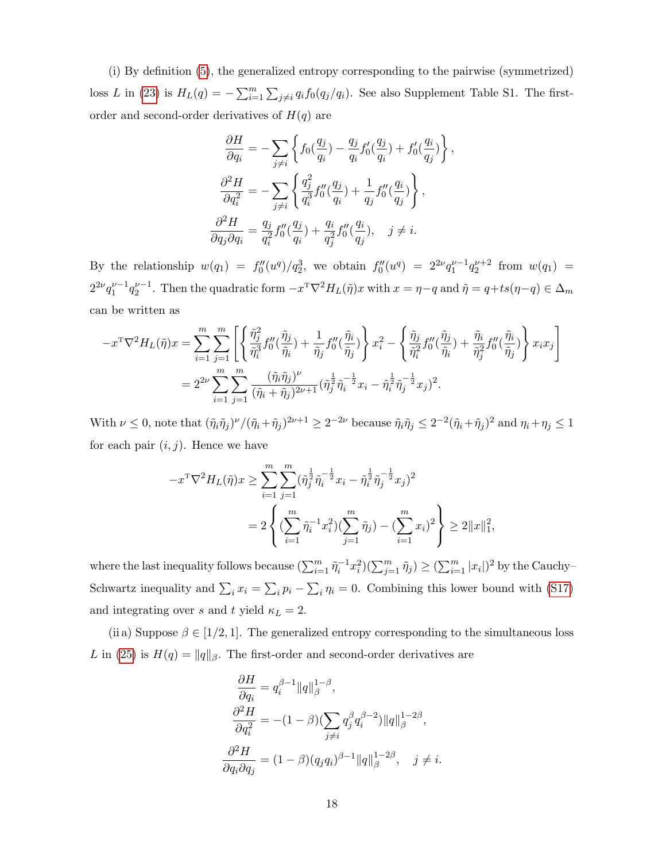(i) By definition [\(5\)](#page-6-2), the generalized entropy corresponding to the pairwise (symmetrized) loss L in [\(23\)](#page-16-0) is  $H_L(q) = -\sum_{i=1}^m \sum_{j \neq i} q_i f_0(q_j/q_i)$ . See also Supplement Table S1. The firstorder and second-order derivatives of  $H(q)$  are

$$
\frac{\partial H}{\partial q_i} = -\sum_{j \neq i} \left\{ f_0(\frac{q_j}{q_i}) - \frac{q_j}{q_i} f'_0(\frac{q_j}{q_i}) + f'_0(\frac{q_i}{q_j}) \right\},
$$
  

$$
\frac{\partial^2 H}{\partial q_i^2} = -\sum_{j \neq i} \left\{ \frac{q_j^2}{q_i^3} f''_0(\frac{q_j}{q_i}) + \frac{1}{q_j} f''_0(\frac{q_i}{q_j}) \right\},
$$
  

$$
\frac{\partial^2 H}{\partial q_j \partial q_i} = \frac{q_j}{q_i^2} f''_0(\frac{q_j}{q_i}) + \frac{q_i}{q_j^2} f''_0(\frac{q_i}{q_j}), \quad j \neq i.
$$

By the relationship  $w(q_1) = f''_0(u^q)/q_2^3$ , we obtain  $f''_0(u^q) = 2^{2\nu}q_1^{\nu-1}q_2^{\nu+2}$  from  $w(q_1) =$  $2^{2\nu}q_1^{\nu-1}q_2^{\nu-1}$ . Then the quadratic form  $-x^{\mathrm{T}}\nabla^2 H_L(\tilde{\eta})x$  with  $x = \eta - q$  and  $\tilde{\eta} = q + ts(\eta - q) \in \Delta_m$ can be written as

$$
-x^{\mathrm{T}}\nabla^2 H_L(\tilde{\eta})x = \sum_{i=1}^m \sum_{j=1}^m \left[ \left\{ \frac{\tilde{\eta}_j^2}{\tilde{\eta}_i^3} f_0''(\frac{\tilde{\eta}_j}{\tilde{\eta}_i}) + \frac{1}{\tilde{\eta}_j} f_0''(\frac{\tilde{\eta}_i}{\tilde{\eta}_j}) \right\} x_i^2 - \left\{ \frac{\tilde{\eta}_j}{\tilde{\eta}_i^2} f_0''(\frac{\tilde{\eta}_j}{\tilde{\eta}_i}) + \frac{\tilde{\eta}_i}{\tilde{\eta}_j^2} f_0''(\frac{\tilde{\eta}_i}{\tilde{\eta}_j}) \right\} x_i x_j \right]
$$
  
= 
$$
2^{2\nu} \sum_{i=1}^m \sum_{j=1}^m \frac{(\tilde{\eta}_i \tilde{\eta}_j)^\nu}{(\tilde{\eta}_i + \tilde{\eta}_j)^{2\nu+1}} (\tilde{\eta}_j^{\frac{1}{2}} \tilde{\eta}_i^{-\frac{1}{2}} x_i - \tilde{\eta}_i^{\frac{1}{2}} \tilde{\eta}_j^{-\frac{1}{2}} x_j)^2.
$$

With  $\nu \leq 0$ , note that  $(\tilde{\eta}_i \tilde{\eta}_j)^{\nu} / (\tilde{\eta}_i + \tilde{\eta}_j)^{2\nu+1} \geq 2^{-2\nu}$  because  $\tilde{\eta}_i \tilde{\eta}_j \leq 2^{-2} (\tilde{\eta}_i + \tilde{\eta}_j)^2$  and  $\eta_i + \eta_j \leq 1$ for each pair  $(i, j)$ . Hence we have

$$
-x^{\mathrm{T}}\nabla^{2}H_{L}(\tilde{\eta})x \geq \sum_{i=1}^{m} \sum_{j=1}^{m} (\tilde{\eta}_{j}^{\frac{1}{2}}\tilde{\eta}_{i}^{-\frac{1}{2}}x_{i} - \tilde{\eta}_{i}^{\frac{1}{2}}\tilde{\eta}_{j}^{-\frac{1}{2}}x_{j})^{2}
$$
  

$$
= 2\left\{ (\sum_{i=1}^{m} \tilde{\eta}_{i}^{-1}x_{i}^{2})(\sum_{j=1}^{m} \tilde{\eta}_{j}) - (\sum_{i=1}^{m} x_{i})^{2} \right\} \geq 2||x||_{1}^{2},
$$

where the last inequality follows because  $(\sum_{i=1}^m \tilde{\eta}_i^{-1} x_i^2)(\sum_{j=1}^m \tilde{\eta}_j) \ge (\sum_{i=1}^m |x_i|)^2$  by the Cauchy-Schwartz inequality and  $\sum_i x_i = \sum_i p_i - \sum_i \eta_i = 0$ . Combining this lower bound with [\(S17\)](#page-57-0) and integrating over s and t yield  $\kappa_L = 2$ .

(ii a) Suppose  $\beta \in [1/2, 1]$ . The generalized entropy corresponding to the simultaneous loss L in [\(25\)](#page-17-0) is  $H(q) = ||q||_{\beta}$ . The first-order and second-order derivatives are

$$
\frac{\partial H}{\partial q_i} = q_i^{\beta - 1} ||q||_{\beta}^{1 - \beta},
$$
  
\n
$$
\frac{\partial^2 H}{\partial q_i^2} = -(1 - \beta) (\sum_{j \neq i} q_j^{\beta} q_i^{\beta - 2}) ||q||_{\beta}^{1 - 2\beta},
$$
  
\n
$$
\frac{\partial^2 H}{\partial q_i \partial q_j} = (1 - \beta) (q_j q_i)^{\beta - 1} ||q||_{\beta}^{1 - 2\beta}, \quad j \neq i.
$$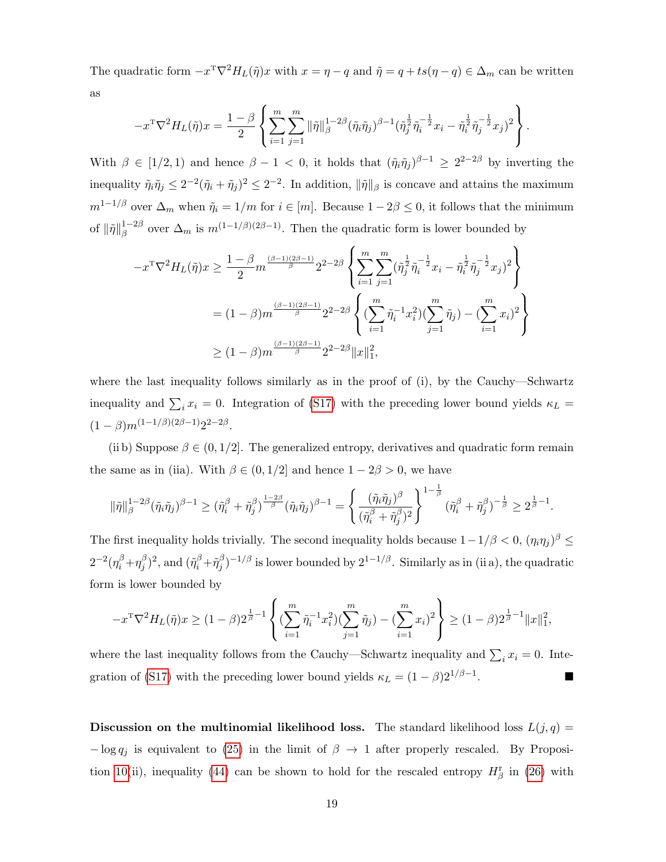The quadratic form  $-x^T \nabla^2 H_L(\tilde{\eta})x$  with  $x = \eta - q$  and  $\tilde{\eta} = q + ts(\eta - q) \in \Delta_m$  can be written as

$$
-x^{\mathrm{T}}\nabla^2 H_L(\tilde{\eta})x = \frac{1-\beta}{2} \left\{ \sum_{i=1}^m \sum_{j=1}^m \|\tilde{\eta}\|_{\beta}^{1-2\beta} (\tilde{\eta}_i \tilde{\eta}_j)^{\beta-1} (\tilde{\eta}_j^{\frac{1}{2}} \tilde{\eta}_i^{-\frac{1}{2}} x_i - \tilde{\eta}_i^{\frac{1}{2}} \tilde{\eta}_j^{-\frac{1}{2}} x_j)^2 \right\}.
$$

With  $\beta \in [1/2, 1)$  and hence  $\beta - 1 < 0$ , it holds that  $(\tilde{\eta}_i \tilde{\eta}_j)^{\beta - 1} \geq 2^{2 - 2\beta}$  by inverting the inequality  $\tilde{\eta}_i \tilde{\eta}_j \leq 2^{-2} (\tilde{\eta}_i + \tilde{\eta}_j)^2 \leq 2^{-2}$ . In addition,  $\|\tilde{\eta}\|_{\beta}$  is concave and attains the maximum  $m^{1-1/\beta}$  over  $\Delta_m$  when  $\tilde{\eta}_i = 1/m$  for  $i \in [m]$ . Because  $1 - 2\beta \leq 0$ , it follows that the minimum of  $\|\tilde{\eta}\|_{\beta}^{1-2\beta}$  $\beta^{1-2\beta}$  over  $\Delta_m$  is  $m^{(1-1/\beta)(2\beta-1)}$ . Then the quadratic form is lower bounded by

$$
-x^{\mathrm{T}}\nabla^{2}H_{L}(\tilde{\eta})x \geq \frac{1-\beta}{2}m^{\frac{(\beta-1)(2\beta-1)}{\beta}}2^{2-2\beta}\left\{\sum_{i=1}^{m}\sum_{j=1}^{m}(\tilde{\eta}_{j}^{\frac{1}{2}}\tilde{\eta}_{i}^{-\frac{1}{2}}x_{i}-\tilde{\eta}_{i}^{\frac{1}{2}}\tilde{\eta}_{j}^{-\frac{1}{2}}x_{j})^{2}\right\}
$$
  

$$
= (1-\beta)m^{\frac{(\beta-1)(2\beta-1)}{\beta}}2^{2-2\beta}\left\{(\sum_{i=1}^{m}\tilde{\eta}_{i}^{-1}x_{i}^{2})(\sum_{j=1}^{m}\tilde{\eta}_{j})-(\sum_{i=1}^{m}x_{i})^{2}\right\}
$$
  

$$
\geq (1-\beta)m^{\frac{(\beta-1)(2\beta-1)}{\beta}}2^{2-2\beta}\|x\|_{1}^{2},
$$

where the last inequality follows similarly as in the proof of (i), by the Cauchy—Schwartz inequality and  $\sum_i x_i = 0$ . Integration of [\(S17\)](#page-57-0) with the preceding lower bound yields  $\kappa_L =$  $(1-\beta)m^{(1-1/\beta)(2\beta-1)}2^{2-2\beta}.$ 

(ii b) Suppose  $\beta \in (0, 1/2]$ . The generalized entropy, derivatives and quadratic form remain the same as in (iia). With  $\beta \in (0, 1/2]$  and hence  $1 - 2\beta > 0$ , we have

$$
\|\tilde{\eta}\|_{\beta}^{1-2\beta}(\tilde{\eta}_i\tilde{\eta}_j)^{\beta-1}\geq (\tilde{\eta}_i^{\beta}+\tilde{\eta}_j^{\beta})^{\frac{1-2\beta}{\beta}}(\tilde{\eta}_i\tilde{\eta}_j)^{\beta-1}=\left\{\frac{(\tilde{\eta}_i\tilde{\eta}_j)^{\beta}}{(\tilde{\eta}_i^{\beta}+\tilde{\eta}_j^{\beta})^2}\right\}^{1-\frac{1}{\beta}}(\tilde{\eta}_i^{\beta}+\tilde{\eta}_j^{\beta})^{-\frac{1}{\beta}}\geq 2^{\frac{1}{\beta}-1}.
$$

The first inequality holds trivially. The second inequality holds because  $1-1/\beta < 0$ ,  $(\eta_i \eta_j)^\beta \le$  $2^{-2}(\eta_i^\beta + \eta_j^\beta$  $(\tilde{\eta}_i^{\beta}+\tilde{\eta}_j^{\beta})$  $j^{(\beta)}$  $j^{-1/\beta}$  is lower bounded by  $2^{1-1/\beta}$ . Similarly as in (ii a), the quadratic form is lower bounded by

$$
-x^{\mathrm{T}}\nabla^2 H_L(\tilde{\eta})x \ge (1-\beta)2^{\frac{1}{\beta}-1} \left\{ \left( \sum_{i=1}^m \tilde{\eta}_i^{-1} x_i^2 \right) \left( \sum_{j=1}^m \tilde{\eta}_j \right) - \left( \sum_{i=1}^m x_i \right)^2 \right\} \ge (1-\beta)2^{\frac{1}{\beta}-1} \|x\|_1^2,
$$

where the last inequality follows from the Cauchy—Schwartz inequality and  $\sum_i x_i = 0$ . Inte-gration of [\(S17\)](#page-57-0) with the preceding lower bound yields  $\kappa_L = (1 - \beta)2^{1/\beta - 1}$ . .

**Discussion on the multinomial likelihood loss.** The standard likelihood loss  $L(j, q)$  =  $-\log q_i$  is equivalent to [\(25\)](#page-17-0) in the limit of  $\beta \rightarrow 1$  after properly rescaled. By Proposi-tion [10\(](#page-31-0)ii), inequality [\(44\)](#page-31-2) can be shown to hold for the rescaled entropy  $H^{\rm r}_{\beta}$  in [\(26\)](#page-17-2) with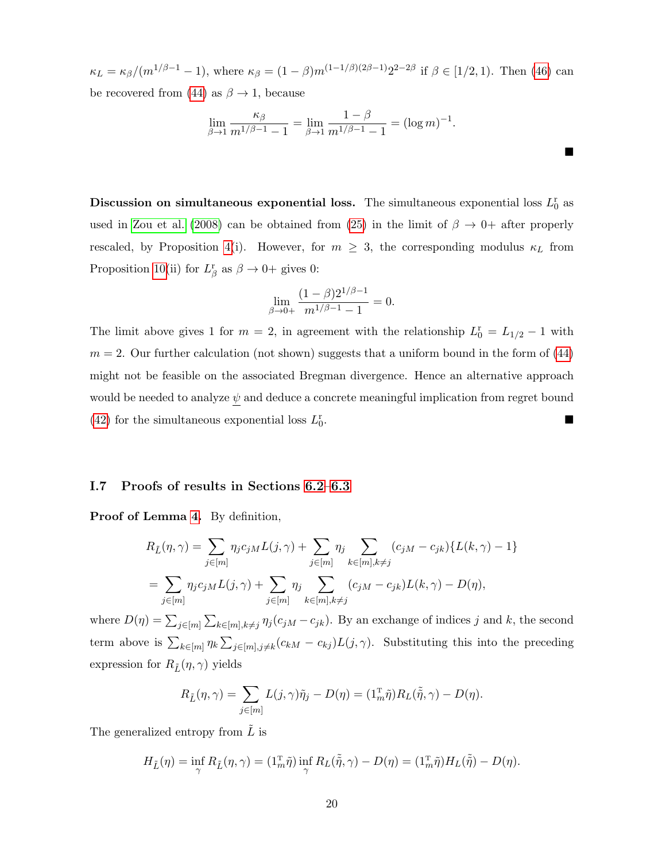$\kappa_L = \kappa_\beta/(m^{1/\beta - 1} - 1)$ , where  $\kappa_\beta = (1 - \beta)m^{(1 - 1/\beta)(2\beta - 1)}2^{2 - 2\beta}$  if  $\beta \in [1/2, 1)$ . Then [\(46\)](#page-32-0) can be recovered from [\(44\)](#page-31-2) as  $\beta \rightarrow 1$ , because

$$
\lim_{\beta \to 1} \frac{\kappa_{\beta}}{m^{1/\beta - 1} - 1} = \lim_{\beta \to 1} \frac{1 - \beta}{m^{1/\beta - 1} - 1} = (\log m)^{-1}.
$$

 $\blacksquare$ 

Discussion on simultaneous exponential loss. The simultaneous exponential loss  $L_0^r$  as used in [Zou et al.](#page-40-1) [\(2008\)](#page-40-1) can be obtained from [\(25\)](#page-17-0) in the limit of  $\beta \rightarrow 0+$  after properly rescaled, by Proposition [4\(](#page-17-1)i). However, for  $m \geq 3$ , the corresponding modulus  $\kappa_L$  from Proposition [10\(](#page-31-0)ii) for  $L^{\mathbf{r}}_{\beta}$  as  $\beta \to 0+$  gives 0:

$$
\lim_{\beta \to 0+} \frac{(1-\beta)2^{1/\beta-1}}{m^{1/\beta-1}-1} = 0.
$$

The limit above gives 1 for  $m = 2$ , in agreement with the relationship  $L_0^r = L_{1/2} - 1$  with  $m = 2$ . Our further calculation (not shown) suggests that a uniform bound in the form of [\(44\)](#page-31-2) might not be feasible on the associated Bregman divergence. Hence an alternative approach would be needed to analyze  $\psi$  and deduce a concrete meaningful implication from regret bound [\(42\)](#page-31-1) for the simultaneous exponential loss  $L_0^r$ .

## I.7 Proofs of results in Sections [6.2–](#page-33-0)[6.3](#page-35-1)

Proof of Lemma [4.](#page-34-2) By definition,

$$
R_{\tilde{L}}(\eta, \gamma) = \sum_{j \in [m]} \eta_j c_{jM} L(j, \gamma) + \sum_{j \in [m]} \eta_j \sum_{k \in [m], k \neq j} (c_{jM} - c_{jk}) \{L(k, \gamma) - 1\}
$$
  
= 
$$
\sum_{j \in [m]} \eta_j c_{jM} L(j, \gamma) + \sum_{j \in [m]} \eta_j \sum_{k \in [m], k \neq j} (c_{jM} - c_{jk}) L(k, \gamma) - D(\eta),
$$

where  $D(\eta) = \sum_{j \in [m]} \sum_{k \in [m], k \neq j} \eta_j(c_{jM} - c_{jk})$ . By an exchange of indices j and k, the second term above is  $\sum_{k\in[m]} \eta_k \sum_{j\in[m],j\neq k} (c_{kM} - c_{kj}) L(j,\gamma)$ . Substituting this into the preceding expression for  $R_{\tilde{L}}(\eta,\gamma)$  yields

$$
R_{\tilde{L}}(\eta, \gamma) = \sum_{j \in [m]} L(j, \gamma) \tilde{\eta}_j - D(\eta) = (1_m^{\mathrm{T}} \tilde{\eta}) R_L(\tilde{\tilde{\eta}}, \gamma) - D(\eta).
$$

The generalized entropy from  $\tilde{L}$  is

$$
H_{\tilde{L}}(\eta) = \inf_{\gamma} R_{\tilde{L}}(\eta, \gamma) = (1_m^{\mathrm{T}} \tilde{\eta}) \inf_{\gamma} R_L(\tilde{\tilde{\eta}}, \gamma) - D(\eta) = (1_m^{\mathrm{T}} \tilde{\eta}) H_L(\tilde{\tilde{\eta}}) - D(\eta).
$$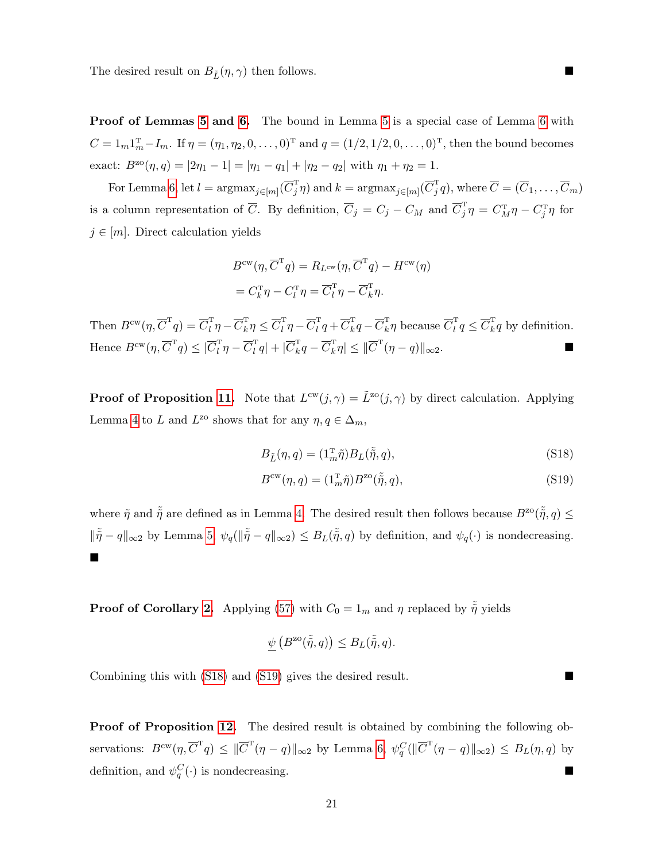The desired result on  $B_{\tilde{L}}(\eta, \gamma)$  then follows.

Proof of Lemmas [5](#page-34-0) and [6.](#page-35-0) The bound in Lemma [5](#page-34-0) is a special case of Lemma [6](#page-35-0) with  $C = 1_m 1_m^{\mathrm{T}} - I_m$ . If  $\eta = (\eta_1, \eta_2, 0, \dots, 0)^{\mathrm{T}}$  and  $q = (1/2, 1/2, 0, \dots, 0)^{\mathrm{T}}$ , then the bound becomes exact:  $B^{z\alpha}(\eta, q) = |2\eta_1 - 1| = |\eta_1 - q_1| + |\eta_2 - q_2|$  with  $\eta_1 + \eta_2 = 1$ .

For Lemma [6,](#page-35-0) let  $l = \text{argmax}_{j \in [m]}(\overline{C}_j^{\mathrm{T}} \eta)$  and  $k = \text{argmax}_{j \in [m]}(\overline{C}_j^{\mathrm{T}} q)$ , where  $\overline{C} = (\overline{C}_1, \ldots, \overline{C}_m)$ is a column representation of  $\overline{C}$ . By definition,  $\overline{C}_j = C_j - C_M$  and  $\overline{C}_j^{\mathrm{T}} \eta = C_M^{\mathrm{T}} \eta - C_j^{\mathrm{T}} \eta$  for  $j \in [m]$ . Direct calculation yields

$$
B^{\text{cw}}(\eta, \overline{C}^{\text{T}}q) = R_{L^{\text{cw}}}(\eta, \overline{C}^{\text{T}}q) - H^{\text{cw}}(\eta)
$$

$$
= C_k^{\text{T}} \eta - C_l^{\text{T}} \eta = \overline{C}_l^{\text{T}} \eta - \overline{C}_k^{\text{T}} \eta.
$$

Then  $B^{cw}(\eta, \overline{C}^T q) = \overline{C}_l^T \eta - \overline{C}_k^T \eta \leq \overline{C}_l^T \eta - \overline{C}_l^T q + \overline{C}_k^T q - \overline{C}_k^T \eta$  because  $\overline{C}_l^T q \leq \overline{C}_k^T q$  by definition. Hence  $B^{\text{cw}}(\eta, \overline{C}^{\text{T}} q) \leq |\overline{C}_l^{\text{T}} \eta - \overline{C}_l^{\text{T}} q| + |\overline{C}_k^{\text{T}} q - \overline{C}_k^{\text{T}} \eta| \leq |\overline{C}^{\text{T}} (\eta - q)|_{\infty 2}$ .

**Proof of Proposition [11.](#page-34-3)** Note that  $L^{cw}(j, \gamma) = \tilde{L}^{zo}(j, \gamma)$  by direct calculation. Applying Lemma [4](#page-34-2) to L and  $L^{z_0}$  shows that for any  $\eta, q \in \Delta_m$ ,

<span id="page-61-1"></span><span id="page-61-0"></span>
$$
B_{\tilde{L}}(\eta, q) = (1_m^{\mathrm{T}} \tilde{\eta}) B_L(\tilde{\tilde{\eta}}, q), \tag{S18}
$$

$$
B^{\text{cw}}(\eta, q) = (1_m^{\text{T}} \tilde{\eta}) B^{\text{zo}}(\tilde{\tilde{\eta}}, q), \tag{S19}
$$

where  $\tilde{\eta}$  and  $\tilde{\tilde{\eta}}$  are defined as in Lemma [4.](#page-34-2) The desired result then follows because  $B^{zo}(\tilde{\tilde{\eta}}, q) \leq$  $\|\tilde{\tilde{\eta}} - q\|_{\infty 2}$  by Lemma [5,](#page-34-0)  $\psi_q(\|\tilde{\tilde{\eta}} - q\|_{\infty 2}) \leq B_L(\tilde{\tilde{\eta}}, q)$  by definition, and  $\psi_q(\cdot)$  is nondecreasing.  $\blacksquare$ 

**Proof of Corollary [2.](#page-35-5)** Applying [\(57\)](#page-37-0) with  $C_0 = 1_m$  and  $\eta$  replaced by  $\tilde{\tilde{\eta}}$  yields

$$
\underline{\psi}\left(B^{\text{zo}}(\tilde{\tilde{\eta}},q)\right) \leq B_L(\tilde{\tilde{\eta}},q).
$$

Combining this with [\(S18\)](#page-61-0) and [\(S19\)](#page-61-1) gives the desired result.

Proof of Proposition [12.](#page-36-4) The desired result is obtained by combining the following observations:  $B^{cw}(\eta, \overline{C}^T q) \leq \|\overline{C}^T (\eta - q)\|_{\infty 2}$  by Lemma [6,](#page-35-0)  $\psi_q^C(\|\overline{C}^T (\eta - q)\|_{\infty 2}) \leq B_L(\eta, q)$  by definition, and  $\psi_q^C(\cdot)$  is nondecreasing.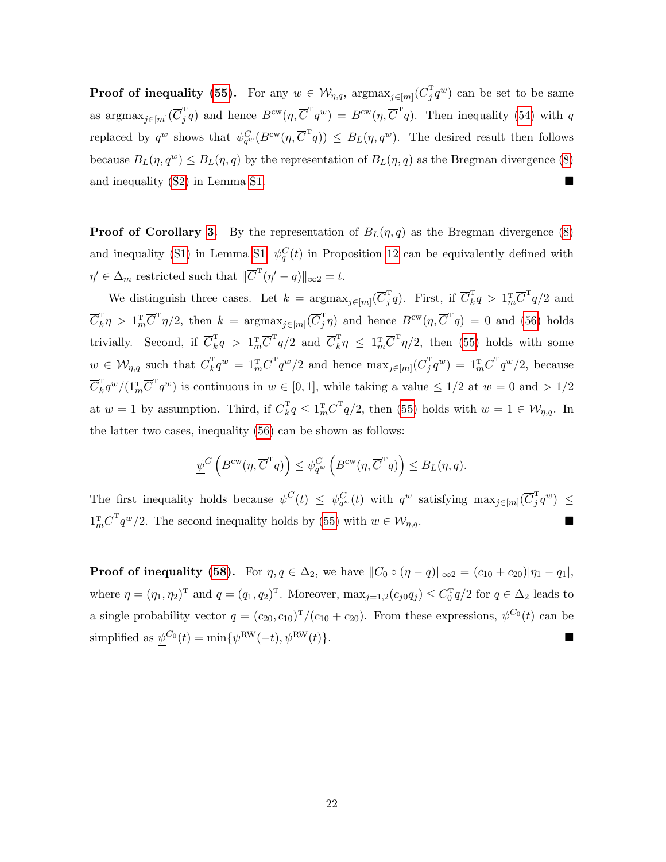**Proof of inequality [\(55\)](#page-36-2).** For any  $w \in \mathcal{W}_{\eta,q}$ ,  $\arg\max_{j\in[m]}(\overline{C}_j^{\mathrm{T}}q^w)$  can be set to be same as argma $\lim_{j\in[m]}(\overline{C}_j^{\mathrm{T}}q)$  and hence  $B^{\mathrm{cw}}(\eta,\overline{C}^{\mathrm{T}}q^w) = B^{\mathrm{cw}}(\eta,\overline{C}^{\mathrm{T}}q)$ . Then inequality [\(54\)](#page-36-1) with q replaced by  $q^w$  shows that  $\psi_{q^w}^C(B^{\text{cw}}(\eta,\overline{C}^Tq)) \leq B_L(\eta,q^w)$ . The desired result then follows because  $B_L(\eta, q^w) \le B_L(\eta, q)$  by the representation of  $B_L(\eta, q)$  as the Bregman divergence [\(8\)](#page-7-2) and inequality [\(S2\)](#page-1-1) in Lemma [S1.](#page-10-3)

**Proof of Corollary [3.](#page-36-0)** By the representation of  $B_L(\eta, q)$  as the Bregman divergence [\(8\)](#page-7-2) and inequality [\(S1\)](#page-1-0) in Lemma [S1,](#page-10-3)  $\psi_q^C(t)$  in Proposition [12](#page-36-4) can be equivalently defined with  $\eta' \in \Delta_m$  restricted such that  $\|\overline{C}^{\mathrm{T}}(\eta'-q)\|_{\infty} = t$ .

We distinguish three cases. Let  $k = \text{argmax}_{j \in [m]}(\overline{C}_j^{\text{T}} q)$ . First, if  $\overline{C}_k^{\text{T}} q > 1_m^{\text{T}} \overline{C}^{\text{T}} q/2$  and  $\overline{C}_k^{\mathrm{T}} \eta > 1_m^{\mathrm{T}} \overline{C}^{\mathrm{T}} \eta/2$ , then  $k = \mathrm{argmax}_{j \in [m]} (\overline{C}_j^{\mathrm{T}} \eta)$  and hence  $B^{\mathrm{cw}}(\eta, \overline{C}^{\mathrm{T}} q) = 0$  and [\(56\)](#page-36-3) holds trivially. Second, if  $\overline{C}_k^{\rm T} q > 1_m^{\rm T} \overline{C}^{\rm T} q/2$  and  $\overline{C}_k^{\rm T} \eta \leq 1_m^{\rm T} \overline{C}^{\rm T} \eta/2$ , then [\(55\)](#page-36-2) holds with some  $w \in \mathcal{W}_{\eta,q}$  such that  $\overline{C}_k^{\mathrm{T}} q^w = 1_m^{\mathrm{T}} \overline{C}^{\mathrm{T}} q^w/2$  and hence  $\max_{j \in [m]} (\overline{C}_j^{\mathrm{T}} q^w) = 1_m^{\mathrm{T}} \overline{C}^{\mathrm{T}} q^w/2$ , because  $\overline{C}_k^{\mathrm{T}} q^w/(1_m^{\mathrm{T}} \overline{C}^{\mathrm{T}} q^w)$  is continuous in  $w \in [0,1]$ , while taking a value  $\leq 1/2$  at  $w = 0$  and  $> 1/2$ at  $w = 1$  by assumption. Third, if  $\overline{C}_k^{\mathrm{T}} q \leq 1_{m}^{\mathrm{T}} \overline{C}^{\mathrm{T}} q/2$ , then [\(55\)](#page-36-2) holds with  $w = 1 \in \mathcal{W}_{\eta,q}$ . In the latter two cases, inequality [\(56\)](#page-36-3) can be shown as follows:

$$
\underline{\psi}^C\left(B^{\mathrm{cw}}(\eta, \overline{C}^{\mathrm{T}} q)\right) \leq \psi_{q^w}^C\left(B^{\mathrm{cw}}(\eta, \overline{C}^{\mathrm{T}} q)\right) \leq B_L(\eta, q).
$$

The first inequality holds because  $\psi^C(t) \leq \psi_{q^w}^C(t)$  with  $q^w$  satisfying  $\max_{j \in [m]} (\overline{C}_j^T q^w) \leq$  $1_m^{\text{T}}\overline{C}^{\text{T}}q^w/2$ . The second inequality holds by [\(55\)](#page-36-2) with  $w \in \mathcal{W}_{\eta,q}$ .

**Proof of inequality [\(58\)](#page-37-1).** For  $\eta, q \in \Delta_2$ , we have  $||C_0 \circ (\eta - q)||_{\infty^2} = (c_{10} + c_{20})|\eta_1 - \eta_1|$ , where  $\eta = (\eta_1, \eta_2)^T$  and  $q = (q_1, q_2)^T$ . Moreover,  $\max_{j=1,2} (c_{j0}q_j) \leq C_0^T q/2$  for  $q \in \Delta_2$  leads to a single probability vector  $q = (c_{20}, c_{10})^T/(c_{10} + c_{20})$ . From these expressions,  $\psi^{C_0}(t)$  can be simplified as  $\psi^{C_0}(t) = \min{\{\psi^{\text{RW}}(-t), \psi^{\text{RW}}(t)\}}$ .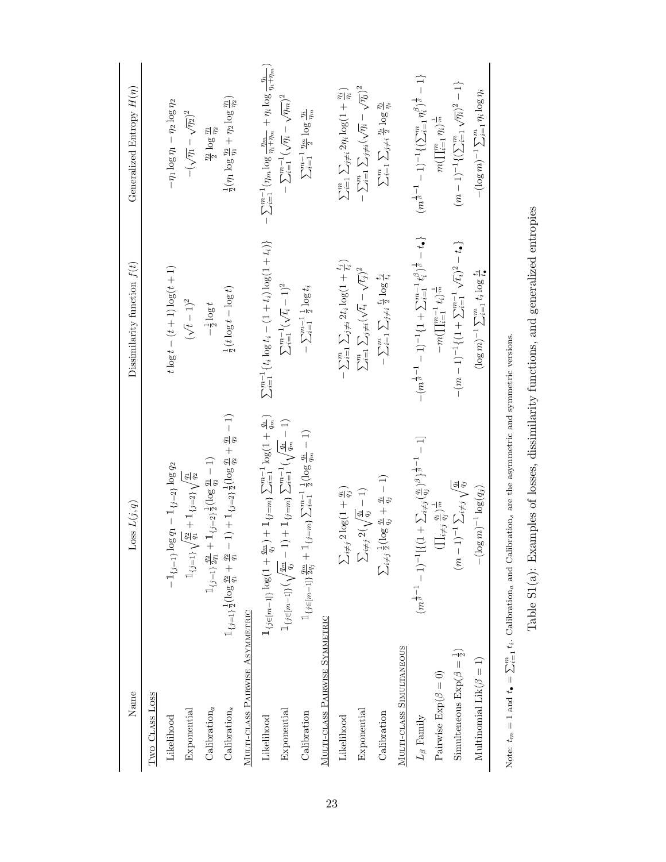| Name                                           | Loss $L(j, q)$                                                                                                                                               | Dissimilarity function $f(t)$                                                                       | Generalized Entropy $H(\eta)$                                                                     |
|------------------------------------------------|--------------------------------------------------------------------------------------------------------------------------------------------------------------|-----------------------------------------------------------------------------------------------------|---------------------------------------------------------------------------------------------------|
| Two CLASS LOSS                                 |                                                                                                                                                              |                                                                                                     |                                                                                                   |
| Likelihood                                     | $-1_{\{j=1\}} \log q_1 - 1_{\{j=2\}} \log q_2$                                                                                                               | $t \log t - (t + 1) \log(t + 1)$                                                                    | $-\eta_1 \log \eta_1 - \eta_2 \log \eta_2$                                                        |
| Exponential                                    | $\mathbbm{1}_{\{j=1\}}\sqrt{\tfrac{q_2}{q_1}+\mathbbm{1}_{\{j=2\}}}\sqrt{\tfrac{q_1}{q_2}}$                                                                  | $(\sqrt{t}-1)^2$                                                                                    | $-(\sqrt{\eta_1}-\sqrt{\eta_2})^2$                                                                |
| Calibration $_a$                               | $\mathbbm{1}_{\{j=1\}}\frac{q_2}{2q_1}+\mathbbm{1}_{\{j=2\}}\frac{1}{2}(\log\frac{q_1}{q_2}-1)$                                                              | $-\frac{1}{2}\log t$                                                                                | $\frac{\eta_2}{2} \log \frac{\eta_1}{\eta_2}$                                                     |
| Calibration <sub>s</sub>                       | $-1$ + $1_{\{j=2\}\frac{1}{2}}$ (log $\frac{q_1}{q_2}$ + $\frac{q_1}{q_2}$ - 1)<br>$\mathbbm{1}_{\{j=1\}}\frac{1}{2}(\log \frac{q_2}{q_1}+\frac{q_2}{q_1}$ . | $\frac{1}{2}(t \log t - \log t)$                                                                    | $\frac{1}{2}(\eta_1 \log \frac{\eta_2}{\eta_1} + \eta_2 \log \frac{\eta_1}{\eta_2})$              |
| MULTI-CLASS PAIRWISE ASYMMETRIC                |                                                                                                                                                              |                                                                                                     |                                                                                                   |
| Likelihood                                     | $\mathbbm{1}_{\{j \in [m-1]\}} \log(1 + \tfrac{q_m}{q_j}) + \mathbbm{1}_{\{j = m\}} \sum_{i=1}^{m-1} \log(1 + \tfrac{q_i}{q_m})$                             | $\sum_{i=1}^{m-1} \{t_i \log t_i - (1+t_i) \log(1+t_i)\}$                                           | $\sum_{i=1}^{m-1}(\eta_m\log\frac{\eta_m}{\eta_i+\eta_m}+\eta_i\log\frac{\eta_i}{\eta_i+\eta_m})$ |
| Exponential                                    | $1\!\!1_{\{j\in[m-1]\}}(\sqrt{\tfrac{q_m}{q_j}}-1)+1\!\!1_{\{j=m\}}\sum_{i=1}^{m-1}(\sqrt{\tfrac{q_i}{q_m}}-1)$                                              | $\sum_{i=1}^{m-1}(\sqrt{t_i}-1)^2$                                                                  | $-\sum_{i=1}^{m-1}(\sqrt{\eta_i}-\sqrt{\eta_m})^2$                                                |
| Calibration                                    | $\mathbbm{1}_{\{j \in [m-1]\}}\frac{g_m}{2q_j} + \mathbbm{1}_{\{j=m\}}\sum_{i=1}^{m-1}\frac{1}{2}(\log \frac{q_i}{q_m}-1)$                                   | $-\sum_{i=1}^{m-1}\frac{1}{2}\log t_i$                                                              | $\sum_{i=1}^{m-1}\frac{\eta_m}{2}\log\frac{n_i}{\eta_m}$                                          |
| MULTI-CLASS PAIRWISE SYMMETRIC                 |                                                                                                                                                              |                                                                                                     |                                                                                                   |
| Likelihood                                     | $\sum_{i\neq j} 2\log(1+\frac{q_i}{q_j})$                                                                                                                    | $\sum_{i=1}^m\sum_{j\neq i}2t_i\log(1+\frac{t_j}{t_i})$                                             | $\sum_{i=1}^m \sum_{j\neq i} 2\eta_i \log(1+\frac{\eta_j}{\eta_i})$                               |
| Exponential                                    | $\sum_{i\neq j} 2(\sqrt{\frac{q_i}{q_j}}-1)$                                                                                                                 | $\sum_{i=1}^m \sum_{j\neq i} (\sqrt{t_i} - \sqrt{t_j})^2$                                           | $-\sum_{i=1}^m\sum_{j\neq i}(\sqrt{\eta_i}-\sqrt{\eta_j})^2$                                      |
| Calibration                                    | $\sum_{i\neq j}\frac{1}{2}(\log \frac{q_i}{q_j}+\frac{q_i}{q_j}-1)$                                                                                          | $-\sum_{i=1}^m\sum_{j\neq i}\frac{t_i}{2}\log\frac{t_j}{t_i}$                                       | $\sum_{i=1}^m\sum_{j\neq i}\frac{n_i}{2}\log\frac{n_j}{\eta_i}$                                   |
| MULTI-CLASS SIMULTANEOUS                       |                                                                                                                                                              |                                                                                                     |                                                                                                   |
| $L_\beta$ Family                               | $(m^{\frac{1}{\beta}-1}-1)^{-1}[\{(1+\sum_{i\neq j}(\frac{q_i}{q_j})^{\beta}\}^{\frac{1}{\beta}-1}-1]$                                                       | $-(m^{\frac{1}{\beta}-1}-1)^{-1}\{1+\sum_{i=1}^{m-1}t_{i}^{\beta})^{\frac{1}{\beta}}-t_{\bullet}\}$ | $(m^{\frac{1}{\beta}-1}-1)^{-1}\{(\sum_{i=1}^m\eta_i^\beta)^{\frac{1}{\beta}}-1\}$                |
| Pairwise $\text{Exp}(\beta=0)$                 | $(\prod_{i\neq j}\frac{q_i}{q_i})^{\frac{1}{m}}$                                                                                                             | $-m(\prod_{i=1}^{m-1}t_i)^{\frac{1}{m}}$                                                            | $m(\prod_{i=1}^m \eta_i)^{\frac{1}{m}}$                                                           |
| Simulteneous $\text{Exp}(\beta = \frac{1}{2})$ | $(m-1)^{-1} \sum_{i \neq j} \sqrt{\frac{q_i}{q_j}}$                                                                                                          | $-(m-1)^{-1}\{(1+\sum_{i=1}^{m-1}\sqrt{t_i})^2-t_\bullet\}$                                         | $(m-1)^{-1}\{(\sum_{i=1}^m\sqrt{\eta_i})^2-1\}$                                                   |
| Multinomial $\text{Lik}(\beta = 1)$            | $-(\log m)^{-1}\log(q_j)$                                                                                                                                    | $(\log m)^{-1} \sum_{i=1}^{m} t_i \log \frac{t_i}{t_o}$                                             | $-(\log m)^{-1} \sum_{i=1}^{m} \eta_i \log \eta_i$                                                |
|                                                |                                                                                                                                                              |                                                                                                     |                                                                                                   |

Note:  $t_m = 1$  and  $t_{\bullet} = \sum_{i=1}^{m} t_i$ . Calibration<sub>a</sub> and Calibration<sub>s</sub> are the asymmetric and symmetric versions. Note:  $t_m = 1$  and  $t_{\bullet} = \sum_{i=1}^m t_i$ . Calibration<sub>a</sub> and Calibration<sub>s</sub> are the asymmetric and symmetric versions. Table  $\mathrm{S1(a)}\colon$  Examples of losses, dissimilarity functions, and generalized entropies Table S1(a): Examples of losses, dissimilarity functions, and generalized entropies